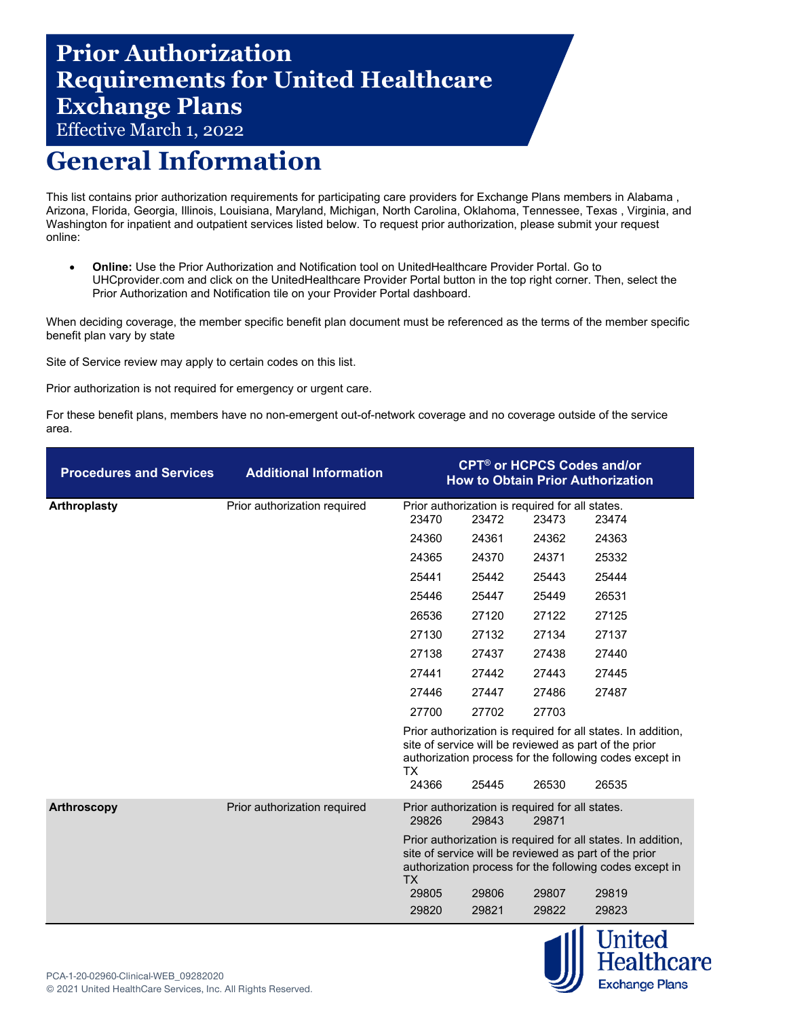## **Prior Authorization Requirements for United Healthcare Exchange Plans**

Effective March 1, 2022

## **General Information**

This list contains prior authorization requirements for participating care providers for Exchange Plans members in Alabama , Arizona, Florida, Georgia, Illinois, Louisiana, Maryland, Michigan, North Carolina, Oklahoma, Tennessee, Texas , Virginia, and Washington for inpatient and outpatient services listed below. To request prior authorization, please submit your request online:

• **Online:** Use the Prior Authorization and Notification tool on UnitedHealthcare Provider Portal. Go to [UHCprovider.com](https://www.uhcprovider.com/) and click on the UnitedHealthcare Provider Portal button in the top right corner. Then, select the Prior Authorization and Notification tile on your Provider Portal dashboard.

When deciding coverage, the member specific benefit plan document must be referenced as the terms of the member specific benefit plan vary by state

Site of Service review may apply to certain codes on this list.

Prior authorization is not required for emergency or urgent care.

For these benefit plans, members have no non-emergent out-of-network coverage and no coverage outside of the service area.

| <b>Procedures and Services</b> | <b>Additional Information</b> |                    |                                                          | <b>CPT<sup>®</sup> or HCPCS Codes and/or</b> | <b>How to Obtain Prior Authorization</b>                                                                                                                                                  |
|--------------------------------|-------------------------------|--------------------|----------------------------------------------------------|----------------------------------------------|-------------------------------------------------------------------------------------------------------------------------------------------------------------------------------------------|
| Arthroplasty                   | Prior authorization required  | 23470              | Prior authorization is required for all states.<br>23472 | 23473                                        | 23474                                                                                                                                                                                     |
|                                |                               | 24360              | 24361                                                    | 24362                                        | 24363                                                                                                                                                                                     |
|                                |                               | 24365              | 24370                                                    | 24371                                        | 25332                                                                                                                                                                                     |
|                                |                               | 25441              | 25442                                                    | 25443                                        | 25444                                                                                                                                                                                     |
|                                |                               | 25446              | 25447                                                    | 25449                                        | 26531                                                                                                                                                                                     |
|                                |                               | 26536              | 27120                                                    | 27122                                        | 27125                                                                                                                                                                                     |
|                                |                               | 27130              | 27132                                                    | 27134                                        | 27137                                                                                                                                                                                     |
|                                |                               | 27138              | 27437                                                    | 27438                                        | 27440                                                                                                                                                                                     |
|                                |                               | 27441              | 27442                                                    | 27443                                        | 27445                                                                                                                                                                                     |
|                                |                               | 27446              | 27447                                                    | 27486                                        | 27487                                                                                                                                                                                     |
|                                |                               | 27700              | 27702                                                    | 27703                                        |                                                                                                                                                                                           |
|                                |                               | <b>TX</b><br>24366 | 25445                                                    | 26530                                        | Prior authorization is required for all states. In addition,<br>site of service will be reviewed as part of the prior<br>authorization process for the following codes except in<br>26535 |
| Arthroscopy                    | Prior authorization required  | 29826              | Prior authorization is required for all states.<br>29843 | 29871                                        |                                                                                                                                                                                           |
|                                |                               | <b>TX</b><br>29805 | 29806                                                    | 29807                                        | Prior authorization is required for all states. In addition,<br>site of service will be reviewed as part of the prior<br>authorization process for the following codes except in<br>29819 |
|                                |                               | 29820              | 29821                                                    | 29822                                        | 29823                                                                                                                                                                                     |

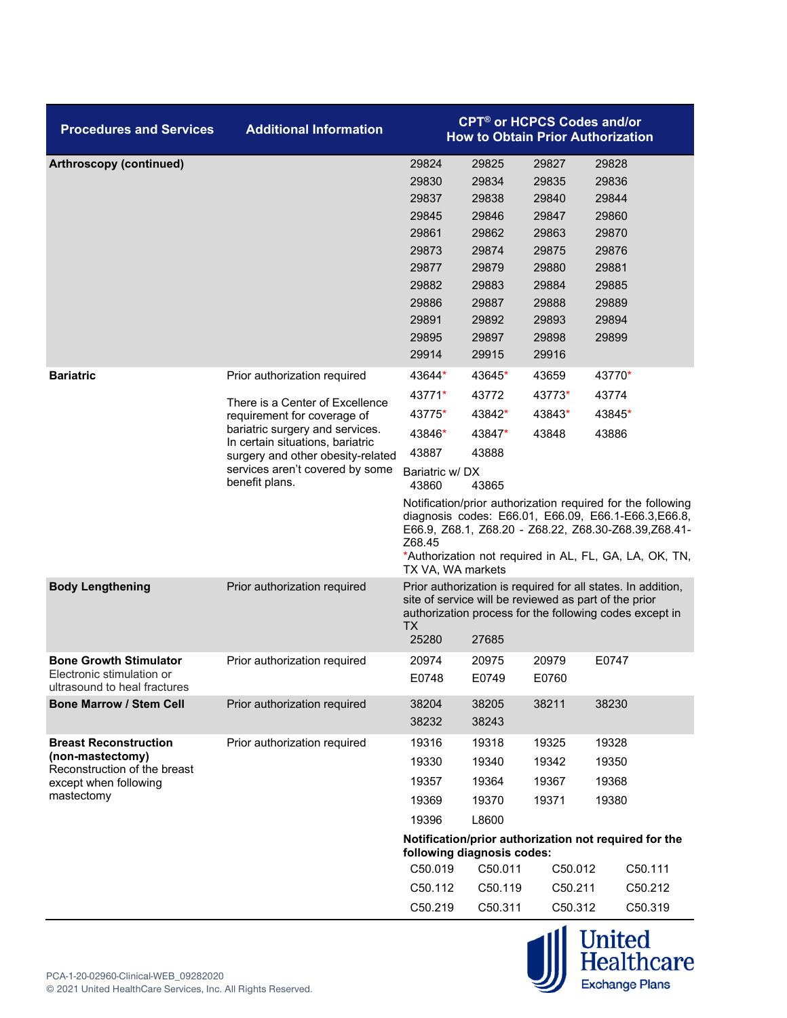| <b>Procedures and Services</b>                            | <b>Additional Information</b>                                                                                              |                                                                                                                                                                                                                                                                     | <b>CPT<sup>®</sup> or HCPCS Codes and/or</b> |                 | <b>How to Obtain Prior Authorization</b>                                                                                                                                         |
|-----------------------------------------------------------|----------------------------------------------------------------------------------------------------------------------------|---------------------------------------------------------------------------------------------------------------------------------------------------------------------------------------------------------------------------------------------------------------------|----------------------------------------------|-----------------|----------------------------------------------------------------------------------------------------------------------------------------------------------------------------------|
| Arthroscopy (continued)                                   |                                                                                                                            | 29824                                                                                                                                                                                                                                                               | 29825                                        | 29827           | 29828                                                                                                                                                                            |
|                                                           |                                                                                                                            | 29830                                                                                                                                                                                                                                                               | 29834                                        | 29835           | 29836                                                                                                                                                                            |
|                                                           |                                                                                                                            | 29837                                                                                                                                                                                                                                                               | 29838                                        | 29840           | 29844                                                                                                                                                                            |
|                                                           |                                                                                                                            | 29845                                                                                                                                                                                                                                                               | 29846                                        | 29847           | 29860                                                                                                                                                                            |
|                                                           |                                                                                                                            | 29861                                                                                                                                                                                                                                                               | 29862                                        | 29863           | 29870                                                                                                                                                                            |
|                                                           |                                                                                                                            | 29873                                                                                                                                                                                                                                                               | 29874                                        | 29875           | 29876                                                                                                                                                                            |
|                                                           |                                                                                                                            | 29877                                                                                                                                                                                                                                                               | 29879                                        | 29880           | 29881                                                                                                                                                                            |
|                                                           |                                                                                                                            | 29882                                                                                                                                                                                                                                                               | 29883                                        | 29884           | 29885                                                                                                                                                                            |
|                                                           |                                                                                                                            | 29886                                                                                                                                                                                                                                                               | 29887                                        | 29888           | 29889                                                                                                                                                                            |
|                                                           |                                                                                                                            | 29891                                                                                                                                                                                                                                                               | 29892                                        | 29893           | 29894                                                                                                                                                                            |
|                                                           |                                                                                                                            | 29895                                                                                                                                                                                                                                                               | 29897                                        | 29898           | 29899                                                                                                                                                                            |
|                                                           |                                                                                                                            | 29914                                                                                                                                                                                                                                                               | 29915                                        | 29916           |                                                                                                                                                                                  |
| <b>Bariatric</b>                                          | Prior authorization required                                                                                               | 43644*<br>43771*                                                                                                                                                                                                                                                    | 43645*<br>43772                              | 43659<br>43773* | 43770*                                                                                                                                                                           |
|                                                           | There is a Center of Excellence                                                                                            | 43775*                                                                                                                                                                                                                                                              | 43842*                                       | 43843*          | 43774<br>43845*                                                                                                                                                                  |
|                                                           | requirement for coverage of<br>bariatric surgery and services.                                                             | 43846*                                                                                                                                                                                                                                                              | 43847*                                       | 43848           | 43886                                                                                                                                                                            |
|                                                           | In certain situations, bariatric<br>surgery and other obesity-related<br>services aren't covered by some<br>benefit plans. | 43887                                                                                                                                                                                                                                                               | 43888                                        |                 |                                                                                                                                                                                  |
|                                                           |                                                                                                                            | Bariatric w/DX<br>43860                                                                                                                                                                                                                                             | 43865                                        |                 |                                                                                                                                                                                  |
|                                                           |                                                                                                                            | Notification/prior authorization required for the following<br>diagnosis codes: E66.01, E66.09, E66.1-E66.3,E66.8,<br>E66.9, Z68.1, Z68.20 - Z68.22, Z68.30-Z68.39,Z68.41-<br>Z68.45<br>*Authorization not required in AL, FL, GA, LA, OK, TN,<br>TX VA, WA markets |                                              |                 |                                                                                                                                                                                  |
| <b>Body Lengthening</b>                                   | Prior authorization required                                                                                               | <b>TX</b><br>25280                                                                                                                                                                                                                                                  | 27685                                        |                 | Prior authorization is required for all states. In addition,<br>site of service will be reviewed as part of the prior<br>authorization process for the following codes except in |
| <b>Bone Growth Stimulator</b>                             | Prior authorization required                                                                                               | 20974                                                                                                                                                                                                                                                               | 20975                                        | 20979           | E0747                                                                                                                                                                            |
| Electronic stimulation or<br>ultrasound to heal fractures |                                                                                                                            | E0748                                                                                                                                                                                                                                                               | E0749                                        | E0760           |                                                                                                                                                                                  |
| <b>Bone Marrow / Stem Cell</b>                            | Prior authorization required                                                                                               | 38204<br>38232                                                                                                                                                                                                                                                      | 38205<br>38243                               | 38211           | 38230                                                                                                                                                                            |
| <b>Breast Reconstruction</b>                              | Prior authorization required                                                                                               | 19316                                                                                                                                                                                                                                                               | 19318                                        | 19325           | 19328                                                                                                                                                                            |
| (non-mastectomy)<br>Reconstruction of the breast          |                                                                                                                            | 19330                                                                                                                                                                                                                                                               | 19340                                        | 19342           | 19350                                                                                                                                                                            |
| except when following                                     |                                                                                                                            | 19357                                                                                                                                                                                                                                                               | 19364                                        | 19367           | 19368                                                                                                                                                                            |
| mastectomy                                                |                                                                                                                            | 19369                                                                                                                                                                                                                                                               | 19370                                        | 19371           | 19380                                                                                                                                                                            |
|                                                           |                                                                                                                            | 19396                                                                                                                                                                                                                                                               | L8600                                        |                 |                                                                                                                                                                                  |
|                                                           |                                                                                                                            |                                                                                                                                                                                                                                                                     |                                              |                 | Notification/prior authorization not required for the                                                                                                                            |
|                                                           |                                                                                                                            | C50.019                                                                                                                                                                                                                                                             | following diagnosis codes:<br>C50.011        | C50.012         | C50.111                                                                                                                                                                          |
|                                                           |                                                                                                                            | C50.112                                                                                                                                                                                                                                                             | C50.119                                      | C50.211         | C50.212                                                                                                                                                                          |
|                                                           |                                                                                                                            |                                                                                                                                                                                                                                                                     |                                              |                 |                                                                                                                                                                                  |
|                                                           |                                                                                                                            | C50.219                                                                                                                                                                                                                                                             | C50.311                                      | C50.312         | C50.319                                                                                                                                                                          |

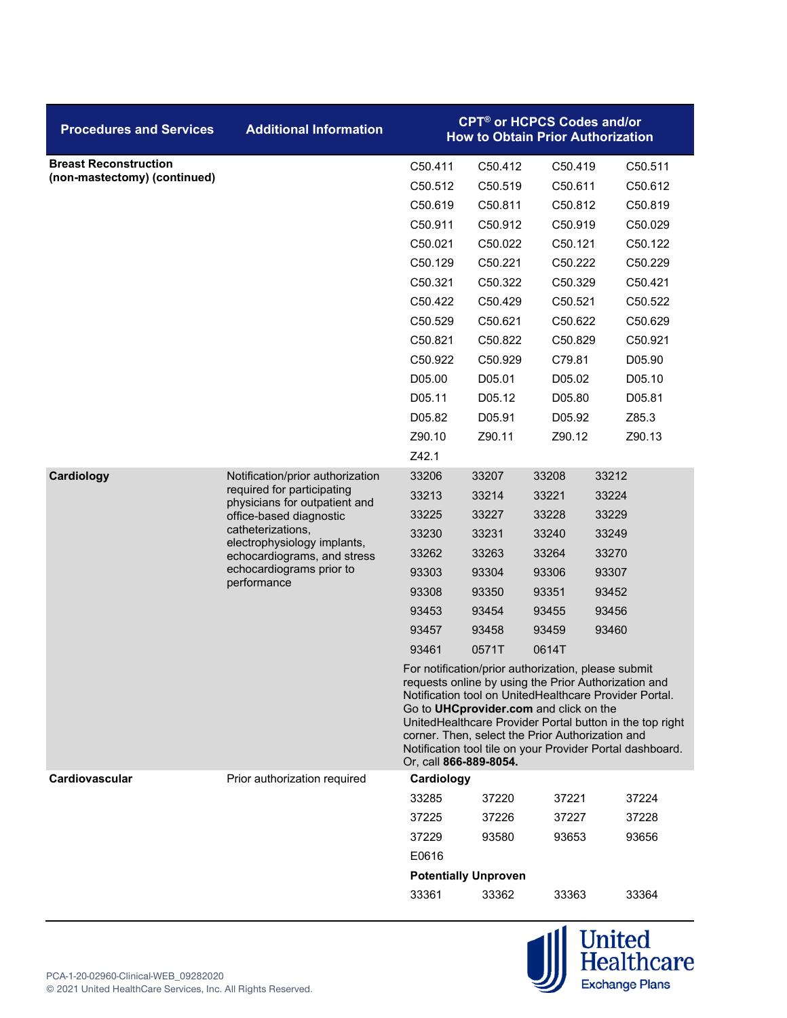| <b>Procedures and Services</b> | <b>Additional Information</b>                                                                                                                                             |                        | <b>CPT<sup>®</sup> or HCPCS Codes and/or</b>                                               |         | <b>How to Obtain Prior Authorization</b>                                                                                                                                                                                                                                                       |
|--------------------------------|---------------------------------------------------------------------------------------------------------------------------------------------------------------------------|------------------------|--------------------------------------------------------------------------------------------|---------|------------------------------------------------------------------------------------------------------------------------------------------------------------------------------------------------------------------------------------------------------------------------------------------------|
| <b>Breast Reconstruction</b>   |                                                                                                                                                                           | C50.411                | C50.412                                                                                    | C50.419 | C50.511                                                                                                                                                                                                                                                                                        |
| (non-mastectomy) (continued)   |                                                                                                                                                                           | C50.512                | C50.519                                                                                    | C50.611 | C50.612                                                                                                                                                                                                                                                                                        |
|                                |                                                                                                                                                                           | C50.619                | C50.811                                                                                    | C50.812 | C50.819                                                                                                                                                                                                                                                                                        |
|                                |                                                                                                                                                                           | C50.911                | C50.912                                                                                    | C50.919 | C50.029                                                                                                                                                                                                                                                                                        |
|                                |                                                                                                                                                                           | C50.021                | C50.022                                                                                    | C50.121 | C50.122                                                                                                                                                                                                                                                                                        |
|                                |                                                                                                                                                                           | C50.129                | C50.221                                                                                    | C50.222 | C50.229                                                                                                                                                                                                                                                                                        |
|                                |                                                                                                                                                                           | C50.321                | C50.322                                                                                    | C50.329 | C50.421                                                                                                                                                                                                                                                                                        |
|                                |                                                                                                                                                                           | C50.422                | C50.429                                                                                    | C50.521 | C50.522                                                                                                                                                                                                                                                                                        |
|                                |                                                                                                                                                                           | C50.529                | C50.621                                                                                    | C50.622 | C50.629                                                                                                                                                                                                                                                                                        |
|                                |                                                                                                                                                                           | C50.821                | C50.822                                                                                    | C50.829 | C50.921                                                                                                                                                                                                                                                                                        |
|                                |                                                                                                                                                                           | C50.922                | C50.929                                                                                    | C79.81  | D05.90                                                                                                                                                                                                                                                                                         |
|                                |                                                                                                                                                                           | D05.00                 | D05.01                                                                                     | D05.02  | D05.10                                                                                                                                                                                                                                                                                         |
|                                |                                                                                                                                                                           | D05.11                 | D05.12                                                                                     | D05.80  | D05.81                                                                                                                                                                                                                                                                                         |
|                                |                                                                                                                                                                           | D05.82                 | D05.91                                                                                     | D05.92  | Z85.3                                                                                                                                                                                                                                                                                          |
|                                |                                                                                                                                                                           | Z90.10                 | Z90.11                                                                                     | Z90.12  | Z90.13                                                                                                                                                                                                                                                                                         |
|                                |                                                                                                                                                                           | Z42.1                  |                                                                                            |         |                                                                                                                                                                                                                                                                                                |
| Cardiology                     | Notification/prior authorization                                                                                                                                          | 33206                  | 33207                                                                                      | 33208   | 33212                                                                                                                                                                                                                                                                                          |
|                                | required for participating<br>physicians for outpatient and<br>office-based diagnostic<br>catheterizations,<br>electrophysiology implants,<br>echocardiograms, and stress | 33213                  | 33214                                                                                      | 33221   | 33224                                                                                                                                                                                                                                                                                          |
|                                |                                                                                                                                                                           | 33225                  | 33227                                                                                      | 33228   | 33229                                                                                                                                                                                                                                                                                          |
|                                |                                                                                                                                                                           | 33230                  | 33231                                                                                      | 33240   | 33249                                                                                                                                                                                                                                                                                          |
|                                |                                                                                                                                                                           | 33262                  | 33263                                                                                      | 33264   | 33270                                                                                                                                                                                                                                                                                          |
|                                | echocardiograms prior to<br>performance                                                                                                                                   | 93303                  | 93304                                                                                      | 93306   | 93307                                                                                                                                                                                                                                                                                          |
|                                |                                                                                                                                                                           | 93308                  | 93350                                                                                      | 93351   | 93452                                                                                                                                                                                                                                                                                          |
|                                |                                                                                                                                                                           | 93453                  | 93454                                                                                      | 93455   | 93456                                                                                                                                                                                                                                                                                          |
|                                |                                                                                                                                                                           | 93457                  | 93458                                                                                      | 93459   | 93460                                                                                                                                                                                                                                                                                          |
|                                |                                                                                                                                                                           | 93461                  | 0571T                                                                                      | 0614T   |                                                                                                                                                                                                                                                                                                |
|                                |                                                                                                                                                                           | Or, call 866-889-8054. | Go to UHCprovider.com and click on the<br>corner. Then, select the Prior Authorization and |         | For notification/prior authorization, please submit<br>requests online by using the Prior Authorization and<br>Notification tool on UnitedHealthcare Provider Portal.<br>UnitedHealthcare Provider Portal button in the top right<br>Notification tool tile on your Provider Portal dashboard. |
| <b>Cardiovascular</b>          | Prior authorization required                                                                                                                                              | Cardiology             |                                                                                            |         |                                                                                                                                                                                                                                                                                                |
|                                |                                                                                                                                                                           | 33285                  | 37220                                                                                      | 37221   | 37224                                                                                                                                                                                                                                                                                          |
|                                |                                                                                                                                                                           | 37225                  | 37226                                                                                      | 37227   | 37228                                                                                                                                                                                                                                                                                          |
|                                |                                                                                                                                                                           | 37229                  | 93580                                                                                      | 93653   | 93656                                                                                                                                                                                                                                                                                          |
|                                |                                                                                                                                                                           | E0616                  |                                                                                            |         |                                                                                                                                                                                                                                                                                                |
|                                |                                                                                                                                                                           |                        | <b>Potentially Unproven</b>                                                                |         |                                                                                                                                                                                                                                                                                                |
|                                |                                                                                                                                                                           | 33361                  | 33362                                                                                      | 33363   | 33364                                                                                                                                                                                                                                                                                          |

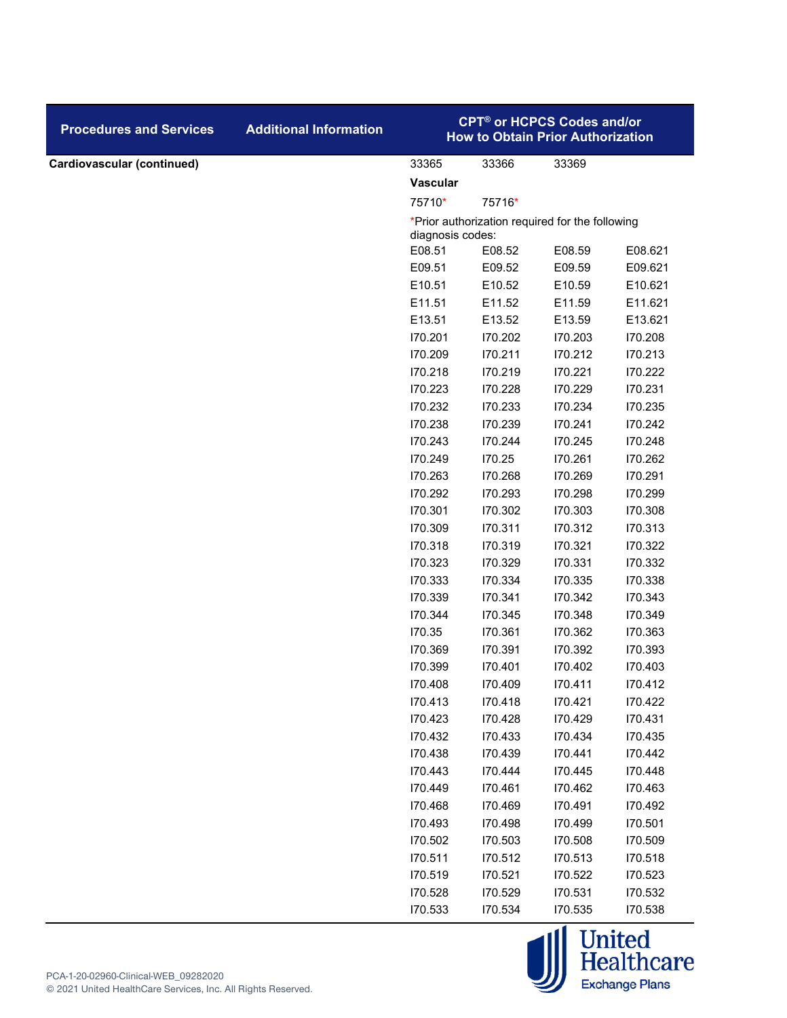| <b>Procedures and Services</b> | <b>Additional Information</b> |                  |         |                                                 | <b>CPT<sup>®</sup> or HCPCS Codes and/or</b><br><b>How to Obtain Prior Authorization</b> |  |  |
|--------------------------------|-------------------------------|------------------|---------|-------------------------------------------------|------------------------------------------------------------------------------------------|--|--|
| Cardiovascular (continued)     |                               | 33365            | 33366   | 33369                                           |                                                                                          |  |  |
|                                |                               | <b>Vascular</b>  |         |                                                 |                                                                                          |  |  |
|                                |                               | 75710*           | 75716*  |                                                 |                                                                                          |  |  |
|                                |                               | diagnosis codes: |         | *Prior authorization required for the following |                                                                                          |  |  |
|                                |                               | E08.51           | E08.52  | E08.59                                          | E08.621                                                                                  |  |  |
|                                |                               | E09.51           | E09.52  | E09.59                                          | E09.621                                                                                  |  |  |
|                                |                               | E10.51           | E10.52  | E10.59                                          | E10.621                                                                                  |  |  |
|                                |                               | E11.51           | E11.52  | E11.59                                          | E11.621                                                                                  |  |  |
|                                |                               | E13.51           | E13.52  | E13.59                                          | E13.621                                                                                  |  |  |
|                                |                               | 170.201          | 170.202 | 170.203                                         | 170.208                                                                                  |  |  |
|                                |                               | 170.209          | 170.211 | 170.212                                         | 170.213                                                                                  |  |  |
|                                |                               | 170.218          | 170.219 | 170.221                                         | 170.222                                                                                  |  |  |
|                                |                               | 170.223          | 170.228 | 170.229                                         | 170.231                                                                                  |  |  |
|                                |                               | 170.232          | 170.233 | 170.234                                         | 170.235                                                                                  |  |  |
|                                |                               | 170.238          | 170.239 | 170.241                                         | 170.242                                                                                  |  |  |
|                                |                               | 170.243          | 170.244 | 170.245                                         | 170.248                                                                                  |  |  |
|                                |                               | 170.249          | 170.25  | 170.261                                         | 170.262                                                                                  |  |  |
|                                |                               | 170.263          | 170.268 | 170.269                                         | 170.291                                                                                  |  |  |
|                                |                               | 170.292          | 170.293 | 170.298                                         | 170.299                                                                                  |  |  |
|                                |                               | 170.301          | 170.302 | 170.303                                         | 170.308                                                                                  |  |  |
|                                |                               | 170.309          | 170.311 | 170.312                                         | 170.313                                                                                  |  |  |
|                                |                               | 170.318          | 170.319 | 170.321                                         | 170.322                                                                                  |  |  |
|                                |                               | 170.323          | 170.329 | 170.331                                         | 170.332                                                                                  |  |  |
|                                |                               | 170.333          | 170.334 | 170.335                                         | 170.338                                                                                  |  |  |
|                                |                               | 170.339          | 170.341 | 170.342                                         | 170.343                                                                                  |  |  |
|                                |                               | 170.344          | 170.345 | 170.348                                         | 170.349                                                                                  |  |  |
|                                |                               | 170.35           | 170.361 | 170.362                                         | 170.363                                                                                  |  |  |
|                                |                               | 170.369          | 170.391 | 170.392                                         | 170.393                                                                                  |  |  |
|                                |                               | 170.399          | 170.401 | 170.402                                         | 170.403                                                                                  |  |  |
|                                |                               | 170.408          | 170.409 | 170.411                                         | 170.412                                                                                  |  |  |
|                                |                               | 170.413          | 170.418 | 170.421                                         | 170.422                                                                                  |  |  |
|                                |                               | 170.423          | 170.428 | 170.429                                         | 170.431                                                                                  |  |  |
|                                |                               | 170.432          | 170.433 | 170.434                                         | 170.435                                                                                  |  |  |
|                                |                               | 170.438          | 170.439 | 170.441                                         | 170.442                                                                                  |  |  |
|                                |                               | 170.443          | 170.444 | 170.445                                         | 170.448                                                                                  |  |  |
|                                |                               | 170.449          | 170.461 | 170.462                                         | 170.463                                                                                  |  |  |
|                                |                               | 170.468          | 170.469 | 170.491                                         | 170.492                                                                                  |  |  |
|                                |                               | 170.493          | 170.498 | 170.499                                         | 170.501                                                                                  |  |  |
|                                |                               | 170.502          | 170.503 | 170.508                                         | 170.509                                                                                  |  |  |
|                                |                               | 170.511          | 170.512 | 170.513                                         | 170.518                                                                                  |  |  |
|                                |                               | 170.519          | 170.521 | 170.522                                         | 170.523                                                                                  |  |  |
|                                |                               | 170.528          | 170.529 | 170.531                                         | 170.532                                                                                  |  |  |
|                                |                               | 170.533          | 170.534 | 170.535                                         | 170.538                                                                                  |  |  |

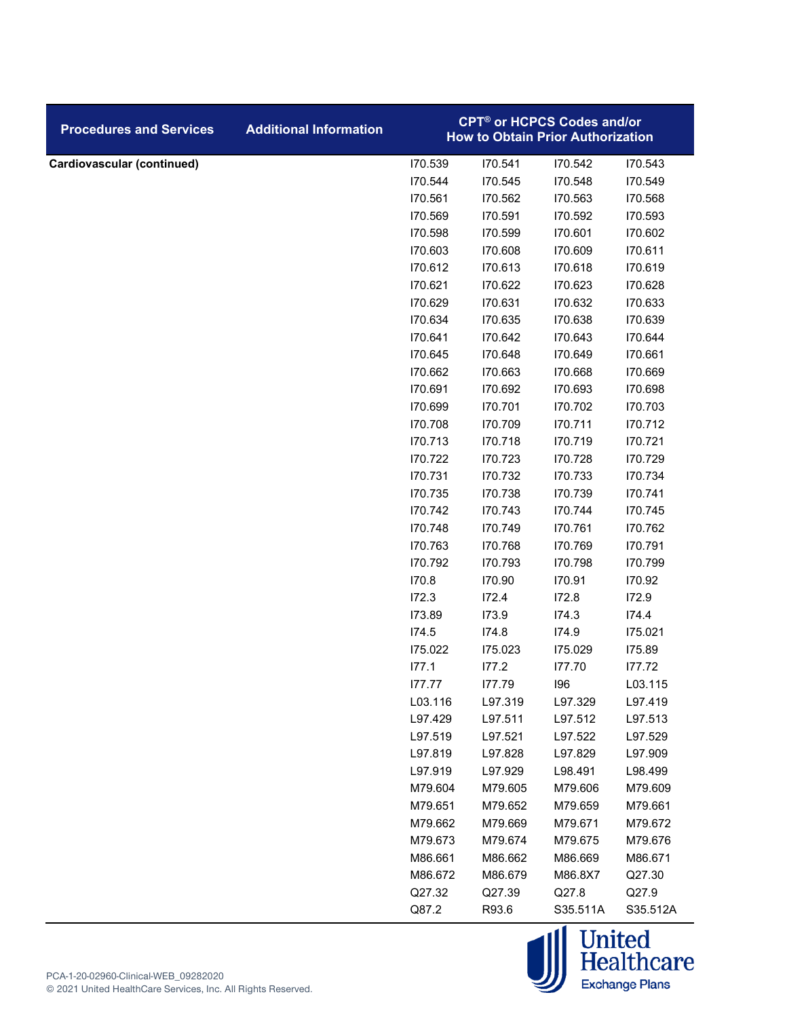| <b>Procedures and Services</b> | <b>Additional Information</b> | <b>CPT<sup>®</sup> or HCPCS Codes and/or</b><br><b>How to Obtain Prior Authorization</b> |         |          |          |  |
|--------------------------------|-------------------------------|------------------------------------------------------------------------------------------|---------|----------|----------|--|
| Cardiovascular (continued)     |                               | 170.539                                                                                  | 170.541 | 170.542  | 170.543  |  |
|                                |                               | 170.544                                                                                  | 170.545 | 170.548  | 170.549  |  |
|                                |                               | 170.561                                                                                  | 170.562 | 170.563  | 170.568  |  |
|                                |                               | 170.569                                                                                  | 170.591 | 170.592  | 170.593  |  |
|                                |                               | 170.598                                                                                  | 170.599 | 170.601  | 170.602  |  |
|                                |                               | 170.603                                                                                  | 170.608 | 170.609  | 170.611  |  |
|                                |                               | 170.612                                                                                  | 170.613 | 170.618  | 170.619  |  |
|                                |                               | 170.621                                                                                  | 170.622 | 170.623  | 170.628  |  |
|                                |                               | 170.629                                                                                  | 170.631 | 170.632  | 170.633  |  |
|                                |                               | 170.634                                                                                  | 170.635 | 170.638  | 170.639  |  |
|                                |                               | 170.641                                                                                  | 170.642 | 170.643  | 170.644  |  |
|                                |                               | 170.645                                                                                  | 170.648 | 170.649  | 170.661  |  |
|                                |                               | 170.662                                                                                  | 170.663 | 170.668  | 170.669  |  |
|                                |                               | 170.691                                                                                  | 170.692 | 170.693  | 170.698  |  |
|                                |                               | 170.699                                                                                  | 170.701 | 170.702  | 170.703  |  |
|                                |                               | 170.708                                                                                  | 170.709 | 170.711  | 170.712  |  |
|                                |                               | 170.713                                                                                  | 170.718 | 170.719  | 170.721  |  |
|                                |                               | 170.722                                                                                  | 170.723 | 170.728  | 170.729  |  |
|                                |                               | 170.731                                                                                  | 170.732 | 170.733  | 170.734  |  |
|                                |                               | 170.735                                                                                  | 170.738 | 170.739  | 170.741  |  |
|                                |                               | 170.742                                                                                  | 170.743 | 170.744  | 170.745  |  |
|                                |                               | 170.748                                                                                  | 170.749 | 170.761  | 170.762  |  |
|                                |                               | 170.763                                                                                  | 170.768 | 170.769  | 170.791  |  |
|                                |                               | 170.792                                                                                  | 170.793 | 170.798  | 170.799  |  |
|                                |                               | 170.8                                                                                    | 170.90  | 170.91   | 170.92   |  |
|                                |                               | 172.3                                                                                    | 172.4   | 172.8    | 172.9    |  |
|                                |                               | 173.89                                                                                   | 173.9   | 174.3    | 174.4    |  |
|                                |                               | 174.5                                                                                    | 174.8   | 174.9    | 175.021  |  |
|                                |                               | 175.022                                                                                  | 175.023 | 175.029  | 175.89   |  |
|                                |                               | 177.1                                                                                    | 177.2   | 177.70   | 177.72   |  |
|                                |                               | 177.77                                                                                   | 177.79  | 196      | L03.115  |  |
|                                |                               | L03.116                                                                                  | L97.319 | L97.329  | L97.419  |  |
|                                |                               | L97.429                                                                                  | L97.511 | L97.512  | L97.513  |  |
|                                |                               | L97.519                                                                                  | L97.521 | L97.522  | L97.529  |  |
|                                |                               | L97.819                                                                                  | L97.828 | L97.829  | L97.909  |  |
|                                |                               | L97.919                                                                                  | L97.929 | L98.491  | L98.499  |  |
|                                |                               | M79.604                                                                                  | M79.605 | M79.606  | M79.609  |  |
|                                |                               | M79.651                                                                                  | M79.652 | M79.659  | M79.661  |  |
|                                |                               | M79.662                                                                                  | M79.669 | M79.671  | M79.672  |  |
|                                |                               | M79.673                                                                                  | M79.674 | M79.675  | M79.676  |  |
|                                |                               | M86.661                                                                                  | M86.662 | M86.669  | M86.671  |  |
|                                |                               | M86.672                                                                                  | M86.679 | M86.8X7  | Q27.30   |  |
|                                |                               | Q27.32                                                                                   | Q27.39  | Q27.8    | Q27.9    |  |
|                                |                               | Q87.2                                                                                    | R93.6   | S35.511A | S35.512A |  |

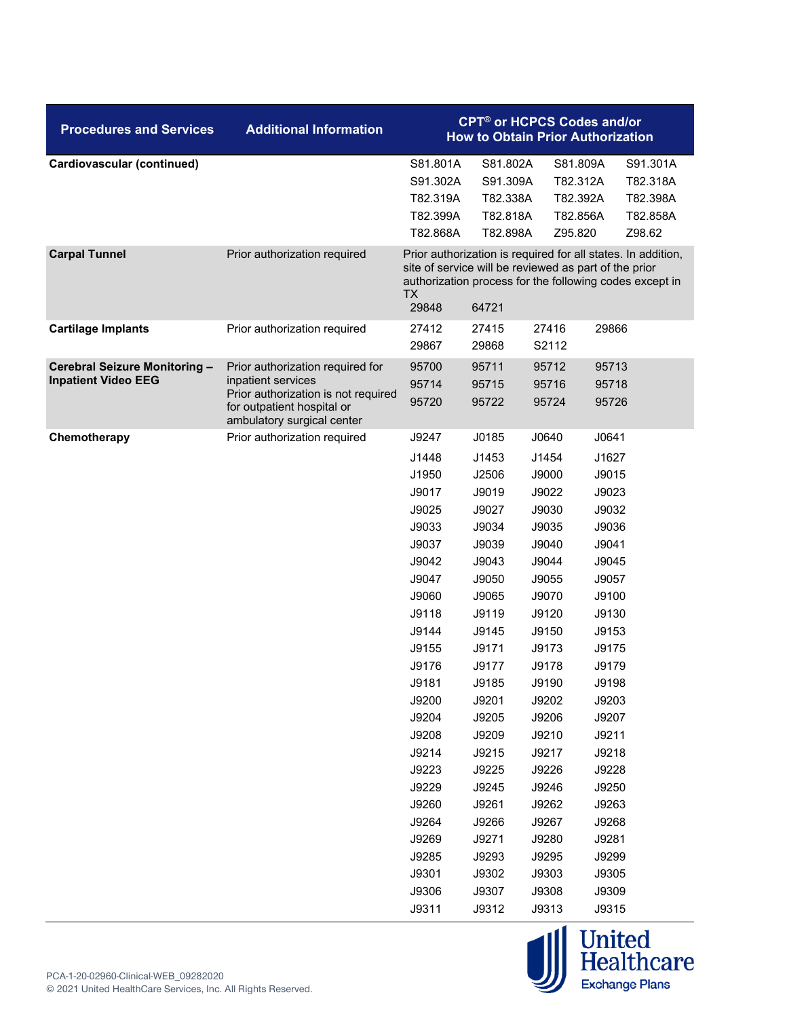| <b>Procedures and Services</b>    | <b>Additional Information</b>                            | <b>CPT<sup>®</sup> or HCPCS Codes and/or</b><br><b>How to Obtain Prior Authorization</b> |                                                                |                |                                                                                                                         |  |
|-----------------------------------|----------------------------------------------------------|------------------------------------------------------------------------------------------|----------------------------------------------------------------|----------------|-------------------------------------------------------------------------------------------------------------------------|--|
| <b>Cardiovascular (continued)</b> |                                                          | S81.801A                                                                                 | S81.802A                                                       | S81.809A       | S91.301A                                                                                                                |  |
|                                   |                                                          | S91.302A                                                                                 | S91.309A                                                       | T82.312A       | T82.318A                                                                                                                |  |
|                                   |                                                          | T82.319A                                                                                 | T82.338A                                                       | T82.392A       | T82.398A                                                                                                                |  |
|                                   |                                                          | T82.399A                                                                                 | T82.818A                                                       | T82.856A       | T82.858A                                                                                                                |  |
|                                   |                                                          | T82.868A                                                                                 | T82.898A                                                       | Z95.820        | Z98.62                                                                                                                  |  |
| <b>Carpal Tunnel</b>              | Prior authorization required                             | ТX<br>29848                                                                              | site of service will be reviewed as part of the prior<br>64721 |                | Prior authorization is required for all states. In addition,<br>authorization process for the following codes except in |  |
| <b>Cartilage Implants</b>         | Prior authorization required                             | 27412<br>29867                                                                           | 27415<br>29868                                                 | 27416<br>S2112 | 29866                                                                                                                   |  |
| Cerebral Seizure Monitoring -     | Prior authorization required for                         | 95700                                                                                    | 95711                                                          | 95712          | 95713                                                                                                                   |  |
| <b>Inpatient Video EEG</b>        | inpatient services                                       | 95714                                                                                    | 95715                                                          | 95716          | 95718                                                                                                                   |  |
|                                   | Prior authorization is not required                      | 95720                                                                                    | 95722                                                          | 95724          | 95726                                                                                                                   |  |
|                                   | for outpatient hospital or<br>ambulatory surgical center |                                                                                          |                                                                |                |                                                                                                                         |  |
| Chemotherapy                      | Prior authorization required                             | J9247                                                                                    | J0185                                                          | J0640          | J0641                                                                                                                   |  |
|                                   |                                                          | J1448                                                                                    | J1453                                                          | J1454          | J1627                                                                                                                   |  |
|                                   |                                                          | J1950                                                                                    | J2506                                                          | J9000          | J9015                                                                                                                   |  |
|                                   |                                                          | J9017                                                                                    | J9019                                                          | J9022          | J9023                                                                                                                   |  |
|                                   |                                                          | J9025                                                                                    | J9027                                                          | J9030          | J9032                                                                                                                   |  |
|                                   |                                                          | J9033                                                                                    | J9034                                                          | J9035          | J9036                                                                                                                   |  |
|                                   |                                                          | J9037                                                                                    | J9039                                                          | J9040          | J9041                                                                                                                   |  |
|                                   |                                                          | J9042                                                                                    | J9043                                                          | J9044          | J9045                                                                                                                   |  |
|                                   |                                                          | J9047                                                                                    | J9050                                                          | J9055          | J9057                                                                                                                   |  |
|                                   |                                                          | J9060                                                                                    | J9065                                                          | J9070          | J9100                                                                                                                   |  |
|                                   |                                                          | J9118                                                                                    | J9119                                                          | J9120          | J9130                                                                                                                   |  |
|                                   |                                                          | J9144                                                                                    | J9145                                                          | J9150          | J9153                                                                                                                   |  |
|                                   |                                                          | J9155                                                                                    | J9171                                                          | J9173          | J9175                                                                                                                   |  |
|                                   |                                                          | J9176                                                                                    | J9177                                                          | J9178          | J9179                                                                                                                   |  |
|                                   |                                                          | J9181                                                                                    | J9185                                                          | J9190          | J9198                                                                                                                   |  |
|                                   |                                                          | J9200                                                                                    | J9201                                                          | J9202          | J9203                                                                                                                   |  |
|                                   |                                                          | J9204                                                                                    | J9205                                                          | J9206          | J9207                                                                                                                   |  |
|                                   |                                                          | J9208                                                                                    | J9209                                                          | J9210          | J9211                                                                                                                   |  |
|                                   |                                                          | J9214                                                                                    | J9215                                                          | J9217          | J9218                                                                                                                   |  |
|                                   |                                                          | J9223                                                                                    | J9225                                                          | J9226          | J9228                                                                                                                   |  |
|                                   |                                                          | J9229<br>J9260                                                                           | J9245<br>J9261                                                 | J9246<br>J9262 | J9250<br>J9263                                                                                                          |  |
|                                   |                                                          | J9264                                                                                    | J9266                                                          | J9267          | J9268                                                                                                                   |  |
|                                   |                                                          | J9269                                                                                    | J9271                                                          | J9280          | J9281                                                                                                                   |  |
|                                   |                                                          | J9285                                                                                    | J9293                                                          | J9295          | J9299                                                                                                                   |  |
|                                   |                                                          | J9301                                                                                    | J9302                                                          | J9303          | J9305                                                                                                                   |  |
|                                   |                                                          | J9306                                                                                    | J9307                                                          | J9308          | J9309                                                                                                                   |  |
|                                   |                                                          | J9311                                                                                    | J9312                                                          | J9313          | J9315                                                                                                                   |  |

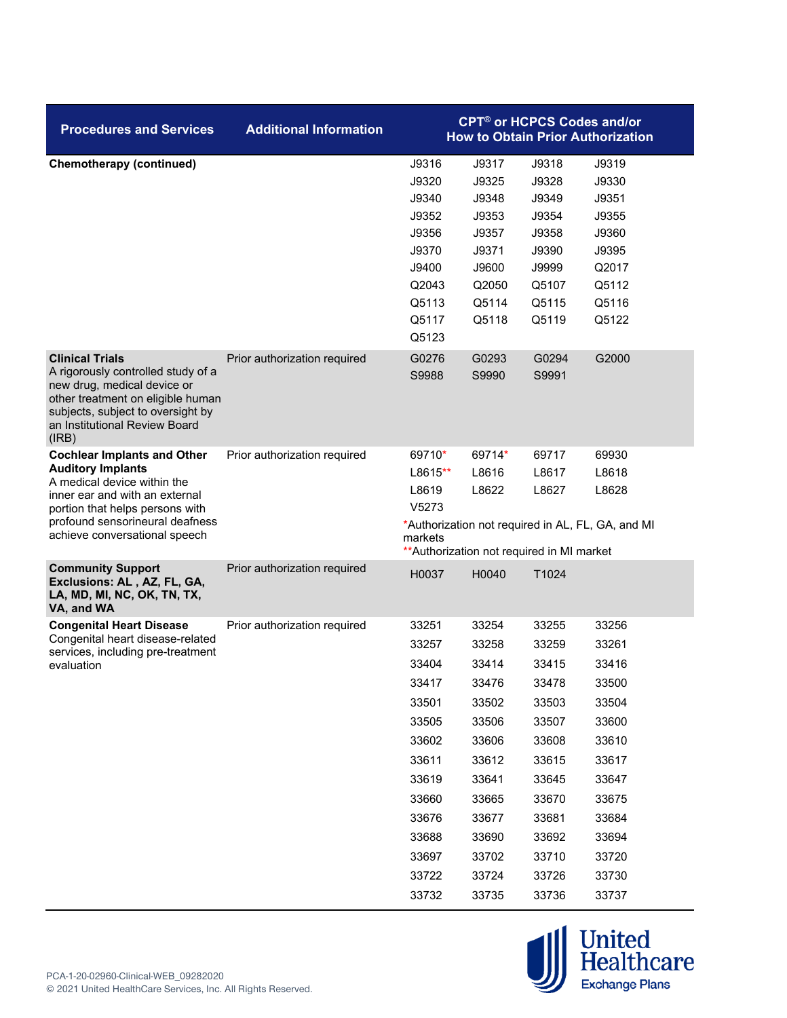| <b>Additional Information</b> | <b>CPT<sup>®</sup> or HCPCS Codes and/or</b><br><b>How to Obtain Prior Authorization</b>                                   |                                                                                                                            |                                                                                                                            |                                                                                                                                     |  |
|-------------------------------|----------------------------------------------------------------------------------------------------------------------------|----------------------------------------------------------------------------------------------------------------------------|----------------------------------------------------------------------------------------------------------------------------|-------------------------------------------------------------------------------------------------------------------------------------|--|
|                               | J9316<br>J9320<br>J9340<br>J9352<br>J9356<br>J9370<br>J9400<br>Q2043<br>Q5113<br>Q5117<br>Q5123                            | J9317<br>J9325<br>J9348<br>J9353<br>J9357<br>J9371<br>J9600<br>Q2050<br>Q5114<br>Q5118                                     | J9318<br>J9328<br>J9349<br>J9354<br>J9358<br>J9390<br>J9999<br>Q5107<br>Q5115<br>Q5119                                     | J9319<br>J9330<br>J9351<br>J9355<br>J9360<br>J9395<br>Q2017<br>Q5112<br>Q5116<br>Q5122                                              |  |
| Prior authorization required  | G0276<br>S9988                                                                                                             | G0293<br>S9990                                                                                                             | G0294<br>S9991                                                                                                             | G2000                                                                                                                               |  |
| Prior authorization required  | 69710*<br>$L8615**$<br>L8619<br>V5273<br>markets                                                                           | 69714*<br>L8616<br>L8622                                                                                                   | 69717<br>L8617<br>L8627                                                                                                    | 69930<br>L8618<br>L8628                                                                                                             |  |
| Prior authorization required  | H0037                                                                                                                      | H0040                                                                                                                      | T1024                                                                                                                      |                                                                                                                                     |  |
| Prior authorization required  | 33251<br>33257<br>33404<br>33417<br>33501<br>33505<br>33602<br>33611<br>33619<br>33660<br>33676<br>33688<br>33697<br>33722 | 33254<br>33258<br>33414<br>33476<br>33502<br>33506<br>33606<br>33612<br>33641<br>33665<br>33677<br>33690<br>33702<br>33724 | 33255<br>33259<br>33415<br>33478<br>33503<br>33507<br>33608<br>33615<br>33645<br>33670<br>33681<br>33692<br>33710<br>33726 | 33256<br>33261<br>33416<br>33500<br>33504<br>33600<br>33610<br>33617<br>33647<br>33675<br>33684<br>33694<br>33720<br>33730<br>33737 |  |
|                               |                                                                                                                            | 33732                                                                                                                      | 33735                                                                                                                      | *Authorization not required in AL, FL, GA, and MI<br>** Authorization not required in MI market<br>33736                            |  |

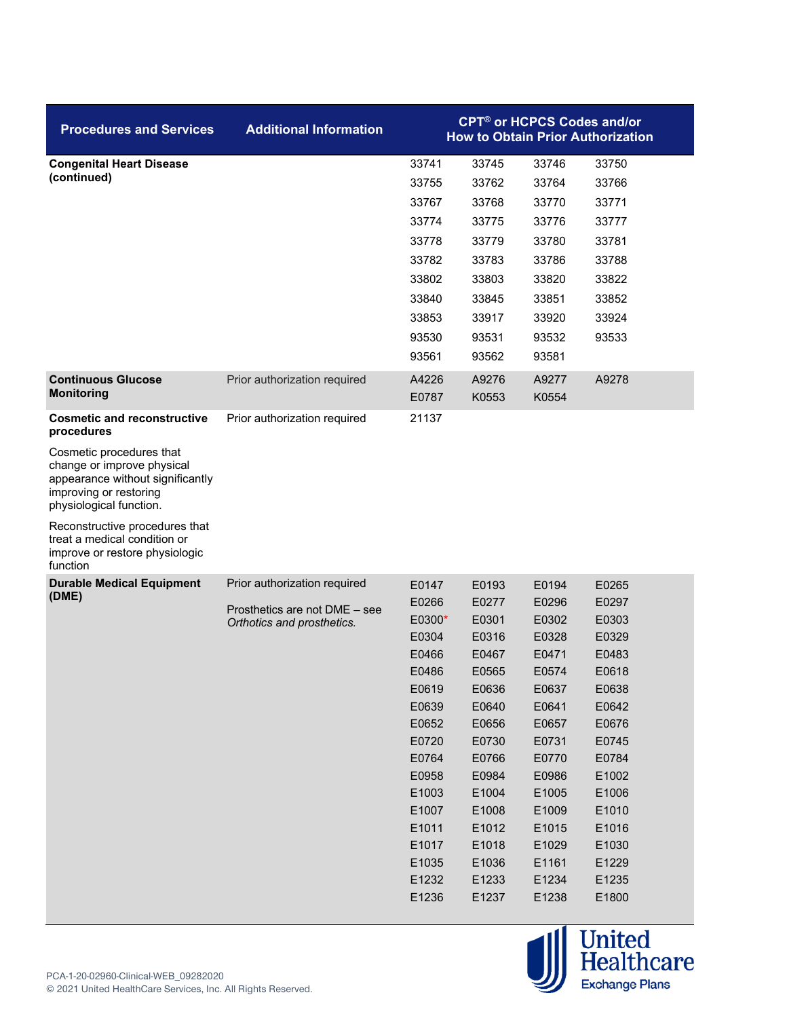| <b>Procedures and Services</b>                                                                                                                  | <b>Additional Information</b> |                | <b>CPT<sup>®</sup> or HCPCS Codes and/or</b> |                | <b>How to Obtain Prior Authorization</b> |
|-------------------------------------------------------------------------------------------------------------------------------------------------|-------------------------------|----------------|----------------------------------------------|----------------|------------------------------------------|
| <b>Congenital Heart Disease</b>                                                                                                                 |                               | 33741          | 33745                                        | 33746          | 33750                                    |
| (continued)                                                                                                                                     |                               | 33755          | 33762                                        | 33764          | 33766                                    |
|                                                                                                                                                 |                               | 33767          | 33768                                        | 33770          | 33771                                    |
|                                                                                                                                                 |                               | 33774          | 33775                                        | 33776          | 33777                                    |
|                                                                                                                                                 |                               | 33778          | 33779                                        | 33780          | 33781                                    |
|                                                                                                                                                 |                               | 33782          | 33783                                        | 33786          | 33788                                    |
|                                                                                                                                                 |                               | 33802          | 33803                                        | 33820          | 33822                                    |
|                                                                                                                                                 |                               | 33840          | 33845                                        | 33851          | 33852                                    |
|                                                                                                                                                 |                               | 33853          | 33917                                        | 33920          | 33924                                    |
|                                                                                                                                                 |                               | 93530          | 93531                                        | 93532          | 93533                                    |
|                                                                                                                                                 |                               | 93561          | 93562                                        | 93581          |                                          |
| <b>Continuous Glucose</b><br><b>Monitoring</b>                                                                                                  | Prior authorization required  | A4226<br>E0787 | A9276<br>K0553                               | A9277<br>K0554 | A9278                                    |
| <b>Cosmetic and reconstructive</b><br>procedures                                                                                                | Prior authorization required  | 21137          |                                              |                |                                          |
| Cosmetic procedures that<br>change or improve physical<br>appearance without significantly<br>improving or restoring<br>physiological function. |                               |                |                                              |                |                                          |
| Reconstructive procedures that<br>treat a medical condition or<br>improve or restore physiologic<br>function                                    |                               |                |                                              |                |                                          |
| <b>Durable Medical Equipment</b>                                                                                                                | Prior authorization required  | E0147          | E0193                                        | E0194          | E0265                                    |
| (DME)                                                                                                                                           | Prosthetics are not DME - see | E0266          | E0277                                        | E0296          | E0297                                    |
|                                                                                                                                                 | Orthotics and prosthetics.    | E0300*         | E0301                                        | E0302          | E0303                                    |
|                                                                                                                                                 |                               | E0304          | E0316                                        | E0328          | E0329                                    |
|                                                                                                                                                 |                               | E0466          | E0467                                        | E0471          | E0483                                    |
|                                                                                                                                                 |                               | E0486          | E0565                                        | E0574          | E0618                                    |
|                                                                                                                                                 |                               | E0619          | E0636                                        | E0637          | E0638                                    |
|                                                                                                                                                 |                               | E0639          | E0640                                        | E0641          | E0642                                    |
|                                                                                                                                                 |                               | E0652          | E0656                                        | E0657          | E0676                                    |
|                                                                                                                                                 |                               | E0720          | E0730                                        | E0731          | E0745                                    |
|                                                                                                                                                 |                               | E0764          | E0766                                        | E0770          | E0784                                    |
|                                                                                                                                                 |                               | E0958          | E0984                                        | E0986          | E1002                                    |
|                                                                                                                                                 |                               | E1003          | E1004                                        | E1005          | E1006                                    |
|                                                                                                                                                 |                               | E1007<br>E1011 | E1008<br>E1012                               | E1009          | E1010                                    |
|                                                                                                                                                 |                               | E1017          | E1018                                        | E1015<br>E1029 | E1016<br>E1030                           |
|                                                                                                                                                 |                               | E1035          | E1036                                        | E1161          | E1229                                    |
|                                                                                                                                                 |                               | E1232          | E1233                                        | E1234          | E1235                                    |
|                                                                                                                                                 |                               | E1236          | E1237                                        | E1238          | E1800                                    |
|                                                                                                                                                 |                               |                |                                              |                |                                          |

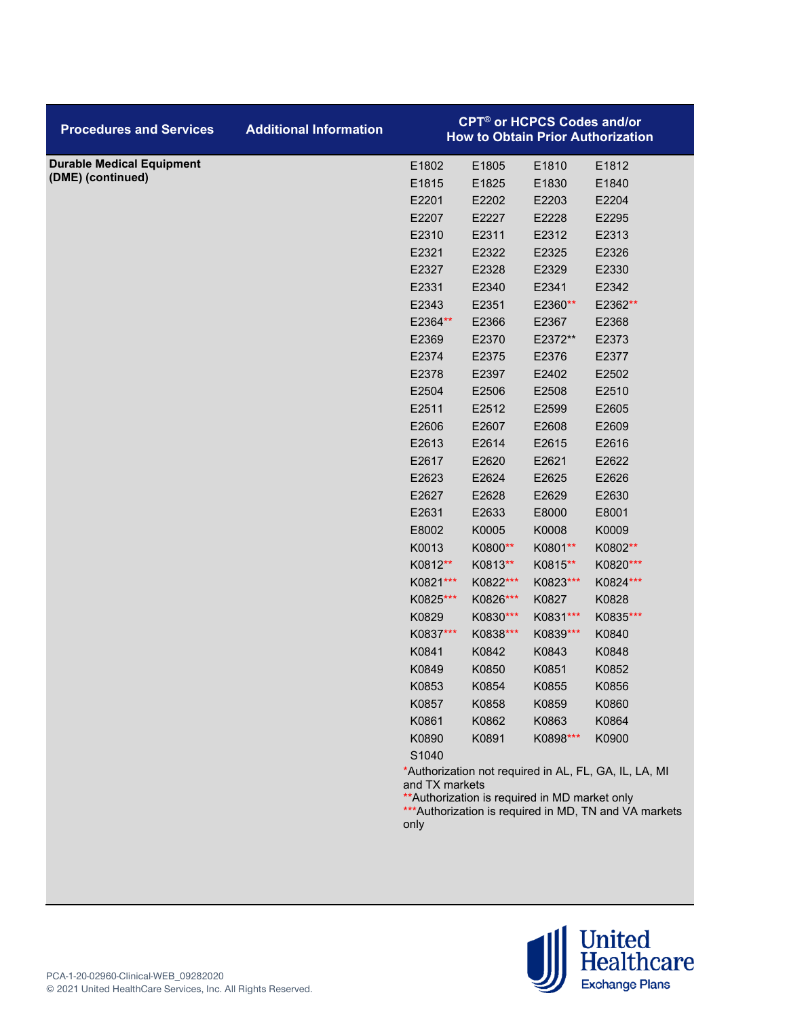| <b>Procedures and Services</b>   | <b>Additional Information</b> |                                                                                   |          | <b>CPT<sup>®</sup> or HCPCS Codes and/or</b> | <b>How to Obtain Prior Authorization</b>                                                                        |
|----------------------------------|-------------------------------|-----------------------------------------------------------------------------------|----------|----------------------------------------------|-----------------------------------------------------------------------------------------------------------------|
| <b>Durable Medical Equipment</b> |                               | E1802                                                                             | E1805    | E1810                                        | E1812                                                                                                           |
| (DME) (continued)                |                               | E1815                                                                             | E1825    | E1830                                        | E1840                                                                                                           |
|                                  |                               | E2201                                                                             | E2202    | E2203                                        | E2204                                                                                                           |
|                                  |                               | E2207                                                                             | E2227    | E2228                                        | E2295                                                                                                           |
|                                  |                               | E2310                                                                             | E2311    | E2312                                        | E2313                                                                                                           |
|                                  |                               | E2321                                                                             | E2322    | E2325                                        | E2326                                                                                                           |
|                                  |                               | E2327                                                                             | E2328    | E2329                                        | E2330                                                                                                           |
|                                  |                               | E2331                                                                             | E2340    | E2341                                        | E2342                                                                                                           |
|                                  |                               | E2343                                                                             | E2351    | E2360**                                      | E2362**                                                                                                         |
|                                  |                               | E2364**                                                                           | E2366    | E2367                                        | E2368                                                                                                           |
|                                  |                               | E2369                                                                             | E2370    | E2372**                                      | E2373                                                                                                           |
|                                  |                               | E2374                                                                             | E2375    | E2376                                        | E2377                                                                                                           |
|                                  |                               | E2378                                                                             | E2397    | E2402                                        | E2502                                                                                                           |
|                                  |                               | E2504                                                                             | E2506    | E2508                                        | E2510                                                                                                           |
|                                  |                               | E2511                                                                             | E2512    | E2599                                        | E2605                                                                                                           |
|                                  |                               | E2606                                                                             | E2607    | E2608                                        | E2609                                                                                                           |
|                                  |                               | E2613                                                                             | E2614    | E2615                                        | E2616                                                                                                           |
|                                  |                               | E2617                                                                             | E2620    | E2621                                        | E2622                                                                                                           |
|                                  |                               | E2623                                                                             | E2624    | E2625                                        | E2626                                                                                                           |
|                                  |                               | E2627                                                                             | E2628    | E2629                                        | E2630                                                                                                           |
|                                  |                               | E2631                                                                             | E2633    | E8000                                        | E8001                                                                                                           |
|                                  |                               | E8002                                                                             | K0005    | K0008                                        | K0009                                                                                                           |
|                                  |                               | K0013                                                                             | K0800**  | K0801**                                      | K0802**                                                                                                         |
|                                  |                               | K0812**                                                                           | K0813**  | K0815**                                      | K0820***                                                                                                        |
|                                  |                               | K0821***                                                                          | K0822*** | K0823***                                     | K0824***                                                                                                        |
|                                  |                               | K0825***                                                                          | K0826*** | K0827                                        | K0828                                                                                                           |
|                                  |                               | K0829                                                                             | K0830*** | K0831***                                     | K0835***                                                                                                        |
|                                  |                               | K0837***                                                                          | K0838*** | K0839***                                     | K0840                                                                                                           |
|                                  |                               | K0841                                                                             | K0842    | K0843                                        | K0848                                                                                                           |
|                                  |                               | K0849                                                                             | K0850    | K0851                                        | K0852                                                                                                           |
|                                  |                               | K0853                                                                             | K0854    | K0855                                        | K0856                                                                                                           |
|                                  |                               | K0857                                                                             | K0858    | K0859                                        | K0860                                                                                                           |
|                                  |                               | K0861                                                                             | K0862    | K0863                                        | K0864                                                                                                           |
|                                  |                               | K0890                                                                             | K0891    | K0898***                                     | K0900                                                                                                           |
|                                  |                               | S1040<br>and TX markets<br>** Authorization is required in MD market only<br>only |          |                                              | *Authorization not required in AL, FL, GA, IL, LA, MI<br>*** Authorization is required in MD, TN and VA markets |

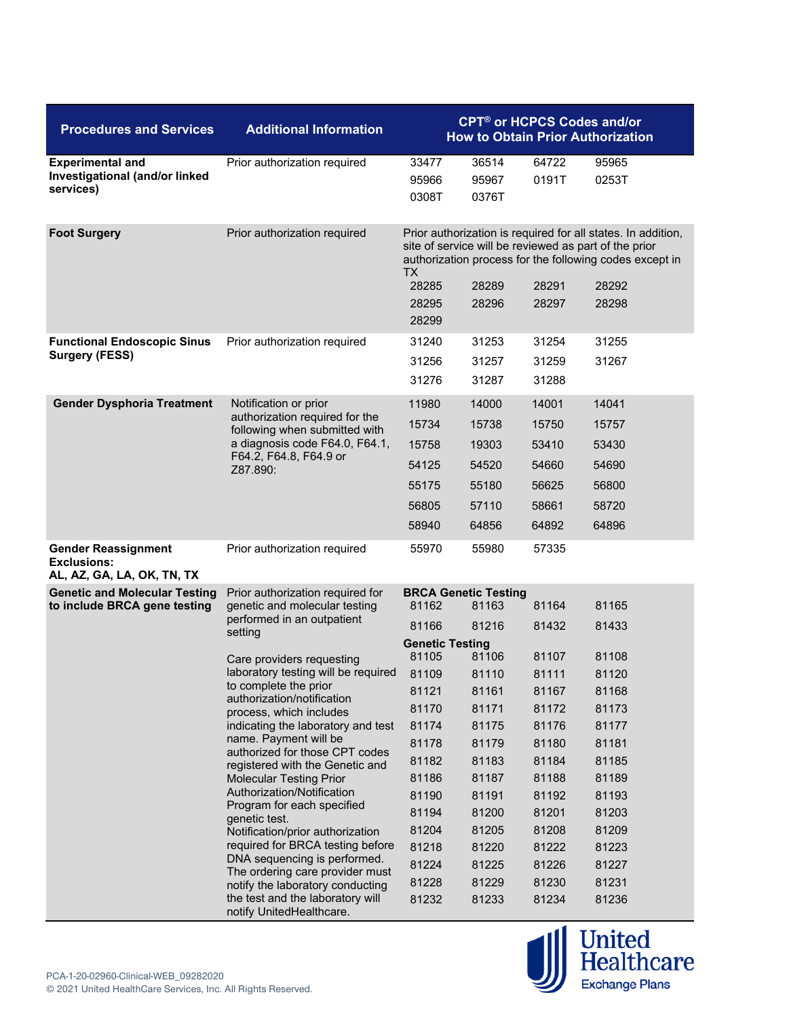| <b>Procedures and Services</b>                                                 | <b>Additional Information</b>                                                                                                                                                                                                                                                                                                                                                                                                                                                                                                                                                                                                                                                                                                                                      | <b>CPT<sup>®</sup> or HCPCS Codes and/or</b><br><b>How to Obtain Prior Authorization</b>                                                                                        |                                                                                                                                                                                      |                                                                                                                                                       |                                                                                                                                                                                                    |  |
|--------------------------------------------------------------------------------|--------------------------------------------------------------------------------------------------------------------------------------------------------------------------------------------------------------------------------------------------------------------------------------------------------------------------------------------------------------------------------------------------------------------------------------------------------------------------------------------------------------------------------------------------------------------------------------------------------------------------------------------------------------------------------------------------------------------------------------------------------------------|---------------------------------------------------------------------------------------------------------------------------------------------------------------------------------|--------------------------------------------------------------------------------------------------------------------------------------------------------------------------------------|-------------------------------------------------------------------------------------------------------------------------------------------------------|----------------------------------------------------------------------------------------------------------------------------------------------------------------------------------------------------|--|
| <b>Experimental and</b><br>Investigational (and/or linked<br>services)         | Prior authorization required                                                                                                                                                                                                                                                                                                                                                                                                                                                                                                                                                                                                                                                                                                                                       | 33477<br>95966<br>0308T                                                                                                                                                         | 36514<br>95967<br>0376T                                                                                                                                                              | 64722<br>0191T                                                                                                                                        | 95965<br>0253T                                                                                                                                                                                     |  |
| <b>Foot Surgery</b>                                                            | Prior authorization required                                                                                                                                                                                                                                                                                                                                                                                                                                                                                                                                                                                                                                                                                                                                       | TX.<br>28285<br>28295<br>28299                                                                                                                                                  | 28289<br>28296                                                                                                                                                                       | 28291<br>28297                                                                                                                                        | Prior authorization is required for all states. In addition,<br>site of service will be reviewed as part of the prior<br>authorization process for the following codes except in<br>28292<br>28298 |  |
| <b>Functional Endoscopic Sinus</b><br><b>Surgery (FESS)</b>                    | Prior authorization required                                                                                                                                                                                                                                                                                                                                                                                                                                                                                                                                                                                                                                                                                                                                       | 31240<br>31256<br>31276                                                                                                                                                         | 31253<br>31257<br>31287                                                                                                                                                              | 31254<br>31259<br>31288                                                                                                                               | 31255<br>31267                                                                                                                                                                                     |  |
| <b>Gender Dysphoria Treatment</b>                                              | Notification or prior<br>authorization required for the<br>following when submitted with<br>a diagnosis code F64.0, F64.1,<br>F64.2, F64.8, F64.9 or<br>Z87.890:                                                                                                                                                                                                                                                                                                                                                                                                                                                                                                                                                                                                   | 11980<br>15734<br>15758<br>54125<br>55175<br>56805<br>58940                                                                                                                     | 14000<br>15738<br>19303<br>54520<br>55180<br>57110<br>64856                                                                                                                          | 14001<br>15750<br>53410<br>54660<br>56625<br>58661<br>64892                                                                                           | 14041<br>15757<br>53430<br>54690<br>56800<br>58720<br>64896                                                                                                                                        |  |
| <b>Gender Reassignment</b><br><b>Exclusions:</b><br>AL, AZ, GA, LA, OK, TN, TX | Prior authorization required                                                                                                                                                                                                                                                                                                                                                                                                                                                                                                                                                                                                                                                                                                                                       | 55970                                                                                                                                                                           | 55980                                                                                                                                                                                | 57335                                                                                                                                                 |                                                                                                                                                                                                    |  |
| <b>Genetic and Molecular Testing</b><br>to include BRCA gene testing           | Prior authorization required for<br>genetic and molecular testing<br>performed in an outpatient<br>setting<br>Care providers requesting<br>laboratory testing will be required<br>to complete the prior<br>authorization/notification<br>process, which includes<br>indicating the laboratory and test<br>name. Payment will be<br>authorized for those CPT codes<br>registered with the Genetic and<br><b>Molecular Testing Prior</b><br>Authorization/Notification<br>Program for each specified<br>genetic test.<br>Notification/prior authorization<br>required for BRCA testing before<br>DNA sequencing is performed.<br>The ordering care provider must<br>notify the laboratory conducting<br>the test and the laboratory will<br>notify UnitedHealthcare. | 81162<br>81166<br><b>Genetic Testing</b><br>81105<br>81109<br>81121<br>81170<br>81174<br>81178<br>81182<br>81186<br>81190<br>81194<br>81204<br>81218<br>81224<br>81228<br>81232 | <b>BRCA Genetic Testing</b><br>81163<br>81216<br>81106<br>81110<br>81161<br>81171<br>81175<br>81179<br>81183<br>81187<br>81191<br>81200<br>81205<br>81220<br>81225<br>81229<br>81233 | 81164<br>81432<br>81107<br>81111<br>81167<br>81172<br>81176<br>81180<br>81184<br>81188<br>81192<br>81201<br>81208<br>81222<br>81226<br>81230<br>81234 | 81165<br>81433<br>81108<br>81120<br>81168<br>81173<br>81177<br>81181<br>81185<br>81189<br>81193<br>81203<br>81209<br>81223<br>81227<br>81231<br>81236                                              |  |

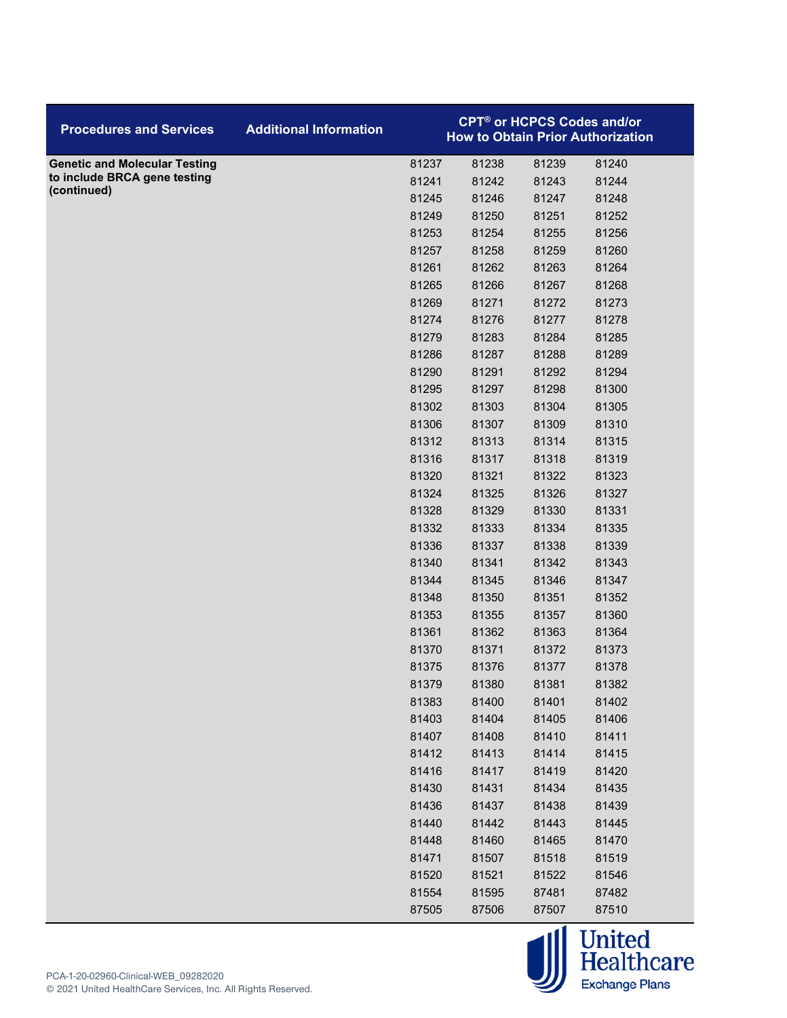| <b>Procedures and Services</b>       | <b>Additional Information</b> |       | <b>CPT<sup>®</sup> or HCPCS Codes and/or</b> |       | <b>How to Obtain Prior Authorization</b> |  |
|--------------------------------------|-------------------------------|-------|----------------------------------------------|-------|------------------------------------------|--|
| <b>Genetic and Molecular Testing</b> |                               | 81237 | 81238                                        | 81239 | 81240                                    |  |
| to include BRCA gene testing         |                               | 81241 | 81242                                        | 81243 | 81244                                    |  |
| (continued)                          |                               | 81245 | 81246                                        | 81247 | 81248                                    |  |
|                                      |                               | 81249 | 81250                                        | 81251 | 81252                                    |  |
|                                      |                               | 81253 | 81254                                        | 81255 | 81256                                    |  |
|                                      |                               | 81257 | 81258                                        | 81259 | 81260                                    |  |
|                                      |                               | 81261 | 81262                                        | 81263 | 81264                                    |  |
|                                      |                               | 81265 | 81266                                        | 81267 | 81268                                    |  |
|                                      |                               | 81269 | 81271                                        | 81272 | 81273                                    |  |
|                                      |                               | 81274 | 81276                                        | 81277 | 81278                                    |  |
|                                      |                               | 81279 | 81283                                        | 81284 | 81285                                    |  |
|                                      |                               | 81286 | 81287                                        | 81288 | 81289                                    |  |
|                                      |                               | 81290 | 81291                                        | 81292 | 81294                                    |  |
|                                      |                               | 81295 | 81297                                        | 81298 | 81300                                    |  |
|                                      |                               | 81302 | 81303                                        | 81304 | 81305                                    |  |
|                                      |                               | 81306 | 81307                                        | 81309 | 81310                                    |  |
|                                      |                               | 81312 | 81313                                        | 81314 | 81315                                    |  |
|                                      |                               | 81316 | 81317                                        | 81318 | 81319                                    |  |
|                                      |                               | 81320 | 81321                                        | 81322 | 81323                                    |  |
|                                      |                               | 81324 | 81325                                        | 81326 | 81327                                    |  |
|                                      |                               | 81328 | 81329                                        | 81330 | 81331                                    |  |
|                                      |                               | 81332 | 81333                                        | 81334 | 81335                                    |  |
|                                      |                               | 81336 | 81337                                        | 81338 | 81339                                    |  |
|                                      |                               | 81340 | 81341                                        | 81342 | 81343                                    |  |
|                                      |                               | 81344 | 81345                                        | 81346 | 81347                                    |  |
|                                      |                               | 81348 | 81350                                        | 81351 | 81352                                    |  |
|                                      |                               | 81353 | 81355                                        | 81357 | 81360                                    |  |
|                                      |                               | 81361 | 81362                                        | 81363 | 81364                                    |  |
|                                      |                               | 81370 | 81371                                        | 81372 | 81373                                    |  |
|                                      |                               | 81375 | 81376                                        | 81377 | 81378                                    |  |
|                                      |                               | 81379 | 81380                                        | 81381 | 81382                                    |  |
|                                      |                               | 81383 | 81400                                        | 81401 | 81402                                    |  |
|                                      |                               | 81403 | 81404                                        | 81405 | 81406                                    |  |
|                                      |                               | 81407 | 81408                                        | 81410 | 81411                                    |  |
|                                      |                               | 81412 | 81413                                        | 81414 | 81415                                    |  |
|                                      |                               | 81416 | 81417                                        | 81419 | 81420                                    |  |
|                                      |                               | 81430 | 81431                                        | 81434 | 81435                                    |  |
|                                      |                               | 81436 | 81437                                        | 81438 | 81439                                    |  |
|                                      |                               | 81440 | 81442                                        | 81443 | 81445                                    |  |
|                                      |                               | 81448 | 81460                                        | 81465 | 81470                                    |  |
|                                      |                               | 81471 | 81507                                        | 81518 | 81519                                    |  |
|                                      |                               | 81520 | 81521                                        | 81522 | 81546                                    |  |
|                                      |                               | 81554 | 81595                                        | 87481 | 87482                                    |  |
|                                      |                               | 87505 | 87506                                        | 87507 | 87510                                    |  |

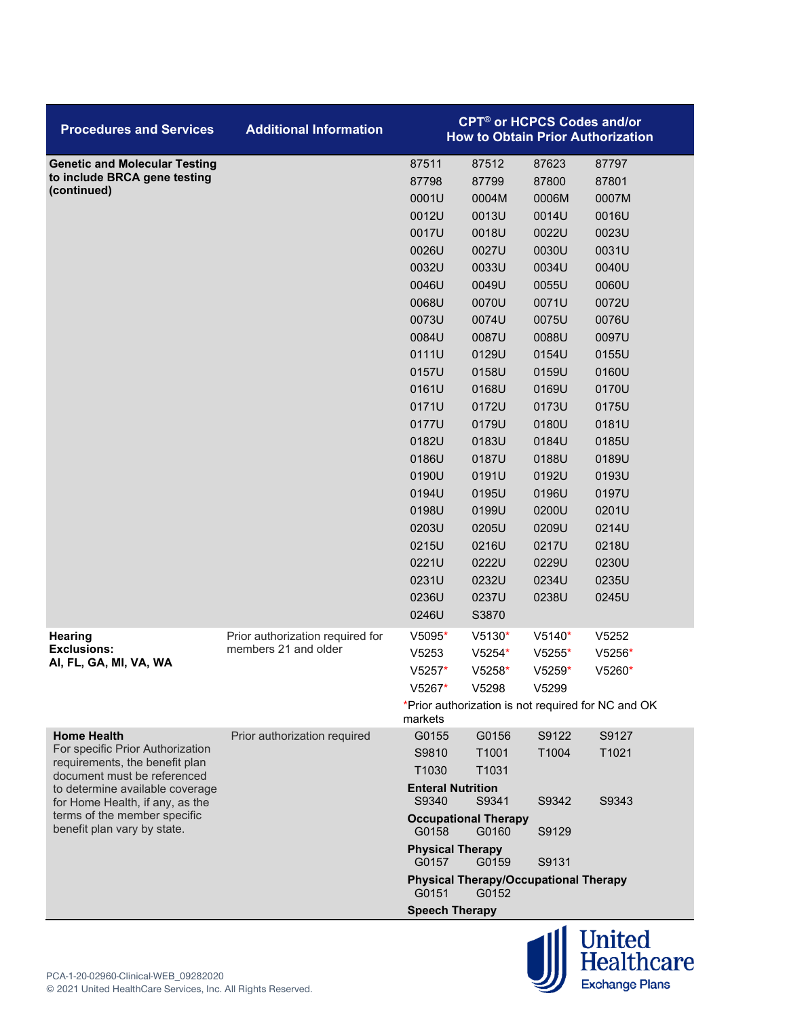| <b>Procedures and Services</b>                                     | <b>Additional Information</b>                            |                                   | <b>CPT<sup>®</sup> or HCPCS Codes and/or</b>          |          | <b>How to Obtain Prior Authorization</b>           |
|--------------------------------------------------------------------|----------------------------------------------------------|-----------------------------------|-------------------------------------------------------|----------|----------------------------------------------------|
| <b>Genetic and Molecular Testing</b>                               |                                                          | 87511                             | 87512                                                 | 87623    | 87797                                              |
| to include BRCA gene testing                                       |                                                          | 87798                             | 87799                                                 | 87800    | 87801                                              |
| (continued)                                                        |                                                          | 0001U                             | 0004M                                                 | 0006M    | 0007M                                              |
|                                                                    |                                                          | 0012U                             | 0013U                                                 | 0014U    | 0016U                                              |
|                                                                    |                                                          | 0017U                             | 0018U                                                 | 0022U    | 0023U                                              |
|                                                                    |                                                          | 0026U                             | 0027U                                                 | 0030U    | 0031U                                              |
|                                                                    |                                                          | 0032U                             | 0033U                                                 | 0034U    | 0040U                                              |
|                                                                    |                                                          | 0046U                             | 0049U                                                 | 0055U    | 0060U                                              |
|                                                                    |                                                          | 0068U                             | 0070U                                                 | 0071U    | 0072U                                              |
|                                                                    |                                                          | 0073U                             | 0074U                                                 | 0075U    | 0076U                                              |
|                                                                    |                                                          | 0084U                             | 0087U                                                 | 0088U    | 0097U                                              |
|                                                                    |                                                          | 0111U                             | 0129U                                                 | 0154U    | 0155U                                              |
|                                                                    |                                                          | 0157U                             | 0158U                                                 | 0159U    | 0160U                                              |
|                                                                    |                                                          | 0161U                             | 0168U                                                 | 0169U    | 0170U                                              |
|                                                                    |                                                          | 0171U                             | 0172U                                                 | 0173U    | 0175U                                              |
|                                                                    |                                                          | 0177U                             | 0179U                                                 | 0180U    | 0181U                                              |
|                                                                    |                                                          | 0182U                             | 0183U                                                 | 0184U    | 0185U                                              |
|                                                                    |                                                          | 0186U                             | 0187U                                                 | 0188U    | 0189U                                              |
|                                                                    |                                                          | 0190U                             | 0191U                                                 | 0192U    | 0193U                                              |
|                                                                    |                                                          | 0194U                             | 0195U                                                 | 0196U    | 0197U                                              |
|                                                                    |                                                          | 0198U                             | 0199U                                                 | 0200U    | 0201U                                              |
|                                                                    |                                                          | 0203U                             | 0205U                                                 | 0209U    | 0214U                                              |
|                                                                    |                                                          | 0215U                             | 0216U                                                 | 0217U    | 0218U                                              |
|                                                                    |                                                          | 0221U                             | 0222U                                                 | 0229U    | 0230U                                              |
|                                                                    |                                                          | 0231U                             | 0232U                                                 | 0234U    | 0235U                                              |
|                                                                    |                                                          | 0236U                             | 0237U                                                 | 0238U    | 0245U                                              |
|                                                                    |                                                          | 0246U                             | S3870                                                 |          |                                                    |
| <b>Hearing</b><br><b>Exclusions:</b>                               | Prior authorization required for<br>members 21 and older | $V5095*$                          | $V5130*$                                              | $V5140*$ | V5252                                              |
| AI, FL, GA, MI, VA, WA                                             |                                                          | V5253                             | V5254*                                                | $V5255*$ | $V5256*$                                           |
|                                                                    |                                                          | $V5257*$                          | $V5258*$                                              | $V5259*$ | $V5260*$                                           |
|                                                                    |                                                          | $V5267*$                          | V5298                                                 | V5299    |                                                    |
|                                                                    |                                                          | markets                           |                                                       |          | *Prior authorization is not required for NC and OK |
| <b>Home Health</b>                                                 | Prior authorization required                             | G0155                             | G0156                                                 | S9122    | S9127                                              |
| For specific Prior Authorization<br>requirements, the benefit plan |                                                          | S9810                             | T1001                                                 | T1004    | T1021                                              |
| document must be referenced                                        |                                                          | T1030                             | T1031                                                 |          |                                                    |
| to determine available coverage<br>for Home Health, if any, as the |                                                          | <b>Enteral Nutrition</b><br>S9340 | S9341                                                 | S9342    | S9343                                              |
| terms of the member specific<br>benefit plan vary by state.        |                                                          | G0158                             | <b>Occupational Therapy</b><br>G0160                  | S9129    |                                                    |
|                                                                    |                                                          | <b>Physical Therapy</b><br>G0157  | G0159                                                 | S9131    |                                                    |
|                                                                    |                                                          | G0151                             | <b>Physical Therapy/Occupational Therapy</b><br>G0152 |          |                                                    |
|                                                                    |                                                          | <b>Speech Therapy</b>             |                                                       |          |                                                    |

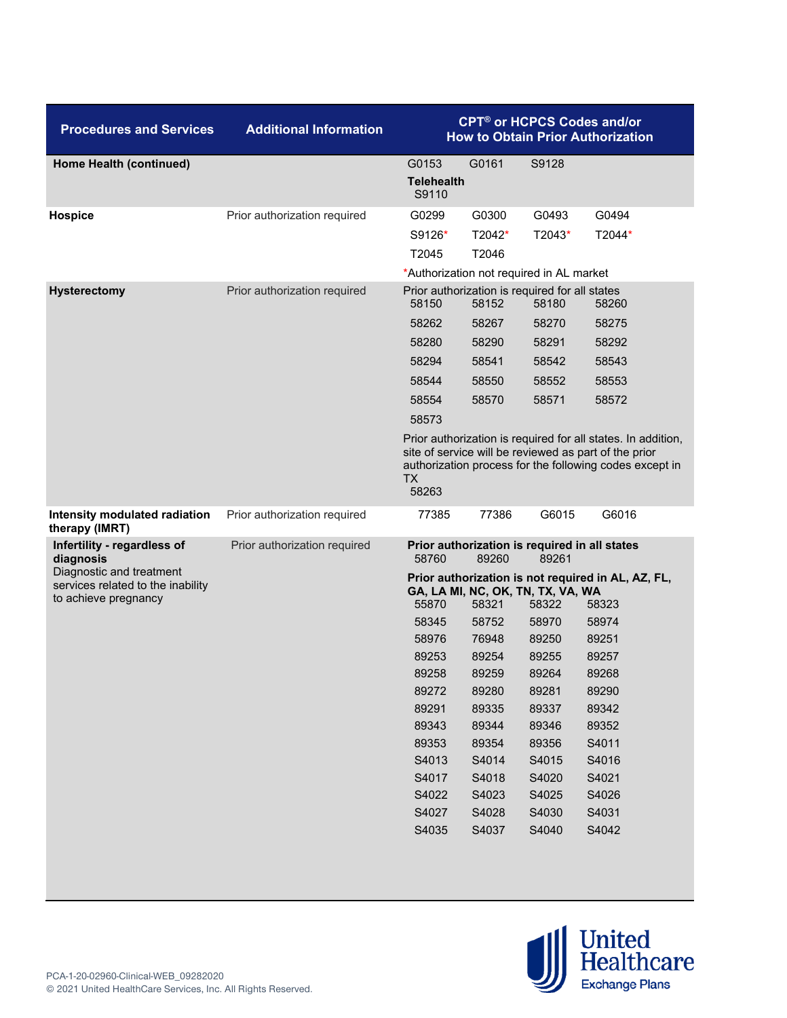| <b>Procedures and Services</b>                                                        | <b>Additional Information</b> | <b>CPT<sup>®</sup> or HCPCS Codes and/or</b><br><b>How to Obtain Prior Authorization</b> |                |                                                        |                                                                                                                                                                                  |  |
|---------------------------------------------------------------------------------------|-------------------------------|------------------------------------------------------------------------------------------|----------------|--------------------------------------------------------|----------------------------------------------------------------------------------------------------------------------------------------------------------------------------------|--|
| Home Health (continued)                                                               |                               | G0153                                                                                    | G0161          | S9128                                                  |                                                                                                                                                                                  |  |
|                                                                                       |                               | <b>Telehealth</b><br>S9110                                                               |                |                                                        |                                                                                                                                                                                  |  |
| Hospice                                                                               | Prior authorization required  | G0299                                                                                    | G0300          | G0493                                                  | G0494                                                                                                                                                                            |  |
|                                                                                       |                               | S9126*                                                                                   | T2042*         | T2043*                                                 | T2044*                                                                                                                                                                           |  |
|                                                                                       |                               | T2045                                                                                    | T2046          |                                                        |                                                                                                                                                                                  |  |
|                                                                                       |                               | *Authorization not required in AL market                                                 |                |                                                        |                                                                                                                                                                                  |  |
| <b>Hysterectomy</b>                                                                   | Prior authorization required  | Prior authorization is required for all states<br>58150                                  | 58152          | 58180                                                  | 58260                                                                                                                                                                            |  |
|                                                                                       |                               | 58262                                                                                    | 58267          | 58270                                                  | 58275                                                                                                                                                                            |  |
|                                                                                       |                               | 58280                                                                                    | 58290          | 58291                                                  | 58292                                                                                                                                                                            |  |
|                                                                                       |                               | 58294                                                                                    | 58541          | 58542                                                  | 58543                                                                                                                                                                            |  |
|                                                                                       |                               | 58544                                                                                    | 58550          | 58552                                                  | 58553                                                                                                                                                                            |  |
|                                                                                       |                               | 58554                                                                                    | 58570          | 58571                                                  | 58572                                                                                                                                                                            |  |
|                                                                                       |                               | 58573                                                                                    |                |                                                        |                                                                                                                                                                                  |  |
|                                                                                       |                               | <b>TX</b><br>58263                                                                       |                |                                                        | Prior authorization is required for all states. In addition,<br>site of service will be reviewed as part of the prior<br>authorization process for the following codes except in |  |
| Intensity modulated radiation<br>therapy (IMRT)                                       | Prior authorization required  | 77385                                                                                    | 77386          | G6015                                                  | G6016                                                                                                                                                                            |  |
| Infertility - regardless of<br>diagnosis                                              | Prior authorization required  | 58760                                                                                    | 89260          | Prior authorization is required in all states<br>89261 |                                                                                                                                                                                  |  |
| Diagnostic and treatment<br>services related to the inability<br>to achieve pregnancy |                               | 55870                                                                                    | 58321          | GA, LA MI, NC, OK, TN, TX, VA, WA<br>58322             | Prior authorization is not required in AL, AZ, FL,<br>58323                                                                                                                      |  |
|                                                                                       |                               | 58345                                                                                    | 58752          | 58970                                                  | 58974                                                                                                                                                                            |  |
|                                                                                       |                               | 58976                                                                                    | 76948          | 89250                                                  | 89251                                                                                                                                                                            |  |
|                                                                                       |                               | 89253                                                                                    | 89254          | 89255                                                  | 89257                                                                                                                                                                            |  |
|                                                                                       |                               | 89258                                                                                    | 89259          | 89264                                                  | 89268                                                                                                                                                                            |  |
|                                                                                       |                               | 89272                                                                                    | 89280          | 89281                                                  | 89290                                                                                                                                                                            |  |
|                                                                                       |                               | 89291                                                                                    | 89335          | 89337                                                  | 89342                                                                                                                                                                            |  |
|                                                                                       |                               | 89343                                                                                    | 89344          | 89346                                                  | 89352                                                                                                                                                                            |  |
|                                                                                       |                               | 89353                                                                                    | 89354          | 89356                                                  | S4011                                                                                                                                                                            |  |
|                                                                                       |                               | S4013                                                                                    | S4014          | S4015                                                  | S4016                                                                                                                                                                            |  |
|                                                                                       |                               | S4017<br>S4022                                                                           | S4018<br>S4023 | S4020<br>S4025                                         | S4021<br>S4026                                                                                                                                                                   |  |
|                                                                                       |                               | S4027                                                                                    | S4028          | S4030                                                  | S4031                                                                                                                                                                            |  |
|                                                                                       |                               | S4035                                                                                    | S4037          | S4040                                                  | S4042                                                                                                                                                                            |  |
|                                                                                       |                               |                                                                                          |                |                                                        |                                                                                                                                                                                  |  |

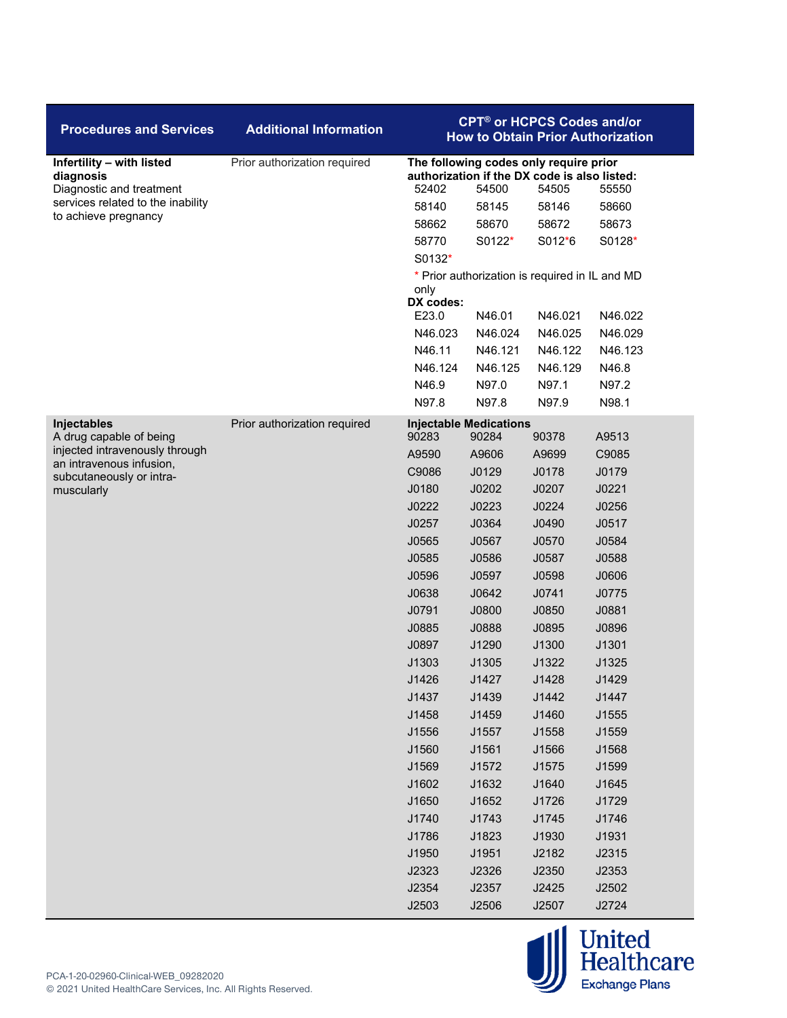| <b>Procedures and Services</b>                                     | <b>Additional Information</b> | <b>CPT<sup>®</sup> or HCPCS Codes and/or</b><br><b>How to Obtain Prior Authorization</b>                                   |                                                |         |         |  |
|--------------------------------------------------------------------|-------------------------------|----------------------------------------------------------------------------------------------------------------------------|------------------------------------------------|---------|---------|--|
| Infertility - with listed<br>diagnosis<br>Diagnostic and treatment | Prior authorization required  | The following codes only require prior<br>authorization if the DX code is also listed:<br>52402<br>54500<br>54505<br>55550 |                                                |         |         |  |
| services related to the inability                                  |                               | 58140                                                                                                                      | 58145                                          | 58146   | 58660   |  |
| to achieve pregnancy                                               |                               | 58662                                                                                                                      | 58670                                          | 58672   | 58673   |  |
|                                                                    |                               | 58770                                                                                                                      | S0122*                                         | S012*6  | S0128*  |  |
|                                                                    |                               | S0132*                                                                                                                     |                                                |         |         |  |
|                                                                    |                               |                                                                                                                            | * Prior authorization is required in IL and MD |         |         |  |
|                                                                    |                               | only<br>DX codes:                                                                                                          |                                                |         |         |  |
|                                                                    |                               | E23.0                                                                                                                      | N46.01                                         | N46.021 | N46.022 |  |
|                                                                    |                               | N46.023                                                                                                                    | N46.024                                        | N46.025 | N46.029 |  |
|                                                                    |                               | N46.11                                                                                                                     | N46.121                                        | N46.122 | N46.123 |  |
|                                                                    |                               | N46.124                                                                                                                    | N46.125                                        | N46.129 | N46.8   |  |
|                                                                    |                               | N46.9                                                                                                                      | N97.0                                          | N97.1   | N97.2   |  |
|                                                                    |                               | N97.8                                                                                                                      | N97.8                                          | N97.9   | N98.1   |  |
| Injectables<br>A drug capable of being                             | Prior authorization required  | 90283                                                                                                                      | <b>Injectable Medications</b><br>90284         | 90378   | A9513   |  |
| injected intravenously through<br>an intravenous infusion,         |                               | A9590                                                                                                                      | A9606                                          | A9699   | C9085   |  |
| subcutaneously or intra-                                           |                               | C9086                                                                                                                      | J0129                                          | J0178   | J0179   |  |
| muscularly                                                         |                               | J0180                                                                                                                      | J0202                                          | J0207   | J0221   |  |
|                                                                    |                               | J0222                                                                                                                      | J0223                                          | J0224   | J0256   |  |
|                                                                    |                               | J0257                                                                                                                      | J0364                                          | J0490   | J0517   |  |
|                                                                    |                               | J0565                                                                                                                      | J0567                                          | J0570   | J0584   |  |
|                                                                    |                               | J0585                                                                                                                      | J0586                                          | J0587   | J0588   |  |
|                                                                    |                               | J0596                                                                                                                      | J0597                                          | J0598   | J0606   |  |
|                                                                    |                               | J0638                                                                                                                      | J0642                                          | J0741   | J0775   |  |
|                                                                    |                               | J0791                                                                                                                      | J0800                                          | J0850   | J0881   |  |
|                                                                    |                               | J0885                                                                                                                      | J0888                                          | J0895   | J0896   |  |
|                                                                    |                               | J0897                                                                                                                      | J1290                                          | J1300   | J1301   |  |
|                                                                    |                               | J1303                                                                                                                      | J1305                                          | J1322   | J1325   |  |
|                                                                    |                               | J1426                                                                                                                      | J1427                                          | J1428   | J1429   |  |
|                                                                    |                               | J1437                                                                                                                      | J1439                                          | J1442   | J1447   |  |
|                                                                    |                               | J1458                                                                                                                      | J1459                                          | J1460   | J1555   |  |
|                                                                    |                               | J1556                                                                                                                      | J1557                                          | J1558   | J1559   |  |
|                                                                    |                               | J1560                                                                                                                      | J1561                                          | J1566   | J1568   |  |
|                                                                    |                               | J1569                                                                                                                      | J1572                                          | J1575   | J1599   |  |
|                                                                    |                               | J1602                                                                                                                      | J1632                                          | J1640   | J1645   |  |
|                                                                    |                               | J1650                                                                                                                      | J1652                                          | J1726   | J1729   |  |
|                                                                    |                               | J1740                                                                                                                      | J1743                                          | J1745   | J1746   |  |
|                                                                    |                               | J1786                                                                                                                      | J1823                                          | J1930   | J1931   |  |
|                                                                    |                               | J1950                                                                                                                      | J1951                                          | J2182   | J2315   |  |
|                                                                    |                               | J2323                                                                                                                      | J2326                                          | J2350   | J2353   |  |
|                                                                    |                               | J2354                                                                                                                      | J2357                                          | J2425   | J2502   |  |
|                                                                    |                               | J2503                                                                                                                      | J2506                                          | J2507   | J2724   |  |

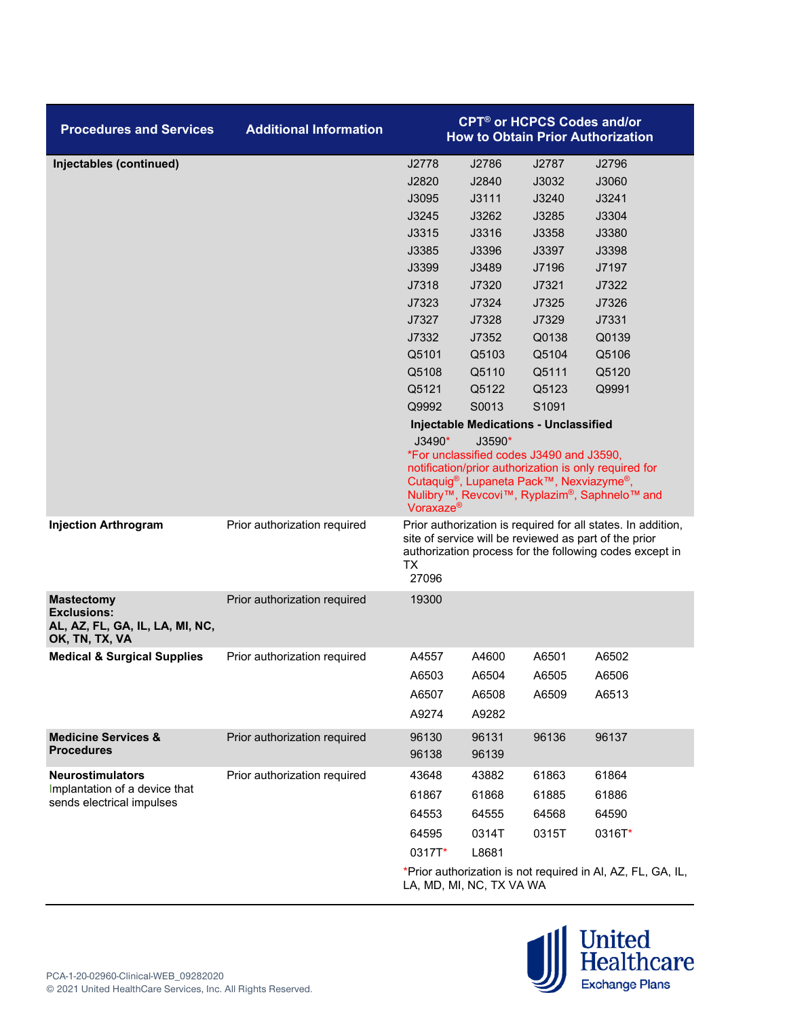| <b>Procedures and Services</b>                                                               | <b>Additional Information</b> |                                                                                                                                                                                                                                                                                                                         | <b>CPT<sup>®</sup> or HCPCS Codes and/or</b><br><b>How to Obtain Prior Authorization</b> |       |                                                                                                                                                                                  |  |  |
|----------------------------------------------------------------------------------------------|-------------------------------|-------------------------------------------------------------------------------------------------------------------------------------------------------------------------------------------------------------------------------------------------------------------------------------------------------------------------|------------------------------------------------------------------------------------------|-------|----------------------------------------------------------------------------------------------------------------------------------------------------------------------------------|--|--|
| Injectables (continued)                                                                      |                               | J2778                                                                                                                                                                                                                                                                                                                   | J2786                                                                                    | J2787 | J2796                                                                                                                                                                            |  |  |
|                                                                                              |                               | J2820                                                                                                                                                                                                                                                                                                                   | J2840                                                                                    | J3032 | J3060                                                                                                                                                                            |  |  |
|                                                                                              |                               | J3095                                                                                                                                                                                                                                                                                                                   | J3111                                                                                    | J3240 | J3241                                                                                                                                                                            |  |  |
|                                                                                              |                               | J3245                                                                                                                                                                                                                                                                                                                   | J3262                                                                                    | J3285 | J3304                                                                                                                                                                            |  |  |
|                                                                                              |                               | J3315                                                                                                                                                                                                                                                                                                                   | J3316                                                                                    | J3358 | J3380                                                                                                                                                                            |  |  |
|                                                                                              |                               | J3385                                                                                                                                                                                                                                                                                                                   | J3396                                                                                    | J3397 | J3398                                                                                                                                                                            |  |  |
|                                                                                              |                               | J3399                                                                                                                                                                                                                                                                                                                   | J3489                                                                                    | J7196 | J7197                                                                                                                                                                            |  |  |
|                                                                                              |                               | J7318                                                                                                                                                                                                                                                                                                                   | J7320                                                                                    | J7321 | J7322                                                                                                                                                                            |  |  |
|                                                                                              |                               | J7323                                                                                                                                                                                                                                                                                                                   | J7324                                                                                    | J7325 | J7326                                                                                                                                                                            |  |  |
|                                                                                              |                               | J7327                                                                                                                                                                                                                                                                                                                   | J7328                                                                                    | J7329 | J7331                                                                                                                                                                            |  |  |
|                                                                                              |                               | J7332                                                                                                                                                                                                                                                                                                                   | J7352                                                                                    | Q0138 | Q0139                                                                                                                                                                            |  |  |
|                                                                                              |                               | Q5101                                                                                                                                                                                                                                                                                                                   | Q5103                                                                                    | Q5104 | Q5106                                                                                                                                                                            |  |  |
|                                                                                              |                               | Q5108                                                                                                                                                                                                                                                                                                                   | Q5110                                                                                    | Q5111 | Q5120                                                                                                                                                                            |  |  |
|                                                                                              |                               | Q5121                                                                                                                                                                                                                                                                                                                   | Q5122                                                                                    | Q5123 | Q9991                                                                                                                                                                            |  |  |
|                                                                                              |                               | Q9992                                                                                                                                                                                                                                                                                                                   | S0013                                                                                    | S1091 |                                                                                                                                                                                  |  |  |
|                                                                                              |                               | <b>Injectable Medications - Unclassified</b><br>$J3490*$<br>$J3590*$<br>*For unclassified codes J3490 and J3590,<br>notification/prior authorization is only required for<br>Cutaquig®, Lupaneta Pack™, Nexviazyme®,<br>Nulibry <sup>™</sup> , Revcovi™, Ryplazim <sup>®</sup> , Saphnelo™ and<br>Voraxaze <sup>®</sup> |                                                                                          |       |                                                                                                                                                                                  |  |  |
| <b>Injection Arthrogram</b>                                                                  | Prior authorization required  | <b>TX</b><br>27096                                                                                                                                                                                                                                                                                                      |                                                                                          |       | Prior authorization is required for all states. In addition,<br>site of service will be reviewed as part of the prior<br>authorization process for the following codes except in |  |  |
| <b>Mastectomy</b><br><b>Exclusions:</b><br>AL, AZ, FL, GA, IL, LA, MI, NC,<br>OK, TN, TX, VA | Prior authorization required  | 19300                                                                                                                                                                                                                                                                                                                   |                                                                                          |       |                                                                                                                                                                                  |  |  |
| <b>Medical &amp; Surgical Supplies</b>                                                       | Prior authorization required  | A4557                                                                                                                                                                                                                                                                                                                   | A4600                                                                                    | A6501 | A6502                                                                                                                                                                            |  |  |
|                                                                                              |                               | A6503                                                                                                                                                                                                                                                                                                                   | A6504                                                                                    | A6505 | A6506                                                                                                                                                                            |  |  |
|                                                                                              |                               | A6507                                                                                                                                                                                                                                                                                                                   | A6508                                                                                    | A6509 | A6513                                                                                                                                                                            |  |  |
|                                                                                              |                               | A9274                                                                                                                                                                                                                                                                                                                   | A9282                                                                                    |       |                                                                                                                                                                                  |  |  |
| <b>Medicine Services &amp;</b>                                                               | Prior authorization required  | 96130                                                                                                                                                                                                                                                                                                                   | 96131                                                                                    | 96136 | 96137                                                                                                                                                                            |  |  |
| <b>Procedures</b>                                                                            |                               | 96138                                                                                                                                                                                                                                                                                                                   | 96139                                                                                    |       |                                                                                                                                                                                  |  |  |
| <b>Neurostimulators</b>                                                                      | Prior authorization required  | 43648                                                                                                                                                                                                                                                                                                                   | 43882                                                                                    | 61863 | 61864                                                                                                                                                                            |  |  |
| Implantation of a device that<br>sends electrical impulses                                   |                               | 61867                                                                                                                                                                                                                                                                                                                   | 61868                                                                                    | 61885 | 61886                                                                                                                                                                            |  |  |
|                                                                                              |                               | 64553                                                                                                                                                                                                                                                                                                                   | 64555                                                                                    | 64568 | 64590                                                                                                                                                                            |  |  |
|                                                                                              |                               | 64595                                                                                                                                                                                                                                                                                                                   | 0314T                                                                                    | 0315T | 0316T*                                                                                                                                                                           |  |  |
|                                                                                              |                               | 0317T*                                                                                                                                                                                                                                                                                                                  | L8681                                                                                    |       |                                                                                                                                                                                  |  |  |
|                                                                                              |                               |                                                                                                                                                                                                                                                                                                                         |                                                                                          |       |                                                                                                                                                                                  |  |  |

\*Prior authorization is not required in Al, AZ, FL, GA, IL, LA, MD, MI, NC, TX VA WA

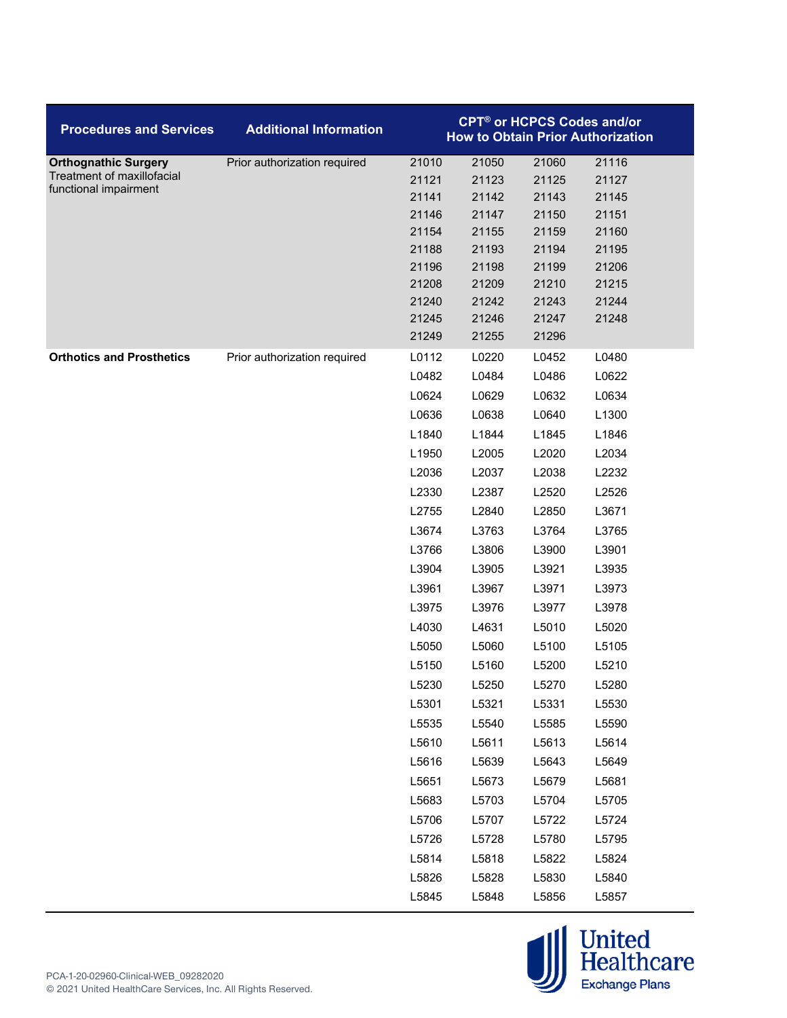| <b>Procedures and Services</b>                      | <b>Additional Information</b> |                | <b>CPT<sup>®</sup> or HCPCS Codes and/or</b> |                | <b>How to Obtain Prior Authorization</b> |
|-----------------------------------------------------|-------------------------------|----------------|----------------------------------------------|----------------|------------------------------------------|
| <b>Orthognathic Surgery</b>                         | Prior authorization required  | 21010          | 21050                                        | 21060          | 21116                                    |
| Treatment of maxillofacial<br>functional impairment |                               | 21121          | 21123                                        | 21125          | 21127                                    |
|                                                     |                               | 21141          | 21142                                        | 21143          | 21145                                    |
|                                                     |                               | 21146          | 21147                                        | 21150          | 21151                                    |
|                                                     |                               | 21154          | 21155                                        | 21159          | 21160                                    |
|                                                     |                               | 21188          | 21193                                        | 21194          | 21195                                    |
|                                                     |                               | 21196          | 21198                                        | 21199          | 21206                                    |
|                                                     |                               | 21208<br>21240 | 21209<br>21242                               | 21210<br>21243 | 21215<br>21244                           |
|                                                     |                               | 21245          | 21246                                        | 21247          | 21248                                    |
|                                                     |                               | 21249          | 21255                                        | 21296          |                                          |
| <b>Orthotics and Prosthetics</b>                    | Prior authorization required  | L0112          | L0220                                        | L0452          | L0480                                    |
|                                                     |                               | L0482          | L0484                                        | L0486          | L0622                                    |
|                                                     |                               | L0624          | L0629                                        | L0632          | L0634                                    |
|                                                     |                               | L0636          | L0638                                        | L0640          | L1300                                    |
|                                                     |                               | L1840          | L1844                                        | L1845          | L1846                                    |
|                                                     |                               | L1950          | L2005                                        | L2020          | L2034                                    |
|                                                     |                               | L2036          | L2037                                        | L2038          | L2232                                    |
|                                                     |                               | L2330          | L2387                                        | L2520          | L2526                                    |
|                                                     |                               | L2755          | L2840                                        | L2850          | L3671                                    |
|                                                     |                               | L3674          | L3763                                        | L3764          | L3765                                    |
|                                                     |                               | L3766          | L3806                                        | L3900          | L3901                                    |
|                                                     |                               | L3904          | L3905                                        | L3921          | L3935                                    |
|                                                     |                               | L3961          | L3967                                        | L3971          | L3973                                    |
|                                                     |                               | L3975          | L3976                                        | L3977          | L3978                                    |
|                                                     |                               | L4030          | L4631                                        | L5010          | L5020                                    |
|                                                     |                               | L5050          | L5060                                        | L5100          | L5105                                    |
|                                                     |                               | L5150          | L5160                                        | L5200          | L5210                                    |
|                                                     |                               | L5230          | L5250                                        | L5270          | L5280                                    |
|                                                     |                               | L5301          | L5321                                        | L5331          | L5530                                    |
|                                                     |                               | L5535          | L5540                                        | L5585          | L5590                                    |
|                                                     |                               | L5610          | L5611                                        | L5613          | L5614                                    |
|                                                     |                               | L5616          | L5639                                        | L5643          | L5649                                    |
|                                                     |                               | L5651          | L5673                                        | L5679          | L5681                                    |
|                                                     |                               | L5683          | L5703                                        | L5704          | L5705                                    |
|                                                     |                               | L5706          | L5707                                        | L5722          | L5724                                    |
|                                                     |                               | L5726          | L5728                                        | L5780          | L5795                                    |
|                                                     |                               | L5814          | L5818                                        | L5822          | L5824                                    |
|                                                     |                               | L5826          | L5828                                        | L5830          | L5840                                    |
|                                                     |                               | L5845          | L5848                                        | L5856          | L5857                                    |

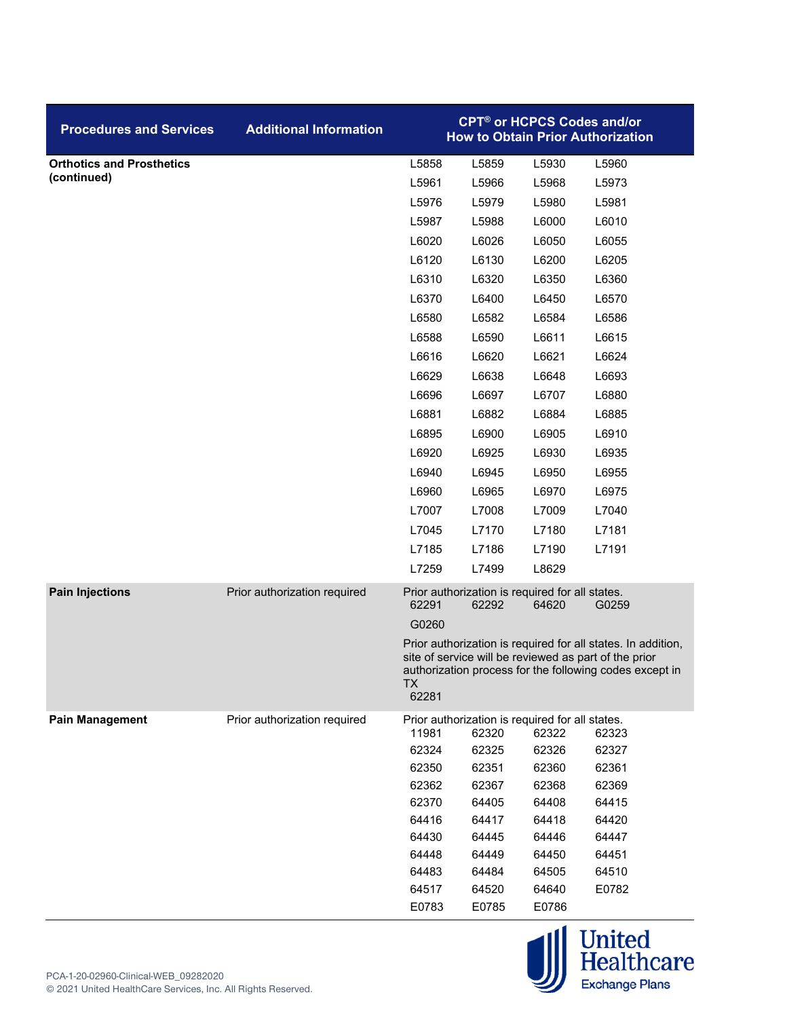| <b>Procedures and Services</b>   | <b>Additional Information</b> |                | <b>CPT<sup>®</sup> or HCPCS Codes and/or</b>             |                | <b>How to Obtain Prior Authorization</b>                                                                                                                                         |  |
|----------------------------------|-------------------------------|----------------|----------------------------------------------------------|----------------|----------------------------------------------------------------------------------------------------------------------------------------------------------------------------------|--|
| <b>Orthotics and Prosthetics</b> |                               | L5858          | L5859                                                    | L5930          | L5960                                                                                                                                                                            |  |
| (continued)                      |                               | L5961          | L5966                                                    | L5968          | L5973                                                                                                                                                                            |  |
|                                  |                               | L5976          | L5979                                                    | L5980          | L5981                                                                                                                                                                            |  |
|                                  |                               | L5987          | L5988                                                    | L6000          | L6010                                                                                                                                                                            |  |
|                                  |                               | L6020          | L6026                                                    | L6050          | L6055                                                                                                                                                                            |  |
|                                  |                               | L6120          | L6130                                                    | L6200          | L6205                                                                                                                                                                            |  |
|                                  |                               | L6310          | L6320                                                    | L6350          | L6360                                                                                                                                                                            |  |
|                                  |                               | L6370          | L6400                                                    | L6450          | L6570                                                                                                                                                                            |  |
|                                  |                               | L6580          | L6582                                                    | L6584          | L6586                                                                                                                                                                            |  |
|                                  |                               | L6588          | L6590                                                    | L6611          | L6615                                                                                                                                                                            |  |
|                                  |                               | L6616          | L6620                                                    | L6621          | L6624                                                                                                                                                                            |  |
|                                  |                               | L6629          | L6638                                                    | L6648          | L6693                                                                                                                                                                            |  |
|                                  |                               | L6696          | L6697                                                    | L6707          | L6880                                                                                                                                                                            |  |
|                                  |                               | L6881          | L6882                                                    | L6884          | L6885                                                                                                                                                                            |  |
|                                  |                               | L6895          | L6900                                                    | L6905          | L6910                                                                                                                                                                            |  |
|                                  |                               | L6920          | L6925                                                    | L6930          | L6935                                                                                                                                                                            |  |
|                                  |                               | L6940          | L6945                                                    | L6950          | L6955                                                                                                                                                                            |  |
|                                  |                               | L6960          | L6965                                                    | L6970          | L6975                                                                                                                                                                            |  |
|                                  |                               | L7007          | L7008                                                    | L7009          | L7040                                                                                                                                                                            |  |
|                                  |                               | L7045          | L7170                                                    | L7180          | L7181                                                                                                                                                                            |  |
|                                  |                               | L7185          | L7186                                                    | L7190          | L7191                                                                                                                                                                            |  |
|                                  |                               | L7259          | L7499                                                    | L8629          |                                                                                                                                                                                  |  |
| <b>Pain Injections</b>           | Prior authorization required  | 62291          | Prior authorization is required for all states.<br>62292 | 64620          | G0259                                                                                                                                                                            |  |
|                                  |                               | G0260          |                                                          |                |                                                                                                                                                                                  |  |
|                                  |                               | TX.<br>62281   |                                                          |                | Prior authorization is required for all states. In addition,<br>site of service will be reviewed as part of the prior<br>authorization process for the following codes except in |  |
| <b>Pain Management</b>           | Prior authorization required  |                | Prior authorization is required for all states.          |                |                                                                                                                                                                                  |  |
|                                  |                               | 11981          | 62320                                                    | 62322          | 62323                                                                                                                                                                            |  |
|                                  |                               | 62324          | 62325                                                    | 62326          | 62327                                                                                                                                                                            |  |
|                                  |                               | 62350<br>62362 | 62351<br>62367                                           | 62360<br>62368 | 62361<br>62369                                                                                                                                                                   |  |
|                                  |                               | 62370          | 64405                                                    | 64408          | 64415                                                                                                                                                                            |  |
|                                  |                               | 64416          | 64417                                                    | 64418          | 64420                                                                                                                                                                            |  |
|                                  |                               | 64430          | 64445                                                    | 64446          | 64447                                                                                                                                                                            |  |
|                                  |                               | 64448          | 64449                                                    | 64450          | 64451                                                                                                                                                                            |  |
|                                  |                               | 64483          | 64484                                                    | 64505          | 64510                                                                                                                                                                            |  |
|                                  |                               | 64517          | 64520                                                    | 64640          | E0782                                                                                                                                                                            |  |
|                                  |                               | E0783          | E0785                                                    | E0786          |                                                                                                                                                                                  |  |

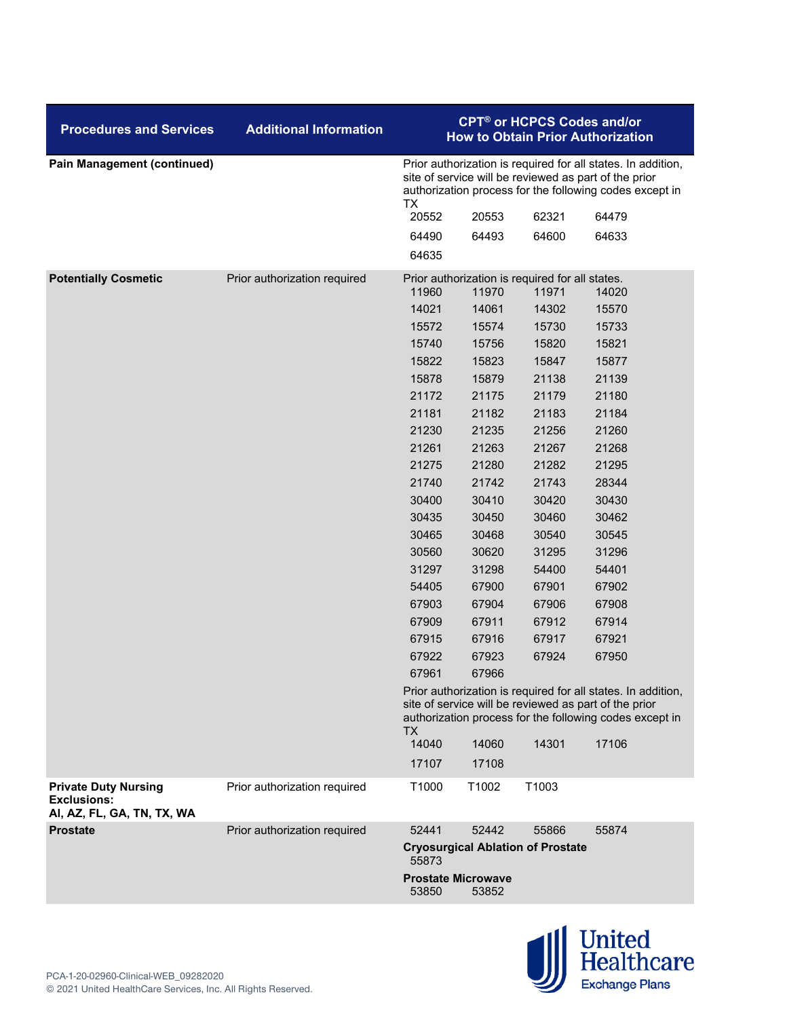| <b>Procedures and Services</b>                                                  | <b>Additional Information</b> |                                                                                                                                                                                  | <b>CPT<sup>®</sup> or HCPCS Codes and/or</b><br><b>How to Obtain Prior Authorization</b>                                                                                         |                                                          |       |  |  |  |
|---------------------------------------------------------------------------------|-------------------------------|----------------------------------------------------------------------------------------------------------------------------------------------------------------------------------|----------------------------------------------------------------------------------------------------------------------------------------------------------------------------------|----------------------------------------------------------|-------|--|--|--|
| <b>Pain Management (continued)</b>                                              |                               | TX                                                                                                                                                                               | Prior authorization is required for all states. In addition,<br>site of service will be reviewed as part of the prior<br>authorization process for the following codes except in |                                                          |       |  |  |  |
|                                                                                 |                               | 20552                                                                                                                                                                            | 20553                                                                                                                                                                            | 62321                                                    | 64479 |  |  |  |
|                                                                                 |                               | 64490                                                                                                                                                                            | 64493                                                                                                                                                                            | 64600                                                    | 64633 |  |  |  |
|                                                                                 |                               | 64635                                                                                                                                                                            |                                                                                                                                                                                  |                                                          |       |  |  |  |
| <b>Potentially Cosmetic</b>                                                     | Prior authorization required  | 11960                                                                                                                                                                            | 11970                                                                                                                                                                            | Prior authorization is required for all states.<br>11971 | 14020 |  |  |  |
|                                                                                 |                               | 14021                                                                                                                                                                            | 14061                                                                                                                                                                            | 14302                                                    | 15570 |  |  |  |
|                                                                                 |                               | 15572                                                                                                                                                                            | 15574                                                                                                                                                                            | 15730                                                    | 15733 |  |  |  |
|                                                                                 |                               | 15740                                                                                                                                                                            | 15756                                                                                                                                                                            | 15820                                                    | 15821 |  |  |  |
|                                                                                 |                               | 15822                                                                                                                                                                            | 15823                                                                                                                                                                            | 15847                                                    | 15877 |  |  |  |
|                                                                                 |                               | 15878                                                                                                                                                                            | 15879                                                                                                                                                                            | 21138                                                    | 21139 |  |  |  |
|                                                                                 |                               | 21172                                                                                                                                                                            | 21175                                                                                                                                                                            | 21179                                                    | 21180 |  |  |  |
|                                                                                 |                               | 21181                                                                                                                                                                            | 21182                                                                                                                                                                            | 21183                                                    | 21184 |  |  |  |
|                                                                                 |                               | 21230                                                                                                                                                                            | 21235                                                                                                                                                                            | 21256                                                    | 21260 |  |  |  |
|                                                                                 |                               | 21261                                                                                                                                                                            | 21263                                                                                                                                                                            | 21267                                                    | 21268 |  |  |  |
|                                                                                 |                               | 21275                                                                                                                                                                            | 21280                                                                                                                                                                            | 21282                                                    | 21295 |  |  |  |
|                                                                                 |                               | 21740                                                                                                                                                                            | 21742                                                                                                                                                                            | 21743                                                    | 28344 |  |  |  |
|                                                                                 |                               | 30400                                                                                                                                                                            | 30410                                                                                                                                                                            | 30420                                                    | 30430 |  |  |  |
|                                                                                 |                               | 30435                                                                                                                                                                            | 30450                                                                                                                                                                            | 30460                                                    | 30462 |  |  |  |
|                                                                                 |                               | 30465                                                                                                                                                                            | 30468                                                                                                                                                                            | 30540                                                    | 30545 |  |  |  |
|                                                                                 |                               | 30560                                                                                                                                                                            | 30620                                                                                                                                                                            | 31295                                                    | 31296 |  |  |  |
|                                                                                 |                               | 31297                                                                                                                                                                            | 31298                                                                                                                                                                            | 54400                                                    | 54401 |  |  |  |
|                                                                                 |                               | 54405                                                                                                                                                                            | 67900                                                                                                                                                                            | 67901                                                    | 67902 |  |  |  |
|                                                                                 |                               | 67903                                                                                                                                                                            | 67904                                                                                                                                                                            | 67906                                                    | 67908 |  |  |  |
|                                                                                 |                               | 67909                                                                                                                                                                            | 67911                                                                                                                                                                            | 67912                                                    | 67914 |  |  |  |
|                                                                                 |                               | 67915                                                                                                                                                                            | 67916                                                                                                                                                                            | 67917                                                    | 67921 |  |  |  |
|                                                                                 |                               | 67922                                                                                                                                                                            | 67923                                                                                                                                                                            | 67924                                                    | 67950 |  |  |  |
|                                                                                 |                               | 67961                                                                                                                                                                            | 67966                                                                                                                                                                            |                                                          |       |  |  |  |
|                                                                                 |                               | Prior authorization is required for all states. In addition,<br>site of service will be reviewed as part of the prior<br>authorization process for the following codes except in |                                                                                                                                                                                  |                                                          |       |  |  |  |
|                                                                                 |                               | TX.<br>14040                                                                                                                                                                     | 14060                                                                                                                                                                            | 14301                                                    | 17106 |  |  |  |
|                                                                                 |                               | 17107                                                                                                                                                                            | 17108                                                                                                                                                                            |                                                          |       |  |  |  |
|                                                                                 |                               | T1000                                                                                                                                                                            | T1002                                                                                                                                                                            | T1003                                                    |       |  |  |  |
| <b>Private Duty Nursing</b><br><b>Exclusions:</b><br>AI, AZ, FL, GA, TN, TX, WA | Prior authorization required  |                                                                                                                                                                                  |                                                                                                                                                                                  |                                                          |       |  |  |  |
| <b>Prostate</b>                                                                 | Prior authorization required  | 52441                                                                                                                                                                            | 52442                                                                                                                                                                            | 55866                                                    | 55874 |  |  |  |
|                                                                                 |                               | 55873                                                                                                                                                                            |                                                                                                                                                                                  | <b>Cryosurgical Ablation of Prostate</b>                 |       |  |  |  |
|                                                                                 |                               | 53850                                                                                                                                                                            | <b>Prostate Microwave</b><br>53852                                                                                                                                               |                                                          |       |  |  |  |

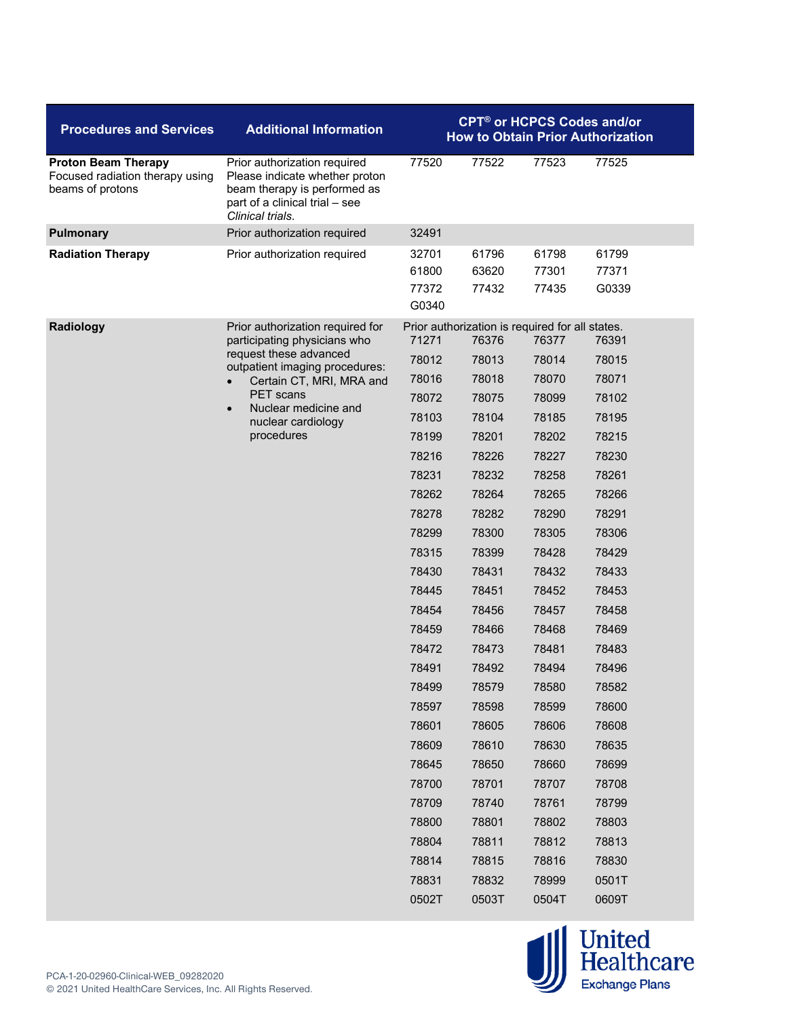| <b>Procedures and Services</b>                                                    | <b>Additional Information</b>                                                                                                                                                                                                                         | <b>CPT<sup>®</sup> or HCPCS Codes and/or</b><br><b>How to Obtain Prior Authorization</b>                                                                                                  |                                                                                                                                                                                                                                              |                                                                                                                                                                                           |                                                                                                                                                                                           |
|-----------------------------------------------------------------------------------|-------------------------------------------------------------------------------------------------------------------------------------------------------------------------------------------------------------------------------------------------------|-------------------------------------------------------------------------------------------------------------------------------------------------------------------------------------------|----------------------------------------------------------------------------------------------------------------------------------------------------------------------------------------------------------------------------------------------|-------------------------------------------------------------------------------------------------------------------------------------------------------------------------------------------|-------------------------------------------------------------------------------------------------------------------------------------------------------------------------------------------|
| <b>Proton Beam Therapy</b><br>Focused radiation therapy using<br>beams of protons | Prior authorization required<br>Please indicate whether proton<br>beam therapy is performed as<br>part of a clinical trial - see<br>Clinical trials.                                                                                                  | 77520                                                                                                                                                                                     | 77522                                                                                                                                                                                                                                        | 77523                                                                                                                                                                                     | 77525                                                                                                                                                                                     |
| <b>Pulmonary</b>                                                                  | Prior authorization required                                                                                                                                                                                                                          | 32491                                                                                                                                                                                     |                                                                                                                                                                                                                                              |                                                                                                                                                                                           |                                                                                                                                                                                           |
| <b>Radiation Therapy</b>                                                          | Prior authorization required                                                                                                                                                                                                                          | 32701<br>61800<br>77372<br>G0340                                                                                                                                                          | 61796<br>63620<br>77432                                                                                                                                                                                                                      | 61798<br>77301<br>77435                                                                                                                                                                   | 61799<br>77371<br>G0339                                                                                                                                                                   |
| Radiology                                                                         | Prior authorization required for<br>participating physicians who<br>request these advanced<br>outpatient imaging procedures:<br>Certain CT, MRI, MRA and<br><b>PET</b> scans<br>Nuclear medicine and<br>$\bullet$<br>nuclear cardiology<br>procedures | 71271<br>78012<br>78016<br>78072<br>78103<br>78199<br>78216<br>78231<br>78262<br>78278<br>78299<br>78315<br>78430<br>78445<br>78454<br>78459<br>78472<br>78491<br>78499<br>78597<br>78601 | Prior authorization is required for all states.<br>76376<br>78013<br>78018<br>78075<br>78104<br>78201<br>78226<br>78232<br>78264<br>78282<br>78300<br>78399<br>78431<br>78451<br>78456<br>78466<br>78473<br>78492<br>78579<br>78598<br>78605 | 76377<br>78014<br>78070<br>78099<br>78185<br>78202<br>78227<br>78258<br>78265<br>78290<br>78305<br>78428<br>78432<br>78452<br>78457<br>78468<br>78481<br>78494<br>78580<br>78599<br>78606 | 76391<br>78015<br>78071<br>78102<br>78195<br>78215<br>78230<br>78261<br>78266<br>78291<br>78306<br>78429<br>78433<br>78453<br>78458<br>78469<br>78483<br>78496<br>78582<br>78600<br>78608 |
|                                                                                   |                                                                                                                                                                                                                                                       | 78609<br>78645<br>78700<br>78709<br>78800<br>78804<br>78814<br>78831<br>0502T                                                                                                             | 78610<br>78650<br>78701<br>78740<br>78801<br>78811<br>78815<br>78832<br>0503T                                                                                                                                                                | 78630<br>78660<br>78707<br>78761<br>78802<br>78812<br>78816<br>78999<br>0504T                                                                                                             | 78635<br>78699<br>78708<br>78799<br>78803<br>78813<br>78830<br>0501T<br>0609T                                                                                                             |

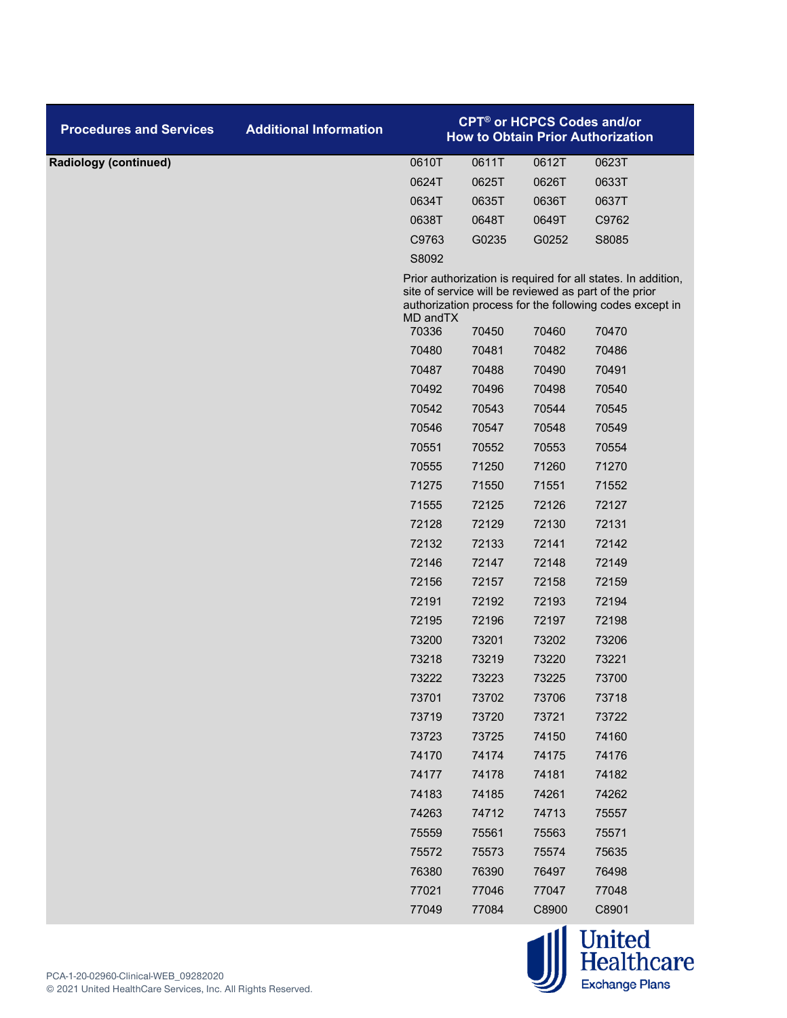| <b>Procedures and Services</b> | <b>Additional Information</b> |           |       |       | <b>CPT<sup>®</sup> or HCPCS Codes and/or</b><br><b>How to Obtain Prior Authorization</b>                                                                                         |
|--------------------------------|-------------------------------|-----------|-------|-------|----------------------------------------------------------------------------------------------------------------------------------------------------------------------------------|
| <b>Radiology (continued)</b>   |                               | 0610T     | 0611T | 0612T | 0623T                                                                                                                                                                            |
|                                |                               | 0624T     | 0625T | 0626T | 0633T                                                                                                                                                                            |
|                                |                               | 0634T     | 0635T | 0636T | 0637T                                                                                                                                                                            |
|                                |                               | 0638T     | 0648T | 0649T | C9762                                                                                                                                                                            |
|                                |                               | C9763     | G0235 | G0252 | S8085                                                                                                                                                                            |
|                                |                               | S8092     |       |       |                                                                                                                                                                                  |
|                                |                               | MD and TX |       |       | Prior authorization is required for all states. In addition,<br>site of service will be reviewed as part of the prior<br>authorization process for the following codes except in |
|                                |                               | 70336     | 70450 | 70460 | 70470                                                                                                                                                                            |
|                                |                               | 70480     | 70481 | 70482 | 70486                                                                                                                                                                            |
|                                |                               | 70487     | 70488 | 70490 | 70491                                                                                                                                                                            |
|                                |                               | 70492     | 70496 | 70498 | 70540                                                                                                                                                                            |
|                                |                               | 70542     | 70543 | 70544 | 70545                                                                                                                                                                            |
|                                |                               | 70546     | 70547 | 70548 | 70549                                                                                                                                                                            |
|                                |                               | 70551     | 70552 | 70553 | 70554                                                                                                                                                                            |
|                                |                               | 70555     | 71250 | 71260 | 71270                                                                                                                                                                            |
|                                |                               | 71275     | 71550 | 71551 | 71552                                                                                                                                                                            |
|                                |                               | 71555     | 72125 | 72126 | 72127                                                                                                                                                                            |
|                                |                               | 72128     | 72129 | 72130 | 72131                                                                                                                                                                            |
|                                |                               | 72132     | 72133 | 72141 | 72142                                                                                                                                                                            |
|                                |                               | 72146     | 72147 | 72148 | 72149                                                                                                                                                                            |
|                                |                               | 72156     | 72157 | 72158 | 72159                                                                                                                                                                            |
|                                |                               | 72191     | 72192 | 72193 | 72194                                                                                                                                                                            |
|                                |                               | 72195     | 72196 | 72197 | 72198                                                                                                                                                                            |
|                                |                               | 73200     | 73201 | 73202 | 73206                                                                                                                                                                            |
|                                |                               | 73218     | 73219 | 73220 | 73221                                                                                                                                                                            |
|                                |                               | 73222     | 73223 | 73225 | 73700                                                                                                                                                                            |
|                                |                               | 73701     | 73702 | 73706 | 73718                                                                                                                                                                            |
|                                |                               | 73719     | 73720 | 73721 | 73722                                                                                                                                                                            |
|                                |                               | 73723     | 73725 | 74150 | 74160                                                                                                                                                                            |
|                                |                               | 74170     | 74174 | 74175 | 74176                                                                                                                                                                            |
|                                |                               | 74177     | 74178 | 74181 | 74182                                                                                                                                                                            |
|                                |                               | 74183     | 74185 | 74261 | 74262                                                                                                                                                                            |
|                                |                               | 74263     | 74712 | 74713 | 75557                                                                                                                                                                            |
|                                |                               | 75559     | 75561 | 75563 | 75571                                                                                                                                                                            |
|                                |                               | 75572     | 75573 | 75574 | 75635                                                                                                                                                                            |
|                                |                               | 76380     | 76390 | 76497 | 76498                                                                                                                                                                            |
|                                |                               | 77021     | 77046 | 77047 | 77048                                                                                                                                                                            |
|                                |                               | 77049     | 77084 | C8900 | C8901                                                                                                                                                                            |

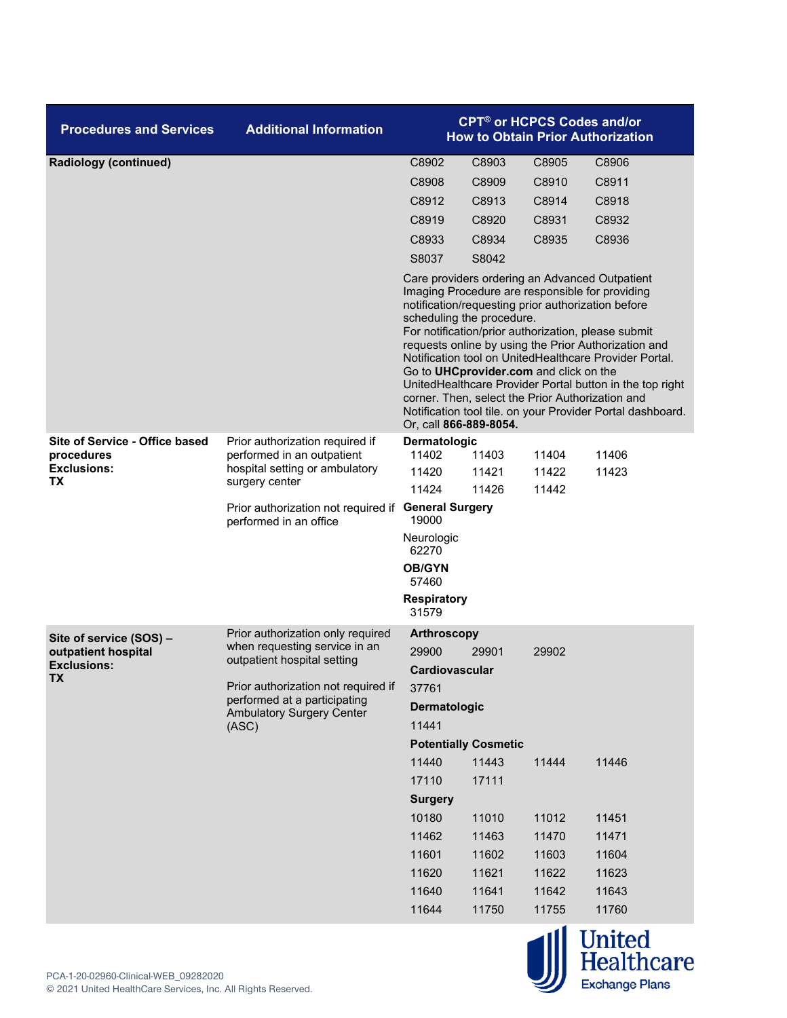| <b>Procedures and Services</b>   | <b>Additional Information</b>                                                                                     |                                                                                                                                                                                                                                                                                                                                                                                                                                                                                                                                                                                                                 | <b>CPT<sup>®</sup> or HCPCS Codes and/or</b> |                | <b>How to Obtain Prior Authorization</b> |  |
|----------------------------------|-------------------------------------------------------------------------------------------------------------------|-----------------------------------------------------------------------------------------------------------------------------------------------------------------------------------------------------------------------------------------------------------------------------------------------------------------------------------------------------------------------------------------------------------------------------------------------------------------------------------------------------------------------------------------------------------------------------------------------------------------|----------------------------------------------|----------------|------------------------------------------|--|
| <b>Radiology (continued)</b>     |                                                                                                                   | C8902                                                                                                                                                                                                                                                                                                                                                                                                                                                                                                                                                                                                           | C8903                                        | C8905          | C8906                                    |  |
|                                  |                                                                                                                   | C8908                                                                                                                                                                                                                                                                                                                                                                                                                                                                                                                                                                                                           | C8909                                        | C8910          | C8911                                    |  |
|                                  |                                                                                                                   | C8912                                                                                                                                                                                                                                                                                                                                                                                                                                                                                                                                                                                                           | C8913                                        | C8914          | C8918                                    |  |
|                                  |                                                                                                                   | C8919                                                                                                                                                                                                                                                                                                                                                                                                                                                                                                                                                                                                           | C8920                                        | C8931          | C8932                                    |  |
|                                  |                                                                                                                   | C8933                                                                                                                                                                                                                                                                                                                                                                                                                                                                                                                                                                                                           | C8934                                        | C8935          | C8936                                    |  |
|                                  |                                                                                                                   | S8037                                                                                                                                                                                                                                                                                                                                                                                                                                                                                                                                                                                                           | S8042                                        |                |                                          |  |
|                                  |                                                                                                                   | Care providers ordering an Advanced Outpatient<br>Imaging Procedure are responsible for providing<br>notification/requesting prior authorization before<br>scheduling the procedure.<br>For notification/prior authorization, please submit<br>requests online by using the Prior Authorization and<br>Notification tool on UnitedHealthcare Provider Portal.<br>Go to UHCprovider.com and click on the<br>UnitedHealthcare Provider Portal button in the top right<br>corner. Then, select the Prior Authorization and<br>Notification tool tile. on your Provider Portal dashboard.<br>Or, call 866-889-8054. |                                              |                |                                          |  |
| Site of Service - Office based   | Prior authorization required if<br>performed in an outpatient<br>hospital setting or ambulatory<br>surgery center | Dermatologic                                                                                                                                                                                                                                                                                                                                                                                                                                                                                                                                                                                                    |                                              |                |                                          |  |
| procedures<br><b>Exclusions:</b> |                                                                                                                   | 11402<br>11420                                                                                                                                                                                                                                                                                                                                                                                                                                                                                                                                                                                                  | 11403<br>11421                               | 11404<br>11422 | 11406                                    |  |
| ТX                               |                                                                                                                   | 11424                                                                                                                                                                                                                                                                                                                                                                                                                                                                                                                                                                                                           | 11426                                        | 11442          | 11423                                    |  |
|                                  | Prior authorization not required if<br>performed in an office                                                     | <b>General Surgery</b><br>19000                                                                                                                                                                                                                                                                                                                                                                                                                                                                                                                                                                                 |                                              |                |                                          |  |
|                                  |                                                                                                                   | Neurologic<br>62270                                                                                                                                                                                                                                                                                                                                                                                                                                                                                                                                                                                             |                                              |                |                                          |  |
|                                  |                                                                                                                   | <b>OB/GYN</b><br>57460                                                                                                                                                                                                                                                                                                                                                                                                                                                                                                                                                                                          |                                              |                |                                          |  |
|                                  |                                                                                                                   | <b>Respiratory</b><br>31579                                                                                                                                                                                                                                                                                                                                                                                                                                                                                                                                                                                     |                                              |                |                                          |  |
| Site of service (SOS) -          | Prior authorization only required                                                                                 | <b>Arthroscopy</b>                                                                                                                                                                                                                                                                                                                                                                                                                                                                                                                                                                                              |                                              |                |                                          |  |
| outpatient hospital              | when requesting service in an<br>outpatient hospital setting                                                      | 29900                                                                                                                                                                                                                                                                                                                                                                                                                                                                                                                                                                                                           | 29901                                        | 29902          |                                          |  |
| <b>Exclusions:</b><br><b>TX</b>  |                                                                                                                   | Cardiovascular                                                                                                                                                                                                                                                                                                                                                                                                                                                                                                                                                                                                  |                                              |                |                                          |  |
|                                  | Prior authorization not required if                                                                               | 37761                                                                                                                                                                                                                                                                                                                                                                                                                                                                                                                                                                                                           |                                              |                |                                          |  |
|                                  | performed at a participating<br><b>Ambulatory Surgery Center</b>                                                  | Dermatologic                                                                                                                                                                                                                                                                                                                                                                                                                                                                                                                                                                                                    |                                              |                |                                          |  |
|                                  | (ASC)                                                                                                             | 11441                                                                                                                                                                                                                                                                                                                                                                                                                                                                                                                                                                                                           |                                              |                |                                          |  |
|                                  |                                                                                                                   |                                                                                                                                                                                                                                                                                                                                                                                                                                                                                                                                                                                                                 | <b>Potentially Cosmetic</b>                  |                |                                          |  |
|                                  |                                                                                                                   | 11440                                                                                                                                                                                                                                                                                                                                                                                                                                                                                                                                                                                                           | 11443                                        | 11444          | 11446                                    |  |
|                                  |                                                                                                                   | 17110                                                                                                                                                                                                                                                                                                                                                                                                                                                                                                                                                                                                           | 17111                                        |                |                                          |  |
|                                  |                                                                                                                   | <b>Surgery</b>                                                                                                                                                                                                                                                                                                                                                                                                                                                                                                                                                                                                  |                                              |                |                                          |  |
|                                  |                                                                                                                   | 10180                                                                                                                                                                                                                                                                                                                                                                                                                                                                                                                                                                                                           | 11010                                        | 11012          | 11451                                    |  |
|                                  |                                                                                                                   | 11462                                                                                                                                                                                                                                                                                                                                                                                                                                                                                                                                                                                                           | 11463                                        | 11470          | 11471                                    |  |
|                                  |                                                                                                                   | 11601                                                                                                                                                                                                                                                                                                                                                                                                                                                                                                                                                                                                           | 11602                                        | 11603          | 11604                                    |  |
|                                  |                                                                                                                   | 11620                                                                                                                                                                                                                                                                                                                                                                                                                                                                                                                                                                                                           | 11621                                        | 11622          | 11623                                    |  |
|                                  |                                                                                                                   | 11640                                                                                                                                                                                                                                                                                                                                                                                                                                                                                                                                                                                                           | 11641                                        | 11642          | 11643                                    |  |
|                                  |                                                                                                                   | 11644                                                                                                                                                                                                                                                                                                                                                                                                                                                                                                                                                                                                           | 11750                                        | 11755          | 11760                                    |  |

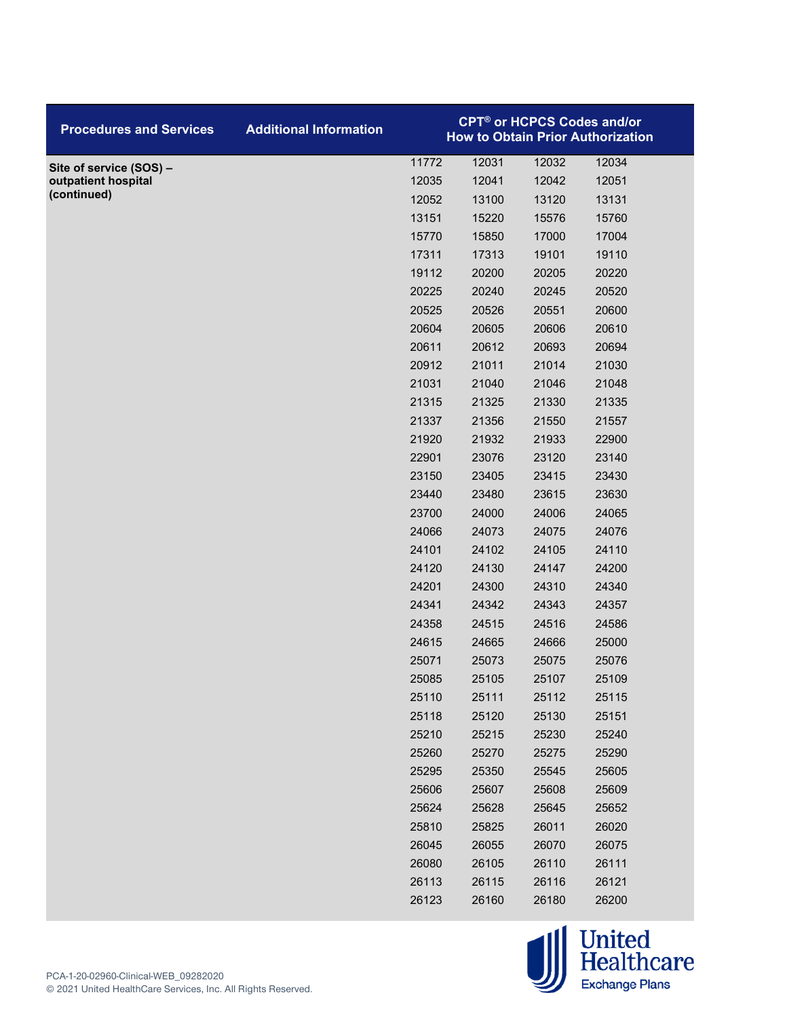| <b>Procedures and Services</b> | <b>Additional Information</b> |       | <b>CPT<sup>®</sup> or HCPCS Codes and/or</b> |       | <b>How to Obtain Prior Authorization</b> |  |
|--------------------------------|-------------------------------|-------|----------------------------------------------|-------|------------------------------------------|--|
| Site of service (SOS) -        |                               | 11772 | 12031                                        | 12032 | 12034                                    |  |
| outpatient hospital            |                               | 12035 | 12041                                        | 12042 | 12051                                    |  |
| (continued)                    |                               | 12052 | 13100                                        | 13120 | 13131                                    |  |
|                                |                               | 13151 | 15220                                        | 15576 | 15760                                    |  |
|                                |                               | 15770 | 15850                                        | 17000 | 17004                                    |  |
|                                |                               | 17311 | 17313                                        | 19101 | 19110                                    |  |
|                                |                               | 19112 | 20200                                        | 20205 | 20220                                    |  |
|                                |                               | 20225 | 20240                                        | 20245 | 20520                                    |  |
|                                |                               | 20525 | 20526                                        | 20551 | 20600                                    |  |
|                                |                               | 20604 | 20605                                        | 20606 | 20610                                    |  |
|                                |                               | 20611 | 20612                                        | 20693 | 20694                                    |  |
|                                |                               | 20912 | 21011                                        | 21014 | 21030                                    |  |
|                                |                               | 21031 | 21040                                        | 21046 | 21048                                    |  |
|                                |                               | 21315 | 21325                                        | 21330 | 21335                                    |  |
|                                |                               | 21337 | 21356                                        | 21550 | 21557                                    |  |
|                                |                               | 21920 | 21932                                        | 21933 | 22900                                    |  |
|                                |                               | 22901 | 23076                                        | 23120 | 23140                                    |  |
|                                |                               | 23150 | 23405                                        | 23415 | 23430                                    |  |
|                                |                               | 23440 | 23480                                        | 23615 | 23630                                    |  |
|                                |                               | 23700 | 24000                                        | 24006 | 24065                                    |  |
|                                |                               | 24066 | 24073                                        | 24075 | 24076                                    |  |
|                                |                               | 24101 | 24102                                        | 24105 | 24110                                    |  |
|                                |                               | 24120 | 24130                                        | 24147 | 24200                                    |  |
|                                |                               | 24201 | 24300                                        | 24310 | 24340                                    |  |
|                                |                               | 24341 | 24342                                        | 24343 | 24357                                    |  |
|                                |                               | 24358 | 24515                                        | 24516 | 24586                                    |  |
|                                |                               | 24615 | 24665                                        | 24666 | 25000                                    |  |
|                                |                               | 25071 | 25073                                        | 25075 | 25076                                    |  |
|                                |                               | 25085 | 25105                                        | 25107 | 25109                                    |  |
|                                |                               | 25110 | 25111                                        | 25112 | 25115                                    |  |
|                                |                               | 25118 | 25120                                        | 25130 | 25151                                    |  |
|                                |                               | 25210 | 25215                                        | 25230 | 25240                                    |  |
|                                |                               | 25260 | 25270                                        | 25275 | 25290                                    |  |
|                                |                               | 25295 | 25350                                        | 25545 | 25605                                    |  |
|                                |                               | 25606 | 25607                                        | 25608 | 25609                                    |  |
|                                |                               | 25624 | 25628                                        | 25645 | 25652                                    |  |
|                                |                               | 25810 | 25825                                        | 26011 | 26020                                    |  |
|                                |                               | 26045 | 26055                                        | 26070 | 26075                                    |  |
|                                |                               | 26080 | 26105                                        | 26110 | 26111                                    |  |
|                                |                               | 26113 | 26115                                        | 26116 | 26121                                    |  |
|                                |                               | 26123 | 26160                                        | 26180 | 26200                                    |  |

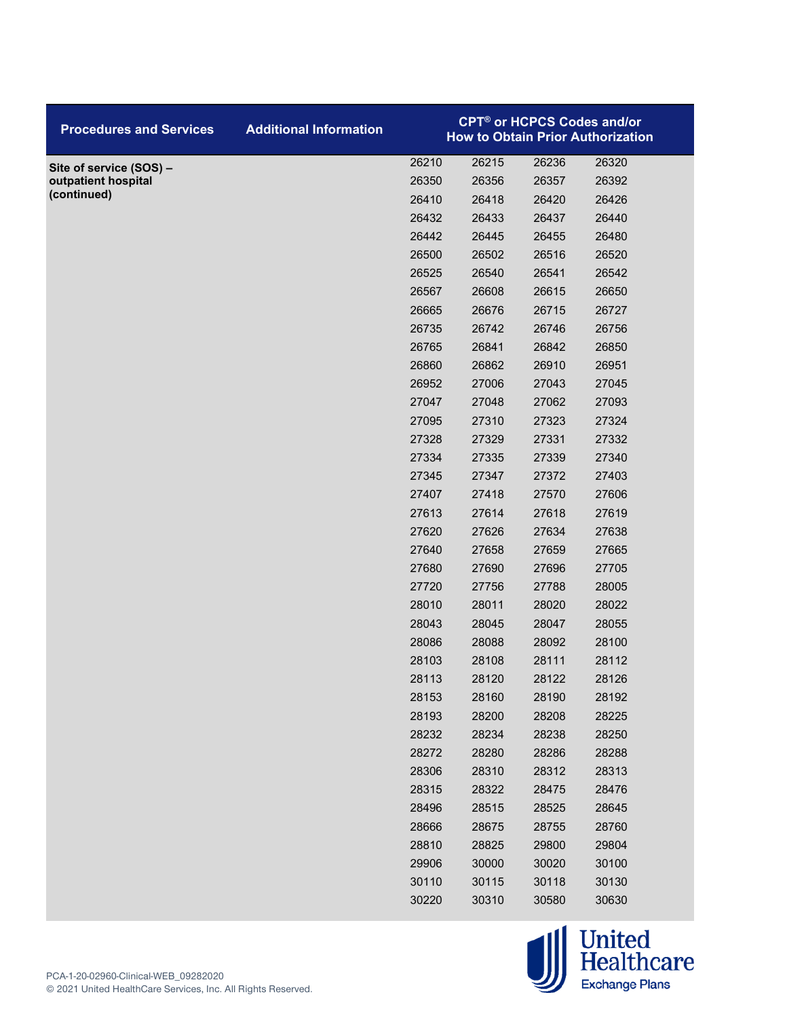| <b>Procedures and Services</b> | <b>Additional Information</b> | <b>CPT<sup>®</sup> or HCPCS Codes and/or</b><br><b>How to Obtain Prior Authorization</b> |       |       |       |
|--------------------------------|-------------------------------|------------------------------------------------------------------------------------------|-------|-------|-------|
| Site of service (SOS) -        |                               | 26210                                                                                    | 26215 | 26236 | 26320 |
| outpatient hospital            |                               | 26350                                                                                    | 26356 | 26357 | 26392 |
| (continued)                    |                               | 26410                                                                                    | 26418 | 26420 | 26426 |
|                                |                               | 26432                                                                                    | 26433 | 26437 | 26440 |
|                                |                               | 26442                                                                                    | 26445 | 26455 | 26480 |
|                                |                               | 26500                                                                                    | 26502 | 26516 | 26520 |
|                                |                               | 26525                                                                                    | 26540 | 26541 | 26542 |
|                                |                               | 26567                                                                                    | 26608 | 26615 | 26650 |
|                                |                               | 26665                                                                                    | 26676 | 26715 | 26727 |
|                                |                               | 26735                                                                                    | 26742 | 26746 | 26756 |
|                                |                               | 26765                                                                                    | 26841 | 26842 | 26850 |
|                                |                               | 26860                                                                                    | 26862 | 26910 | 26951 |
|                                |                               | 26952                                                                                    | 27006 | 27043 | 27045 |
|                                |                               | 27047                                                                                    | 27048 | 27062 | 27093 |
|                                |                               | 27095                                                                                    | 27310 | 27323 | 27324 |
|                                |                               | 27328                                                                                    | 27329 | 27331 | 27332 |
|                                |                               | 27334                                                                                    | 27335 | 27339 | 27340 |
|                                |                               | 27345                                                                                    | 27347 | 27372 | 27403 |
|                                |                               | 27407                                                                                    | 27418 | 27570 | 27606 |
|                                |                               | 27613                                                                                    | 27614 | 27618 | 27619 |
|                                |                               | 27620                                                                                    | 27626 | 27634 | 27638 |
|                                |                               | 27640                                                                                    | 27658 | 27659 | 27665 |
|                                |                               | 27680                                                                                    | 27690 | 27696 | 27705 |
|                                |                               | 27720                                                                                    | 27756 | 27788 | 28005 |
|                                |                               | 28010                                                                                    | 28011 | 28020 | 28022 |
|                                |                               | 28043                                                                                    | 28045 | 28047 | 28055 |
|                                |                               | 28086                                                                                    | 28088 | 28092 | 28100 |
|                                |                               | 28103                                                                                    | 28108 | 28111 | 28112 |
|                                |                               | 28113                                                                                    | 28120 | 28122 | 28126 |
|                                |                               | 28153                                                                                    | 28160 | 28190 | 28192 |
|                                |                               | 28193                                                                                    | 28200 | 28208 | 28225 |
|                                |                               | 28232                                                                                    | 28234 | 28238 | 28250 |
|                                |                               | 28272                                                                                    | 28280 | 28286 | 28288 |
|                                |                               | 28306                                                                                    | 28310 | 28312 | 28313 |
|                                |                               | 28315                                                                                    | 28322 | 28475 | 28476 |
|                                |                               | 28496                                                                                    | 28515 | 28525 | 28645 |
|                                |                               | 28666                                                                                    | 28675 | 28755 | 28760 |
|                                |                               | 28810                                                                                    | 28825 | 29800 | 29804 |
|                                |                               | 29906                                                                                    | 30000 | 30020 | 30100 |
|                                |                               | 30110                                                                                    | 30115 | 30118 | 30130 |
|                                |                               | 30220                                                                                    | 30310 | 30580 | 30630 |

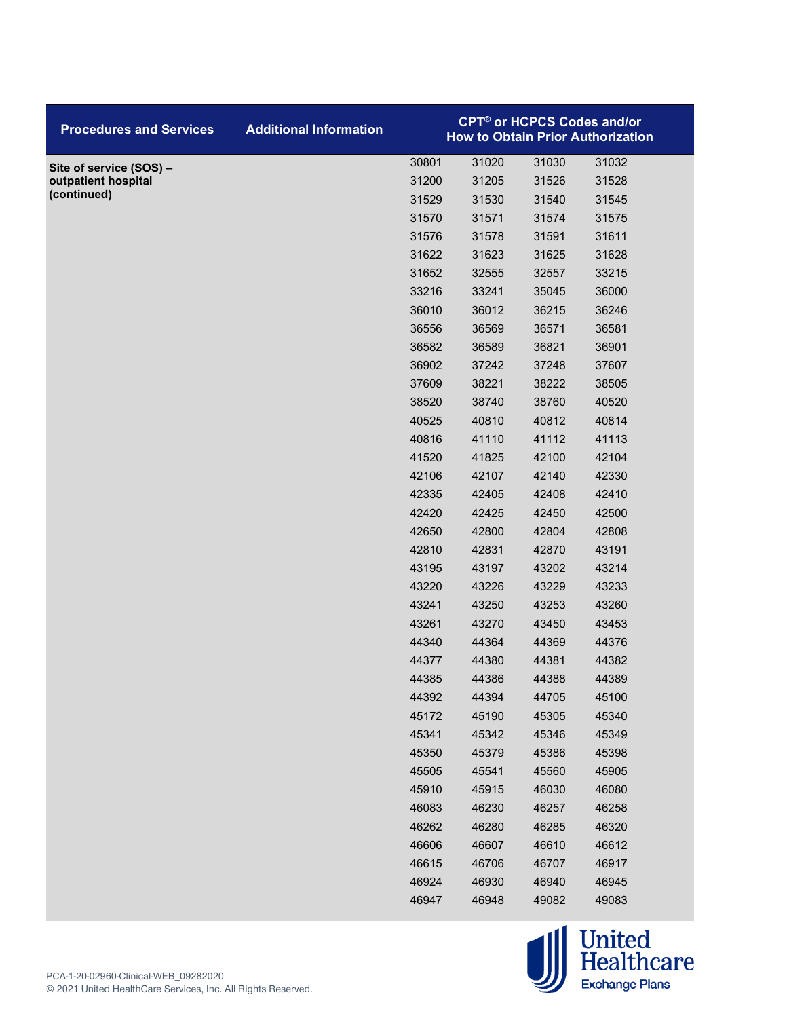| <b>Procedures and Services</b> | <b>Additional Information</b> |       | <b>CPT<sup>®</sup> or HCPCS Codes and/or</b> |       | <b>How to Obtain Prior Authorization</b> |
|--------------------------------|-------------------------------|-------|----------------------------------------------|-------|------------------------------------------|
| Site of service (SOS) -        |                               | 30801 | 31020                                        | 31030 | 31032                                    |
| outpatient hospital            |                               | 31200 | 31205                                        | 31526 | 31528                                    |
| (continued)                    |                               | 31529 | 31530                                        | 31540 | 31545                                    |
|                                |                               | 31570 | 31571                                        | 31574 | 31575                                    |
|                                |                               | 31576 | 31578                                        | 31591 | 31611                                    |
|                                |                               | 31622 | 31623                                        | 31625 | 31628                                    |
|                                |                               | 31652 | 32555                                        | 32557 | 33215                                    |
|                                |                               | 33216 | 33241                                        | 35045 | 36000                                    |
|                                |                               | 36010 | 36012                                        | 36215 | 36246                                    |
|                                |                               | 36556 | 36569                                        | 36571 | 36581                                    |
|                                |                               | 36582 | 36589                                        | 36821 | 36901                                    |
|                                |                               | 36902 | 37242                                        | 37248 | 37607                                    |
|                                |                               | 37609 | 38221                                        | 38222 | 38505                                    |
|                                |                               | 38520 | 38740                                        | 38760 | 40520                                    |
|                                |                               | 40525 | 40810                                        | 40812 | 40814                                    |
|                                |                               | 40816 | 41110                                        | 41112 | 41113                                    |
|                                |                               | 41520 | 41825                                        | 42100 | 42104                                    |
|                                |                               | 42106 | 42107                                        | 42140 | 42330                                    |
|                                |                               | 42335 | 42405                                        | 42408 | 42410                                    |
|                                |                               | 42420 | 42425                                        | 42450 | 42500                                    |
|                                |                               | 42650 | 42800                                        | 42804 | 42808                                    |
|                                |                               | 42810 | 42831                                        | 42870 | 43191                                    |
|                                |                               | 43195 | 43197                                        | 43202 | 43214                                    |
|                                |                               | 43220 | 43226                                        | 43229 | 43233                                    |
|                                |                               | 43241 | 43250                                        | 43253 | 43260                                    |
|                                |                               | 43261 | 43270                                        | 43450 | 43453                                    |
|                                |                               | 44340 | 44364                                        | 44369 | 44376                                    |
|                                |                               | 44377 | 44380                                        | 44381 | 44382                                    |
|                                |                               | 44385 | 44386                                        | 44388 | 44389                                    |
|                                |                               | 44392 | 44394                                        | 44705 | 45100                                    |
|                                |                               | 45172 | 45190                                        | 45305 | 45340                                    |
|                                |                               | 45341 | 45342                                        | 45346 | 45349                                    |
|                                |                               | 45350 | 45379                                        | 45386 | 45398                                    |
|                                |                               | 45505 | 45541                                        | 45560 | 45905                                    |
|                                |                               | 45910 | 45915                                        | 46030 | 46080                                    |
|                                |                               | 46083 | 46230                                        | 46257 | 46258                                    |
|                                |                               | 46262 | 46280                                        | 46285 | 46320                                    |
|                                |                               | 46606 | 46607                                        | 46610 | 46612                                    |
|                                |                               | 46615 | 46706                                        | 46707 | 46917                                    |
|                                |                               | 46924 | 46930                                        | 46940 | 46945                                    |
|                                |                               | 46947 | 46948                                        | 49082 | 49083                                    |

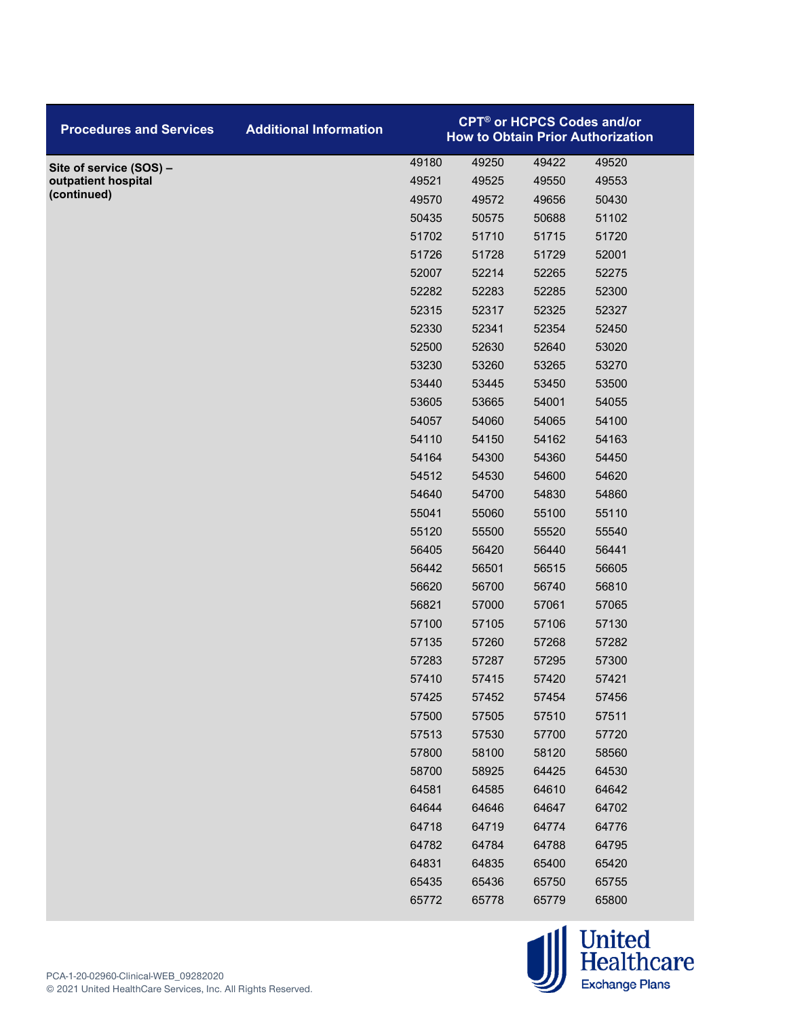| <b>Procedures and Services</b> | <b>Additional Information</b> | <b>CPT<sup>®</sup> or HCPCS Codes and/or</b><br><b>How to Obtain Prior Authorization</b> |       |       |       |
|--------------------------------|-------------------------------|------------------------------------------------------------------------------------------|-------|-------|-------|
| Site of service (SOS) -        |                               | 49180                                                                                    | 49250 | 49422 | 49520 |
| outpatient hospital            |                               | 49521                                                                                    | 49525 | 49550 | 49553 |
| (continued)                    |                               | 49570                                                                                    | 49572 | 49656 | 50430 |
|                                |                               | 50435                                                                                    | 50575 | 50688 | 51102 |
|                                |                               | 51702                                                                                    | 51710 | 51715 | 51720 |
|                                |                               | 51726                                                                                    | 51728 | 51729 | 52001 |
|                                |                               | 52007                                                                                    | 52214 | 52265 | 52275 |
|                                |                               | 52282                                                                                    | 52283 | 52285 | 52300 |
|                                |                               | 52315                                                                                    | 52317 | 52325 | 52327 |
|                                |                               | 52330                                                                                    | 52341 | 52354 | 52450 |
|                                |                               | 52500                                                                                    | 52630 | 52640 | 53020 |
|                                |                               | 53230                                                                                    | 53260 | 53265 | 53270 |
|                                |                               | 53440                                                                                    | 53445 | 53450 | 53500 |
|                                |                               | 53605                                                                                    | 53665 | 54001 | 54055 |
|                                |                               | 54057                                                                                    | 54060 | 54065 | 54100 |
|                                |                               | 54110                                                                                    | 54150 | 54162 | 54163 |
|                                |                               | 54164                                                                                    | 54300 | 54360 | 54450 |
|                                |                               | 54512                                                                                    | 54530 | 54600 | 54620 |
|                                |                               | 54640                                                                                    | 54700 | 54830 | 54860 |
|                                |                               | 55041                                                                                    | 55060 | 55100 | 55110 |
|                                |                               | 55120                                                                                    | 55500 | 55520 | 55540 |
|                                |                               | 56405                                                                                    | 56420 | 56440 | 56441 |
|                                |                               | 56442                                                                                    | 56501 | 56515 | 56605 |
|                                |                               | 56620                                                                                    | 56700 | 56740 | 56810 |
|                                |                               | 56821                                                                                    | 57000 | 57061 | 57065 |
|                                |                               | 57100                                                                                    | 57105 | 57106 | 57130 |
|                                |                               | 57135                                                                                    | 57260 | 57268 | 57282 |
|                                |                               | 57283                                                                                    | 57287 | 57295 | 57300 |
|                                |                               | 57410                                                                                    | 57415 | 57420 | 57421 |
|                                |                               | 57425                                                                                    | 57452 | 57454 | 57456 |
|                                |                               | 57500                                                                                    | 57505 | 57510 | 57511 |
|                                |                               | 57513                                                                                    | 57530 | 57700 | 57720 |
|                                |                               | 57800                                                                                    | 58100 | 58120 | 58560 |
|                                |                               | 58700                                                                                    | 58925 | 64425 | 64530 |
|                                |                               | 64581                                                                                    | 64585 | 64610 | 64642 |
|                                |                               | 64644                                                                                    | 64646 | 64647 | 64702 |
|                                |                               | 64718                                                                                    | 64719 | 64774 | 64776 |
|                                |                               | 64782                                                                                    | 64784 | 64788 | 64795 |
|                                |                               | 64831                                                                                    | 64835 | 65400 | 65420 |
|                                |                               | 65435                                                                                    | 65436 | 65750 | 65755 |
|                                |                               | 65772                                                                                    | 65778 | 65779 | 65800 |

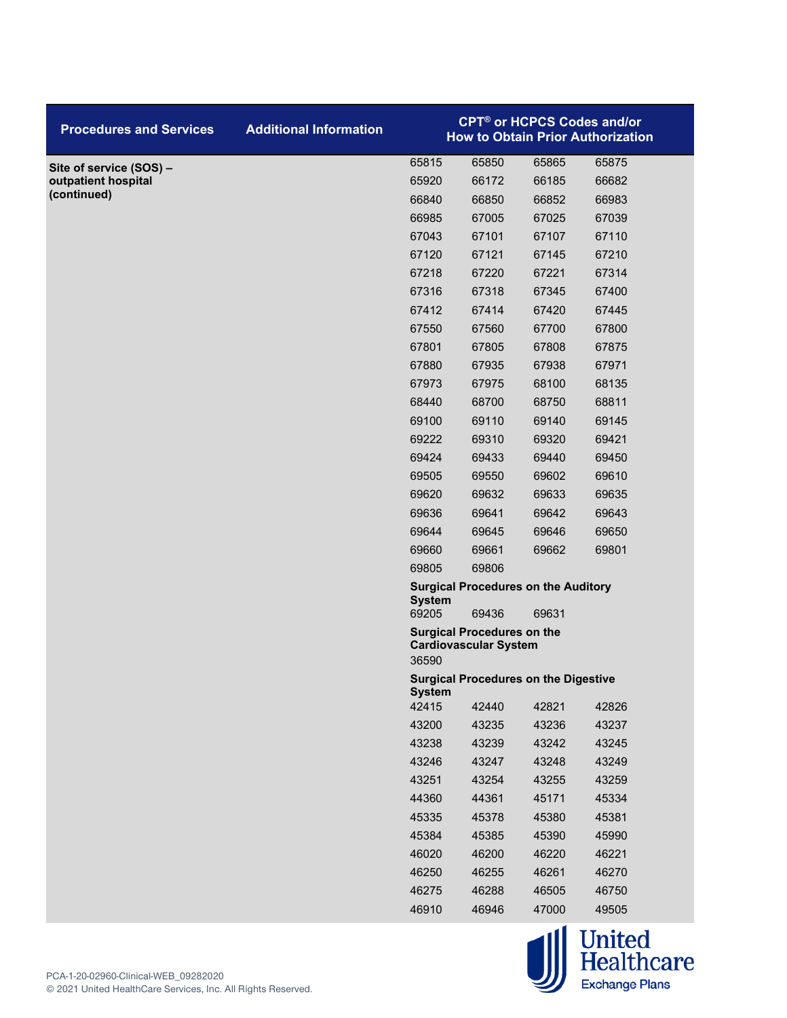| <b>Procedures and Services</b> | <b>Additional Information</b> | <b>CPT<sup>®</sup> or HCPCS Codes and/or</b><br><b>How to Obtain Prior Authorization</b> |                                                                            |       |       |  |
|--------------------------------|-------------------------------|------------------------------------------------------------------------------------------|----------------------------------------------------------------------------|-------|-------|--|
| Site of service (SOS) -        |                               | 65815                                                                                    | 65850                                                                      | 65865 | 65875 |  |
| outpatient hospital            |                               | 65920                                                                                    | 66172                                                                      | 66185 | 66682 |  |
| (continued)                    |                               | 66840                                                                                    | 66850                                                                      | 66852 | 66983 |  |
|                                |                               | 66985                                                                                    | 67005                                                                      | 67025 | 67039 |  |
|                                |                               | 67043                                                                                    | 67101                                                                      | 67107 | 67110 |  |
|                                |                               | 67120                                                                                    | 67121                                                                      | 67145 | 67210 |  |
|                                |                               | 67218                                                                                    | 67220                                                                      | 67221 | 67314 |  |
|                                |                               | 67316                                                                                    | 67318                                                                      | 67345 | 67400 |  |
|                                |                               | 67412                                                                                    | 67414                                                                      | 67420 | 67445 |  |
|                                |                               | 67550                                                                                    | 67560                                                                      | 67700 | 67800 |  |
|                                |                               | 67801                                                                                    | 67805                                                                      | 67808 | 67875 |  |
|                                |                               | 67880                                                                                    | 67935                                                                      | 67938 | 67971 |  |
|                                |                               | 67973                                                                                    | 67975                                                                      | 68100 | 68135 |  |
|                                |                               | 68440                                                                                    | 68700                                                                      | 68750 | 68811 |  |
|                                |                               | 69100                                                                                    | 69110                                                                      | 69140 | 69145 |  |
|                                |                               | 69222                                                                                    | 69310                                                                      | 69320 | 69421 |  |
|                                |                               | 69424                                                                                    | 69433                                                                      | 69440 | 69450 |  |
|                                |                               | 69505                                                                                    | 69550                                                                      | 69602 | 69610 |  |
|                                |                               | 69620                                                                                    | 69632                                                                      | 69633 | 69635 |  |
|                                |                               | 69636                                                                                    | 69641                                                                      | 69642 | 69643 |  |
|                                |                               | 69644                                                                                    | 69645                                                                      | 69646 | 69650 |  |
|                                |                               | 69660                                                                                    | 69661                                                                      | 69662 | 69801 |  |
|                                |                               | 69805                                                                                    | 69806                                                                      |       |       |  |
|                                |                               | <b>Surgical Procedures on the Auditory</b><br><b>System</b><br>69205                     |                                                                            |       |       |  |
|                                |                               |                                                                                          | 69436<br><b>Surgical Procedures on the</b><br><b>Cardiovascular System</b> |       |       |  |
|                                |                               | 36590                                                                                    | <b>Surgical Procedures on the Digestive</b>                                |       |       |  |
|                                |                               | <b>System</b><br>42415                                                                   | 42440                                                                      | 42821 | 42826 |  |
|                                |                               | 43200                                                                                    | 43235                                                                      | 43236 | 43237 |  |
|                                |                               | 43238                                                                                    | 43239                                                                      | 43242 | 43245 |  |
|                                |                               | 43246                                                                                    | 43247                                                                      | 43248 | 43249 |  |
|                                |                               | 43251                                                                                    | 43254                                                                      | 43255 | 43259 |  |
|                                |                               | 44360                                                                                    | 44361                                                                      | 45171 | 45334 |  |
|                                |                               | 45335                                                                                    | 45378                                                                      | 45380 | 45381 |  |
|                                |                               | 45384                                                                                    | 45385                                                                      | 45390 | 45990 |  |
|                                |                               | 46020                                                                                    | 46200                                                                      | 46220 | 46221 |  |
|                                |                               | 46250                                                                                    | 46255                                                                      | 46261 | 46270 |  |
|                                |                               | 46275                                                                                    | 46288                                                                      | 46505 | 46750 |  |
|                                |                               | 46910                                                                                    | 46946                                                                      | 47000 | 49505 |  |
|                                |                               |                                                                                          |                                                                            |       |       |  |

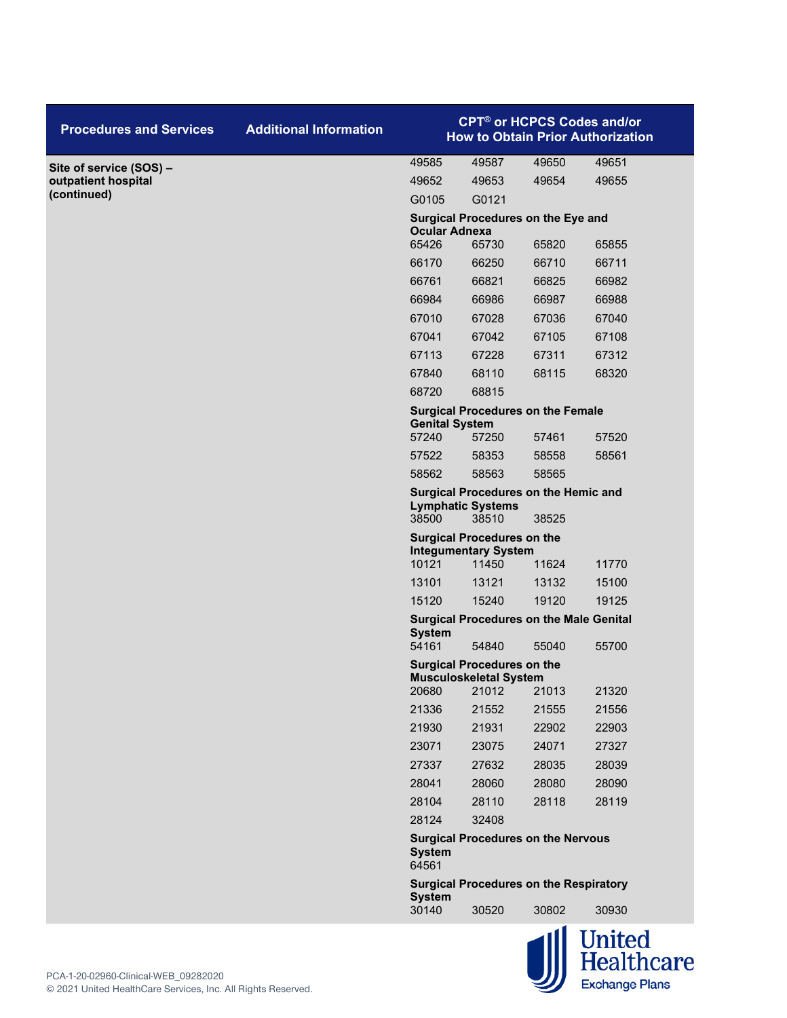| <b>Procedures and Services</b> | <b>Additional Information</b> | <b>CPT<sup>®</sup> or HCPCS Codes and/or</b><br><b>How to Obtain Prior Authorization</b> |                                                                  |                |                |  |
|--------------------------------|-------------------------------|------------------------------------------------------------------------------------------|------------------------------------------------------------------|----------------|----------------|--|
| Site of service (SOS) -        |                               | 49585                                                                                    | 49587                                                            | 49650          | 49651          |  |
| outpatient hospital            |                               | 49652                                                                                    | 49653                                                            | 49654          | 49655          |  |
| (continued)                    |                               | G0105                                                                                    | G0121                                                            |                |                |  |
|                                |                               | Surgical Procedures on the Eye and<br><b>Ocular Adnexa</b>                               |                                                                  |                |                |  |
|                                |                               | 65426                                                                                    | 65730                                                            | 65820          | 65855          |  |
|                                |                               | 66170                                                                                    | 66250                                                            | 66710          | 66711          |  |
|                                |                               | 66761                                                                                    | 66821                                                            | 66825          | 66982          |  |
|                                |                               | 66984                                                                                    | 66986                                                            | 66987          | 66988          |  |
|                                |                               | 67010                                                                                    | 67028                                                            | 67036          | 67040          |  |
|                                |                               | 67041                                                                                    | 67042                                                            | 67105          | 67108          |  |
|                                |                               | 67113                                                                                    | 67228                                                            | 67311          | 67312          |  |
|                                |                               | 67840                                                                                    | 68110                                                            | 68115          | 68320          |  |
|                                |                               | 68720                                                                                    | 68815                                                            |                |                |  |
|                                |                               | <b>Genital System</b>                                                                    | <b>Surgical Procedures on the Female</b>                         |                |                |  |
|                                |                               | 57240<br>57522                                                                           | 57250<br>58353                                                   | 57461<br>58558 | 57520<br>58561 |  |
|                                |                               | 58562                                                                                    | 58563                                                            | 58565          |                |  |
|                                |                               |                                                                                          | <b>Surgical Procedures on the Hemic and</b>                      |                |                |  |
|                                |                               | 38500                                                                                    | <b>Lymphatic Systems</b><br>38510                                | 38525          |                |  |
|                                |                               |                                                                                          | <b>Surgical Procedures on the</b><br><b>Integumentary System</b> |                |                |  |
|                                |                               | 10121                                                                                    | 11450                                                            | 11624          | 11770          |  |
|                                |                               | 13101                                                                                    | 13121                                                            | 13132          | 15100          |  |
|                                |                               | 15120                                                                                    | 15240                                                            | 19120          | 19125          |  |
|                                |                               | <b>System</b><br>54161                                                                   | <b>Surgical Procedures on the Male Genital</b><br>54840          | 55040          | 55700          |  |
|                                |                               |                                                                                          | <b>Surgical Procedures on the</b>                                |                |                |  |
|                                |                               | 20680                                                                                    | <b>Musculoskeletal System</b><br>21012                           | 21013          | 21320          |  |
|                                |                               | 21336                                                                                    | 21552                                                            | 21555          | 21556          |  |
|                                |                               | 21930                                                                                    | 21931                                                            | 22902          | 22903          |  |
|                                |                               | 23071                                                                                    | 23075                                                            | 24071          | 27327          |  |
|                                |                               | 27337                                                                                    | 27632                                                            | 28035          | 28039          |  |
|                                |                               | 28041                                                                                    | 28060                                                            | 28080          | 28090          |  |
|                                |                               | 28104                                                                                    | 28110                                                            | 28118          | 28119          |  |
|                                |                               | 28124                                                                                    | 32408                                                            |                |                |  |
|                                |                               | <b>Surgical Procedures on the Nervous</b><br><b>System</b><br>64561                      |                                                                  |                |                |  |
|                                |                               | <b>System</b>                                                                            | <b>Surgical Procedures on the Respiratory</b>                    |                |                |  |
|                                |                               | 30140                                                                                    | 30520                                                            | 30802          | 30930          |  |
|                                |                               |                                                                                          |                                                                  |                | botigell llu-  |  |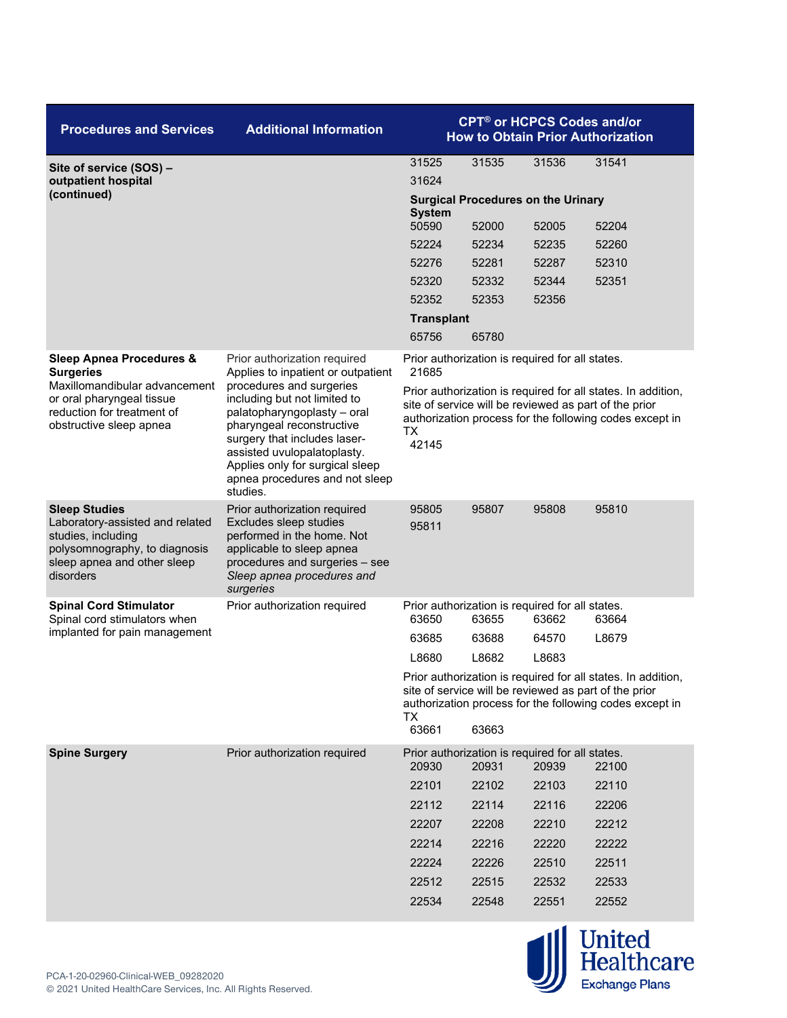| <b>Procedures and Services</b>                                                                                                                             | <b>Additional Information</b>                                                                                                                                                                  | <b>CPT<sup>®</sup> or HCPCS Codes and/or</b><br><b>How to Obtain Prior Authorization</b>                                                                                                      |                                                          |       |       |  |
|------------------------------------------------------------------------------------------------------------------------------------------------------------|------------------------------------------------------------------------------------------------------------------------------------------------------------------------------------------------|-----------------------------------------------------------------------------------------------------------------------------------------------------------------------------------------------|----------------------------------------------------------|-------|-------|--|
| Site of service (SOS) -                                                                                                                                    |                                                                                                                                                                                                | 31525                                                                                                                                                                                         | 31535                                                    | 31536 | 31541 |  |
| outpatient hospital<br>(continued)                                                                                                                         |                                                                                                                                                                                                | 31624                                                                                                                                                                                         |                                                          |       |       |  |
|                                                                                                                                                            |                                                                                                                                                                                                | <b>Surgical Procedures on the Urinary</b><br><b>System</b>                                                                                                                                    |                                                          |       |       |  |
|                                                                                                                                                            |                                                                                                                                                                                                | 50590                                                                                                                                                                                         | 52000                                                    | 52005 | 52204 |  |
|                                                                                                                                                            |                                                                                                                                                                                                | 52224                                                                                                                                                                                         | 52234                                                    | 52235 | 52260 |  |
|                                                                                                                                                            |                                                                                                                                                                                                | 52276                                                                                                                                                                                         | 52281                                                    | 52287 | 52310 |  |
|                                                                                                                                                            |                                                                                                                                                                                                | 52320                                                                                                                                                                                         | 52332                                                    | 52344 | 52351 |  |
|                                                                                                                                                            |                                                                                                                                                                                                | 52352                                                                                                                                                                                         | 52353                                                    | 52356 |       |  |
|                                                                                                                                                            |                                                                                                                                                                                                | <b>Transplant</b>                                                                                                                                                                             |                                                          |       |       |  |
|                                                                                                                                                            |                                                                                                                                                                                                | 65756                                                                                                                                                                                         | 65780                                                    |       |       |  |
| <b>Sleep Apnea Procedures &amp;</b><br><b>Surgeries</b>                                                                                                    | Prior authorization required<br>Applies to inpatient or outpatient                                                                                                                             | 21685                                                                                                                                                                                         | Prior authorization is required for all states.          |       |       |  |
| Maxillomandibular advancement<br>or oral pharyngeal tissue<br>reduction for treatment of<br>obstructive sleep apnea                                        | procedures and surgeries<br>including but not limited to<br>palatopharyngoplasty - oral<br>pharyngeal reconstructive                                                                           | Prior authorization is required for all states. In addition,<br>site of service will be reviewed as part of the prior<br>authorization process for the following codes except in<br><b>TX</b> |                                                          |       |       |  |
|                                                                                                                                                            | surgery that includes laser-<br>assisted uvulopalatoplasty.<br>Applies only for surgical sleep<br>apnea procedures and not sleep<br>studies.                                                   | 42145                                                                                                                                                                                         |                                                          |       |       |  |
| <b>Sleep Studies</b><br>Laboratory-assisted and related<br>studies, including<br>polysomnography, to diagnosis<br>sleep apnea and other sleep<br>disorders | Prior authorization required<br>Excludes sleep studies<br>performed in the home. Not<br>applicable to sleep apnea<br>procedures and surgeries - see<br>Sleep apnea procedures and<br>surgeries | 95805<br>95811                                                                                                                                                                                | 95807                                                    | 95808 | 95810 |  |
| <b>Spinal Cord Stimulator</b><br>Spinal cord stimulators when                                                                                              | Prior authorization required                                                                                                                                                                   | 63650                                                                                                                                                                                         | Prior authorization is required for all states.<br>63655 | 63662 | 63664 |  |
| implanted for pain management                                                                                                                              |                                                                                                                                                                                                | 63685                                                                                                                                                                                         | 63688                                                    | 64570 | L8679 |  |
|                                                                                                                                                            |                                                                                                                                                                                                | L8680                                                                                                                                                                                         | L8682                                                    | L8683 |       |  |
|                                                                                                                                                            |                                                                                                                                                                                                | Prior authorization is required for all states. In addition,<br>site of service will be reviewed as part of the prior<br>authorization process for the following codes except in<br><b>TX</b> |                                                          |       |       |  |
|                                                                                                                                                            |                                                                                                                                                                                                | 63661                                                                                                                                                                                         | 63663                                                    |       |       |  |
| <b>Spine Surgery</b>                                                                                                                                       | Prior authorization required                                                                                                                                                                   | 20930                                                                                                                                                                                         | Prior authorization is required for all states.<br>20931 | 20939 | 22100 |  |
|                                                                                                                                                            |                                                                                                                                                                                                | 22101                                                                                                                                                                                         | 22102                                                    | 22103 | 22110 |  |
|                                                                                                                                                            |                                                                                                                                                                                                | 22112                                                                                                                                                                                         | 22114                                                    | 22116 | 22206 |  |
|                                                                                                                                                            |                                                                                                                                                                                                | 22207                                                                                                                                                                                         | 22208                                                    | 22210 | 22212 |  |
|                                                                                                                                                            |                                                                                                                                                                                                | 22214                                                                                                                                                                                         | 22216                                                    | 22220 | 22222 |  |
|                                                                                                                                                            |                                                                                                                                                                                                | 22224                                                                                                                                                                                         | 22226                                                    | 22510 | 22511 |  |
|                                                                                                                                                            |                                                                                                                                                                                                | 22512                                                                                                                                                                                         | 22515                                                    | 22532 | 22533 |  |
|                                                                                                                                                            |                                                                                                                                                                                                | 22534                                                                                                                                                                                         | 22548                                                    | 22551 | 22552 |  |

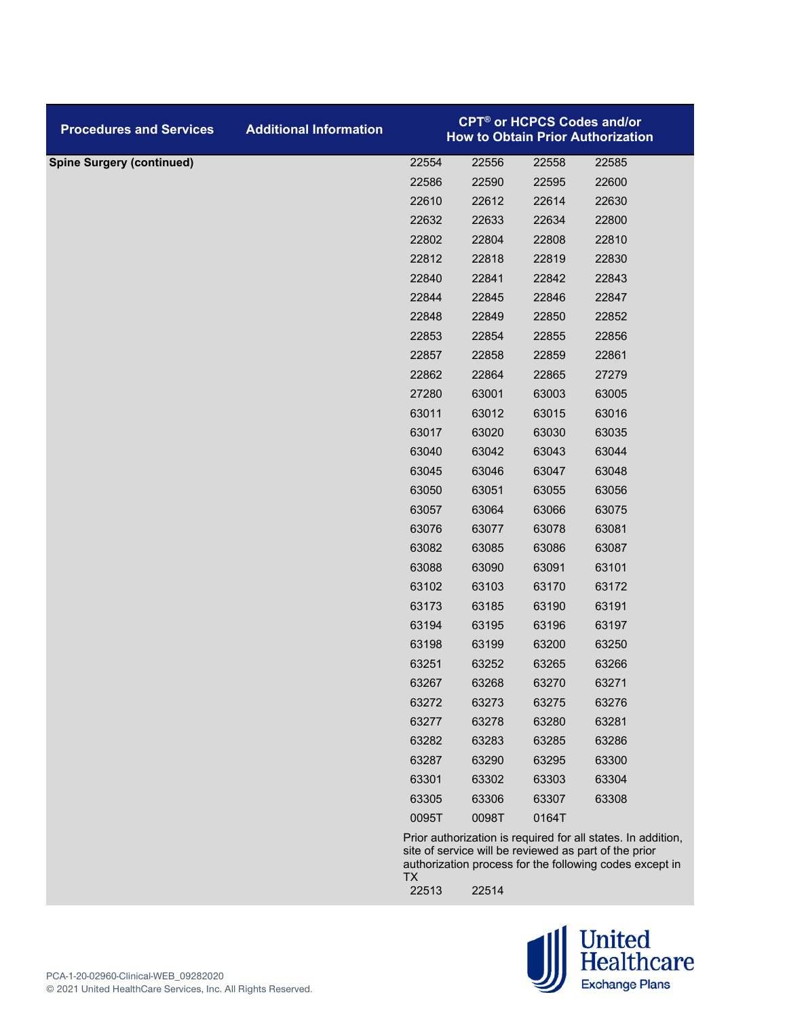| <b>Procedures and Services</b>   | <b>Additional Information</b> |                                                                                                                       |       |       | <b>CPT<sup>®</sup> or HCPCS Codes and/or</b><br><b>How to Obtain Prior Authorization</b> |
|----------------------------------|-------------------------------|-----------------------------------------------------------------------------------------------------------------------|-------|-------|------------------------------------------------------------------------------------------|
| <b>Spine Surgery (continued)</b> |                               | 22554                                                                                                                 | 22556 | 22558 | 22585                                                                                    |
|                                  |                               | 22586                                                                                                                 | 22590 | 22595 | 22600                                                                                    |
|                                  |                               | 22610                                                                                                                 | 22612 | 22614 | 22630                                                                                    |
|                                  |                               | 22632                                                                                                                 | 22633 | 22634 | 22800                                                                                    |
|                                  |                               | 22802                                                                                                                 | 22804 | 22808 | 22810                                                                                    |
|                                  |                               | 22812                                                                                                                 | 22818 | 22819 | 22830                                                                                    |
|                                  |                               | 22840                                                                                                                 | 22841 | 22842 | 22843                                                                                    |
|                                  |                               | 22844                                                                                                                 | 22845 | 22846 | 22847                                                                                    |
|                                  |                               | 22848                                                                                                                 | 22849 | 22850 | 22852                                                                                    |
|                                  |                               | 22853                                                                                                                 | 22854 | 22855 | 22856                                                                                    |
|                                  |                               | 22857                                                                                                                 | 22858 | 22859 | 22861                                                                                    |
|                                  |                               | 22862                                                                                                                 | 22864 | 22865 | 27279                                                                                    |
|                                  |                               | 27280                                                                                                                 | 63001 | 63003 | 63005                                                                                    |
|                                  |                               | 63011                                                                                                                 | 63012 | 63015 | 63016                                                                                    |
|                                  |                               | 63017                                                                                                                 | 63020 | 63030 | 63035                                                                                    |
|                                  |                               | 63040                                                                                                                 | 63042 | 63043 | 63044                                                                                    |
|                                  |                               | 63045                                                                                                                 | 63046 | 63047 | 63048                                                                                    |
|                                  |                               | 63050                                                                                                                 | 63051 | 63055 | 63056                                                                                    |
|                                  |                               | 63057                                                                                                                 | 63064 | 63066 | 63075                                                                                    |
|                                  |                               | 63076                                                                                                                 | 63077 | 63078 | 63081                                                                                    |
|                                  |                               | 63082                                                                                                                 | 63085 | 63086 | 63087                                                                                    |
|                                  |                               | 63088                                                                                                                 | 63090 | 63091 | 63101                                                                                    |
|                                  |                               | 63102                                                                                                                 | 63103 | 63170 | 63172                                                                                    |
|                                  |                               | 63173                                                                                                                 | 63185 | 63190 | 63191                                                                                    |
|                                  |                               | 63194                                                                                                                 | 63195 | 63196 | 63197                                                                                    |
|                                  |                               | 63198                                                                                                                 | 63199 | 63200 | 63250                                                                                    |
|                                  |                               | 63251                                                                                                                 | 63252 | 63265 | 63266                                                                                    |
|                                  |                               | 63267                                                                                                                 | 63268 | 63270 | 63271                                                                                    |
|                                  |                               | 63272                                                                                                                 | 63273 | 63275 | 63276                                                                                    |
|                                  |                               | 63277                                                                                                                 | 63278 | 63280 | 63281                                                                                    |
|                                  |                               | 63282                                                                                                                 | 63283 | 63285 | 63286                                                                                    |
|                                  |                               | 63287                                                                                                                 | 63290 | 63295 | 63300                                                                                    |
|                                  |                               | 63301                                                                                                                 | 63302 | 63303 | 63304                                                                                    |
|                                  |                               | 63305                                                                                                                 | 63306 | 63307 | 63308                                                                                    |
|                                  |                               | 0095T                                                                                                                 | 0098T | 0164T |                                                                                          |
|                                  |                               | Prior authorization is required for all states. In addition,<br>site of service will be reviewed as part of the prior |       |       |                                                                                          |

authorization process for the following codes except in TX 22514

 $\bigcup_{\text{Exchange Plans}}\underbrace{\text{Pl} }_{\text{Plans}}$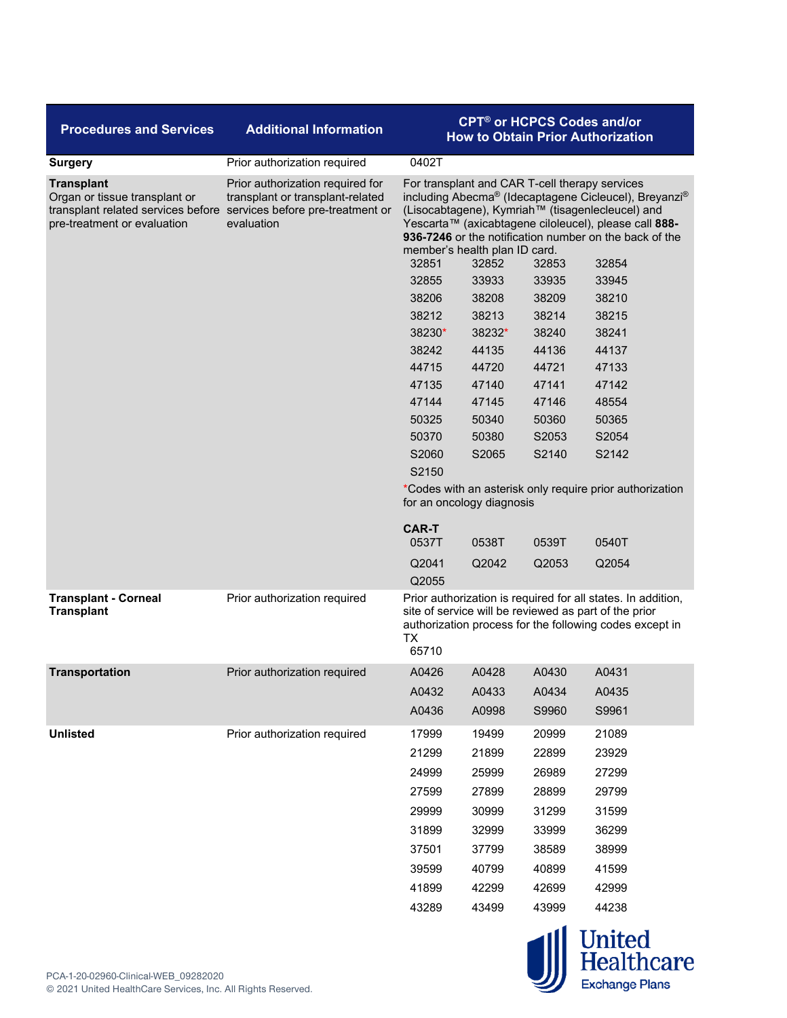| <b>Procedures and Services</b>                                                                                                                           | <b>Additional Information</b>                                                      | <b>CPT<sup>®</sup> or HCPCS Codes and/or</b><br><b>How to Obtain Prior Authorization</b>                                                                                                                                                                                                                                                            |                                                          |       |       |  |
|----------------------------------------------------------------------------------------------------------------------------------------------------------|------------------------------------------------------------------------------------|-----------------------------------------------------------------------------------------------------------------------------------------------------------------------------------------------------------------------------------------------------------------------------------------------------------------------------------------------------|----------------------------------------------------------|-------|-------|--|
| <b>Surgery</b>                                                                                                                                           | Prior authorization required                                                       | 0402T                                                                                                                                                                                                                                                                                                                                               |                                                          |       |       |  |
| <b>Transplant</b><br>Organ or tissue transplant or<br>transplant related services before services before pre-treatment or<br>pre-treatment or evaluation | Prior authorization required for<br>transplant or transplant-related<br>evaluation | For transplant and CAR T-cell therapy services<br>including Abecma® (Idecaptagene Cicleucel), Breyanzi®<br>(Lisocabtagene), Kymriah™ (tisagenlecleucel) and<br>Yescarta™ (axicabtagene ciloleucel), please call 888-<br>936-7246 or the notification number on the back of the<br>member's health plan ID card.<br>32854<br>32851<br>32852<br>32853 |                                                          |       |       |  |
|                                                                                                                                                          |                                                                                    | 32855                                                                                                                                                                                                                                                                                                                                               | 33933                                                    | 33935 | 33945 |  |
|                                                                                                                                                          |                                                                                    | 38206                                                                                                                                                                                                                                                                                                                                               | 38208                                                    | 38209 | 38210 |  |
|                                                                                                                                                          |                                                                                    | 38212                                                                                                                                                                                                                                                                                                                                               | 38213                                                    | 38214 | 38215 |  |
|                                                                                                                                                          |                                                                                    | 38230*                                                                                                                                                                                                                                                                                                                                              | 38232*                                                   | 38240 | 38241 |  |
|                                                                                                                                                          |                                                                                    | 38242                                                                                                                                                                                                                                                                                                                                               | 44135                                                    | 44136 | 44137 |  |
|                                                                                                                                                          |                                                                                    | 44715                                                                                                                                                                                                                                                                                                                                               | 44720                                                    | 44721 | 47133 |  |
|                                                                                                                                                          |                                                                                    | 47135                                                                                                                                                                                                                                                                                                                                               | 47140                                                    | 47141 | 47142 |  |
|                                                                                                                                                          |                                                                                    | 47144                                                                                                                                                                                                                                                                                                                                               | 47145                                                    | 47146 | 48554 |  |
|                                                                                                                                                          |                                                                                    | 50325                                                                                                                                                                                                                                                                                                                                               | 50340                                                    | 50360 | 50365 |  |
|                                                                                                                                                          |                                                                                    | 50370                                                                                                                                                                                                                                                                                                                                               | 50380                                                    | S2053 | S2054 |  |
|                                                                                                                                                          |                                                                                    | S2060                                                                                                                                                                                                                                                                                                                                               | S2065                                                    | S2140 | S2142 |  |
|                                                                                                                                                          |                                                                                    | S2150                                                                                                                                                                                                                                                                                                                                               |                                                          |       |       |  |
|                                                                                                                                                          |                                                                                    | for an oncology diagnosis                                                                                                                                                                                                                                                                                                                           | *Codes with an asterisk only require prior authorization |       |       |  |
|                                                                                                                                                          |                                                                                    | <b>CAR-T</b><br>0537T                                                                                                                                                                                                                                                                                                                               | 0538T                                                    | 0539T | 0540T |  |
|                                                                                                                                                          |                                                                                    | Q2041<br>Q2055                                                                                                                                                                                                                                                                                                                                      | Q2042                                                    | Q2053 | Q2054 |  |
| <b>Transplant - Corneal</b><br><b>Transplant</b>                                                                                                         | Prior authorization required                                                       | Prior authorization is required for all states. In addition,<br>site of service will be reviewed as part of the prior<br>authorization process for the following codes except in<br><b>TX</b><br>65710                                                                                                                                              |                                                          |       |       |  |
| <b>Transportation</b>                                                                                                                                    | Prior authorization required                                                       | A0426                                                                                                                                                                                                                                                                                                                                               | A0428                                                    | A0430 | A0431 |  |
|                                                                                                                                                          |                                                                                    | A0432                                                                                                                                                                                                                                                                                                                                               | A0433                                                    | A0434 | A0435 |  |
|                                                                                                                                                          |                                                                                    | A0436                                                                                                                                                                                                                                                                                                                                               | A0998                                                    | S9960 | S9961 |  |
| <b>Unlisted</b>                                                                                                                                          | Prior authorization required                                                       | 17999                                                                                                                                                                                                                                                                                                                                               | 19499                                                    | 20999 | 21089 |  |
|                                                                                                                                                          |                                                                                    | 21299                                                                                                                                                                                                                                                                                                                                               | 21899                                                    | 22899 | 23929 |  |
|                                                                                                                                                          |                                                                                    | 24999                                                                                                                                                                                                                                                                                                                                               | 25999                                                    | 26989 | 27299 |  |
|                                                                                                                                                          |                                                                                    | 27599                                                                                                                                                                                                                                                                                                                                               | 27899                                                    | 28899 | 29799 |  |
|                                                                                                                                                          |                                                                                    | 29999                                                                                                                                                                                                                                                                                                                                               | 30999                                                    | 31299 | 31599 |  |
|                                                                                                                                                          |                                                                                    | 31899                                                                                                                                                                                                                                                                                                                                               | 32999                                                    | 33999 | 36299 |  |
|                                                                                                                                                          |                                                                                    | 37501                                                                                                                                                                                                                                                                                                                                               | 37799                                                    | 38589 | 38999 |  |
|                                                                                                                                                          |                                                                                    |                                                                                                                                                                                                                                                                                                                                                     |                                                          |       |       |  |
|                                                                                                                                                          |                                                                                    | 39599                                                                                                                                                                                                                                                                                                                                               | 40799                                                    | 40899 | 41599 |  |
|                                                                                                                                                          |                                                                                    | 41899                                                                                                                                                                                                                                                                                                                                               | 42299                                                    | 42699 | 42999 |  |
|                                                                                                                                                          |                                                                                    | 43289                                                                                                                                                                                                                                                                                                                                               | 43499                                                    | 43999 | 44238 |  |